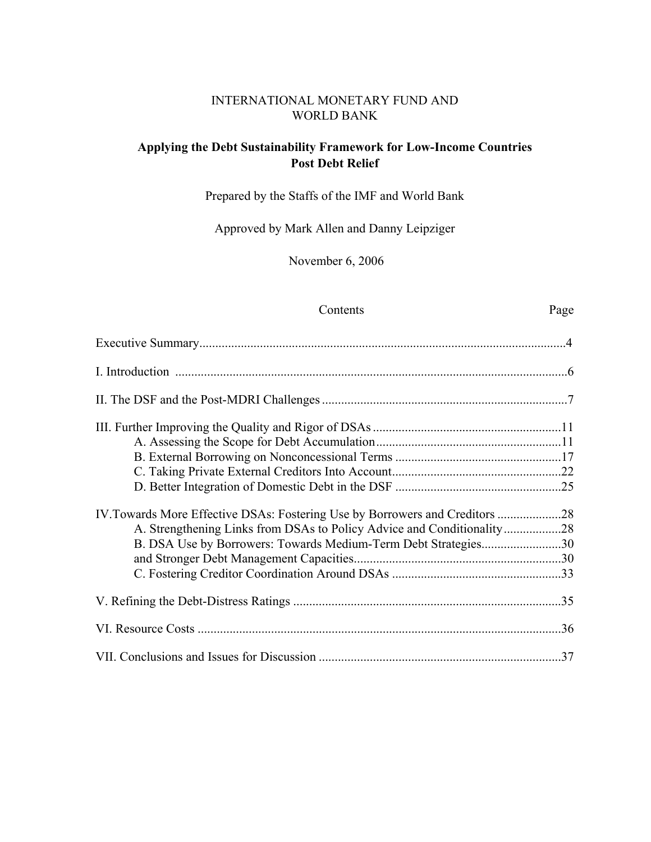### INTERNATIONAL MONETARY FUND AND WORLD BANK

# **Applying the Debt Sustainability Framework for Low-Income Countries Post Debt Relief**

Prepared by the Staffs of the IMF and World Bank

Approved by Mark Allen and Danny Leipziger

November 6, 2006

## Contents Page

| IV. Towards More Effective DSAs: Fostering Use by Borrowers and Creditors 28 |  |
|------------------------------------------------------------------------------|--|
| A. Strengthening Links from DSAs to Policy Advice and Conditionality28       |  |
| B. DSA Use by Borrowers: Towards Medium-Term Debt Strategies30               |  |
|                                                                              |  |
|                                                                              |  |
|                                                                              |  |
|                                                                              |  |
|                                                                              |  |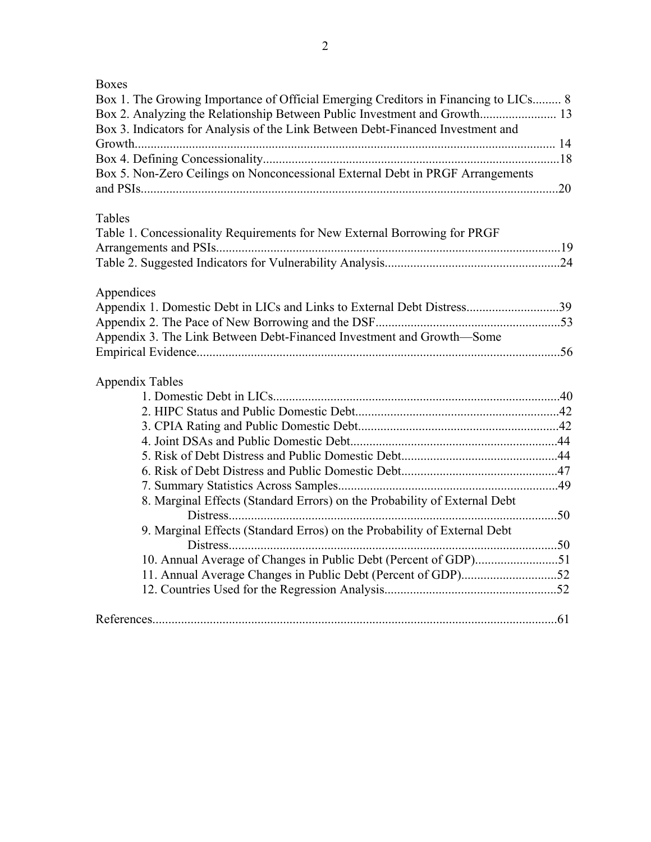| ۰,<br>۰. |
|----------|
|----------|

| Box 1. The Growing Importance of Official Emerging Creditors in Financing to LICs 8<br>Box 2. Analyzing the Relationship Between Public Investment and Growth 13<br>Box 3. Indicators for Analysis of the Link Between Debt-Financed Investment and |  |
|-----------------------------------------------------------------------------------------------------------------------------------------------------------------------------------------------------------------------------------------------------|--|
|                                                                                                                                                                                                                                                     |  |
|                                                                                                                                                                                                                                                     |  |
| Box 5. Non-Zero Ceilings on Nonconcessional External Debt in PRGF Arrangements                                                                                                                                                                      |  |
|                                                                                                                                                                                                                                                     |  |
|                                                                                                                                                                                                                                                     |  |
| Tables<br>Table 1. Concessionality Requirements for New External Borrowing for PRGF                                                                                                                                                                 |  |
|                                                                                                                                                                                                                                                     |  |
|                                                                                                                                                                                                                                                     |  |
|                                                                                                                                                                                                                                                     |  |
| Appendices                                                                                                                                                                                                                                          |  |
| Appendix 1. Domestic Debt in LICs and Links to External Debt Distress39                                                                                                                                                                             |  |
|                                                                                                                                                                                                                                                     |  |
| Appendix 3. The Link Between Debt-Financed Investment and Growth-Some                                                                                                                                                                               |  |
|                                                                                                                                                                                                                                                     |  |
|                                                                                                                                                                                                                                                     |  |
| <b>Appendix Tables</b>                                                                                                                                                                                                                              |  |
|                                                                                                                                                                                                                                                     |  |
|                                                                                                                                                                                                                                                     |  |
|                                                                                                                                                                                                                                                     |  |
|                                                                                                                                                                                                                                                     |  |
|                                                                                                                                                                                                                                                     |  |
|                                                                                                                                                                                                                                                     |  |
| 8. Marginal Effects (Standard Errors) on the Probability of External Debt                                                                                                                                                                           |  |
|                                                                                                                                                                                                                                                     |  |
| 9. Marginal Effects (Standard Erros) on the Probability of External Debt                                                                                                                                                                            |  |
|                                                                                                                                                                                                                                                     |  |
| 10. Annual Average of Changes in Public Debt (Percent of GDP)51                                                                                                                                                                                     |  |
|                                                                                                                                                                                                                                                     |  |
|                                                                                                                                                                                                                                                     |  |
|                                                                                                                                                                                                                                                     |  |
|                                                                                                                                                                                                                                                     |  |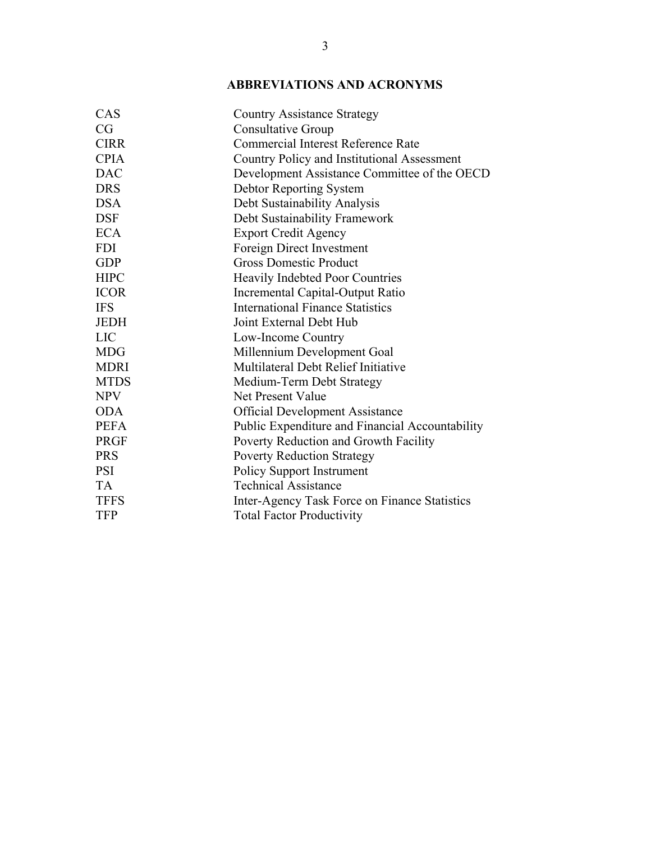# **ABBREVIATIONS AND ACRONYMS**

| CAS         | <b>Country Assistance Strategy</b>              |
|-------------|-------------------------------------------------|
| CG          | <b>Consultative Group</b>                       |
| <b>CIRR</b> | <b>Commercial Interest Reference Rate</b>       |
| <b>CPIA</b> | Country Policy and Institutional Assessment     |
| <b>DAC</b>  | Development Assistance Committee of the OECD    |
| <b>DRS</b>  | <b>Debtor Reporting System</b>                  |
| <b>DSA</b>  | Debt Sustainability Analysis                    |
| <b>DSF</b>  | Debt Sustainability Framework                   |
| <b>ECA</b>  | <b>Export Credit Agency</b>                     |
| <b>FDI</b>  | Foreign Direct Investment                       |
| <b>GDP</b>  | <b>Gross Domestic Product</b>                   |
| <b>HIPC</b> | <b>Heavily Indebted Poor Countries</b>          |
| <b>ICOR</b> | Incremental Capital-Output Ratio                |
| <b>IFS</b>  | <b>International Finance Statistics</b>         |
| <b>JEDH</b> | Joint External Debt Hub                         |
| <b>LIC</b>  | Low-Income Country                              |
| <b>MDG</b>  | Millennium Development Goal                     |
| <b>MDRI</b> | Multilateral Debt Relief Initiative             |
| <b>MTDS</b> | Medium-Term Debt Strategy                       |
| <b>NPV</b>  | Net Present Value                               |
| <b>ODA</b>  | <b>Official Development Assistance</b>          |
| <b>PEFA</b> | Public Expenditure and Financial Accountability |
| <b>PRGF</b> | Poverty Reduction and Growth Facility           |
| <b>PRS</b>  | <b>Poverty Reduction Strategy</b>               |
| <b>PSI</b>  | <b>Policy Support Instrument</b>                |
| <b>TA</b>   | <b>Technical Assistance</b>                     |
| <b>TFFS</b> | Inter-Agency Task Force on Finance Statistics   |
| <b>TFP</b>  | <b>Total Factor Productivity</b>                |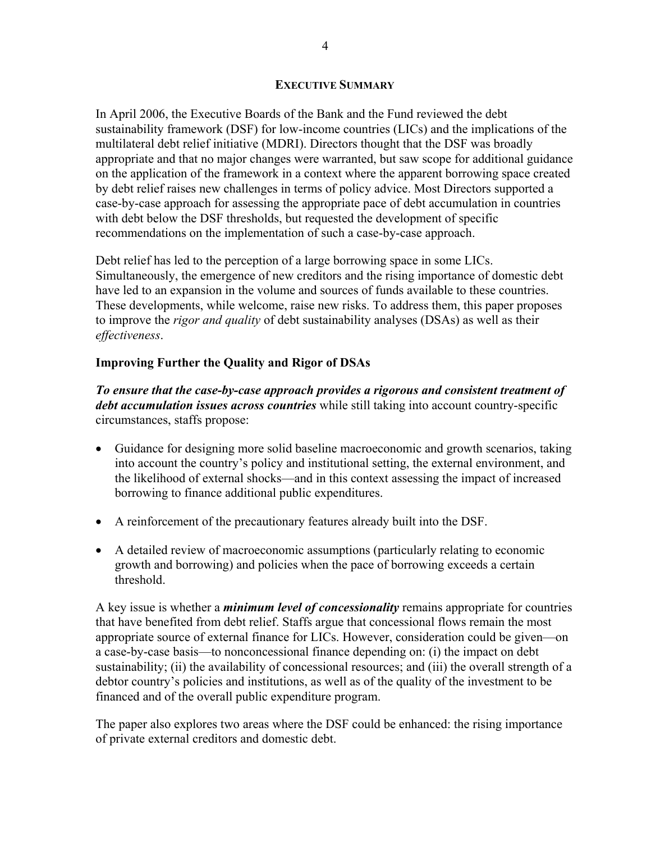#### **EXECUTIVE SUMMARY**

In April 2006, the Executive Boards of the Bank and the Fund reviewed the debt sustainability framework (DSF) for low-income countries (LICs) and the implications of the multilateral debt relief initiative (MDRI). Directors thought that the DSF was broadly appropriate and that no major changes were warranted, but saw scope for additional guidance on the application of the framework in a context where the apparent borrowing space created by debt relief raises new challenges in terms of policy advice. Most Directors supported a case-by-case approach for assessing the appropriate pace of debt accumulation in countries with debt below the DSF thresholds, but requested the development of specific recommendations on the implementation of such a case-by-case approach.

Debt relief has led to the perception of a large borrowing space in some LICs. Simultaneously, the emergence of new creditors and the rising importance of domestic debt have led to an expansion in the volume and sources of funds available to these countries. These developments, while welcome, raise new risks. To address them, this paper proposes to improve the *rigor and quality* of debt sustainability analyses (DSAs) as well as their *effectiveness*.

## **Improving Further the Quality and Rigor of DSAs**

*To ensure that the case-by-case approach provides a rigorous and consistent treatment of debt accumulation issues across countries* while still taking into account country-specific circumstances, staffs propose:

- Guidance for designing more solid baseline macroeconomic and growth scenarios, taking into account the country's policy and institutional setting, the external environment, and the likelihood of external shocks—and in this context assessing the impact of increased borrowing to finance additional public expenditures.
- A reinforcement of the precautionary features already built into the DSF.
- A detailed review of macroeconomic assumptions (particularly relating to economic growth and borrowing) and policies when the pace of borrowing exceeds a certain threshold.

A key issue is whether a *minimum level of concessionality* remains appropriate for countries that have benefited from debt relief. Staffs argue that concessional flows remain the most appropriate source of external finance for LICs. However, consideration could be given—on a case-by-case basis—to nonconcessional finance depending on: (i) the impact on debt sustainability; (ii) the availability of concessional resources; and (iii) the overall strength of a debtor country's policies and institutions, as well as of the quality of the investment to be financed and of the overall public expenditure program.

The paper also explores two areas where the DSF could be enhanced: the rising importance of private external creditors and domestic debt.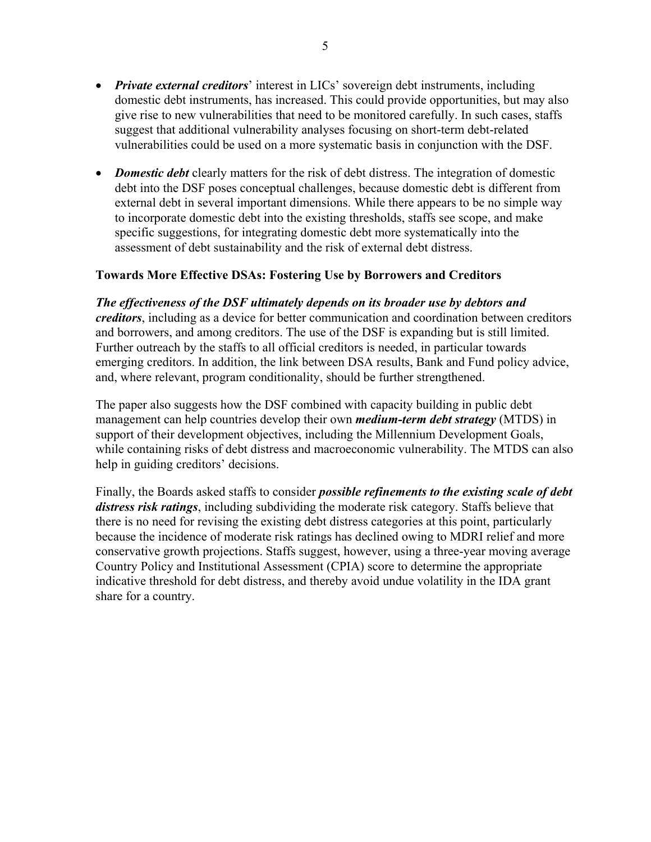- *Private external creditors*' interest in LICs' sovereign debt instruments, including domestic debt instruments, has increased. This could provide opportunities, but may also give rise to new vulnerabilities that need to be monitored carefully. In such cases, staffs suggest that additional vulnerability analyses focusing on short-term debt-related vulnerabilities could be used on a more systematic basis in conjunction with the DSF.
- *Domestic debt* clearly matters for the risk of debt distress. The integration of domestic debt into the DSF poses conceptual challenges, because domestic debt is different from external debt in several important dimensions. While there appears to be no simple way to incorporate domestic debt into the existing thresholds, staffs see scope, and make specific suggestions, for integrating domestic debt more systematically into the assessment of debt sustainability and the risk of external debt distress.

## **Towards More Effective DSAs: Fostering Use by Borrowers and Creditors**

#### *The effectiveness of the DSF ultimately depends on its broader use by debtors and*

*creditors*, including as a device for better communication and coordination between creditors and borrowers, and among creditors. The use of the DSF is expanding but is still limited. Further outreach by the staffs to all official creditors is needed, in particular towards emerging creditors. In addition, the link between DSA results, Bank and Fund policy advice, and, where relevant, program conditionality, should be further strengthened.

The paper also suggests how the DSF combined with capacity building in public debt management can help countries develop their own *medium-term debt strategy* (MTDS) in support of their development objectives, including the Millennium Development Goals, while containing risks of debt distress and macroeconomic vulnerability. The MTDS can also help in guiding creditors' decisions.

Finally, the Boards asked staffs to consider *possible refinements to the existing scale of debt distress risk ratings*, including subdividing the moderate risk category. Staffs believe that there is no need for revising the existing debt distress categories at this point, particularly because the incidence of moderate risk ratings has declined owing to MDRI relief and more conservative growth projections. Staffs suggest, however, using a three-year moving average Country Policy and Institutional Assessment (CPIA) score to determine the appropriate indicative threshold for debt distress, and thereby avoid undue volatility in the IDA grant share for a country.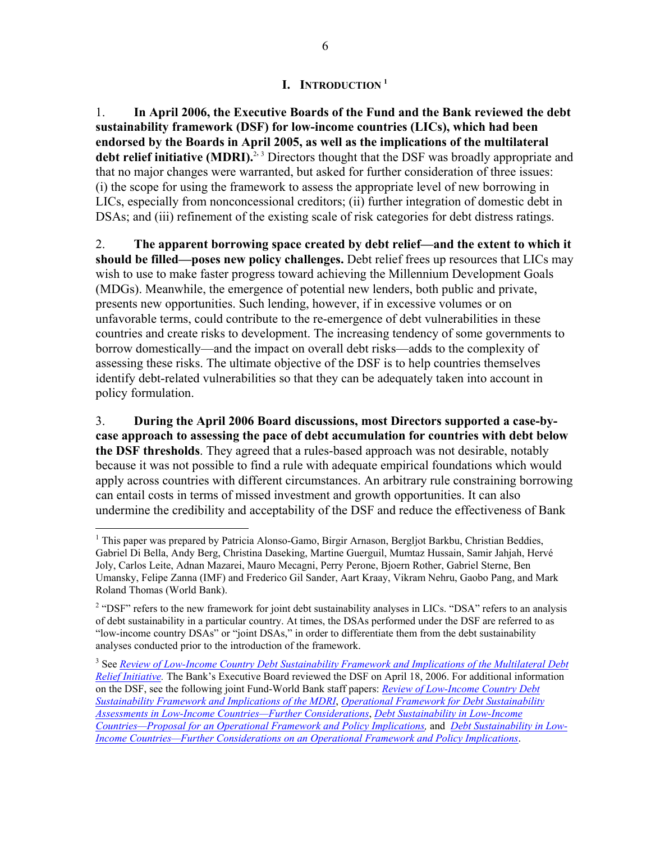#### **I. INTRODUCTION 1**

1. **In April 2006, the Executive Boards of the Fund and the Bank reviewed the debt sustainability framework (DSF) for low-income countries (LICs), which had been endorsed by the Boards in April 2005, as well as the implications of the multilateral**  debt relief initiative (MDRI).<sup>2, 3</sup> Directors thought that the DSF was broadly appropriate and that no major changes were warranted, but asked for further consideration of three issues: (i) the scope for using the framework to assess the appropriate level of new borrowing in LICs, especially from nonconcessional creditors; (ii) further integration of domestic debt in DSAs; and (iii) refinement of the existing scale of risk categories for debt distress ratings.

2. **The apparent borrowing space created by debt relief—and the extent to which it should be filled—poses new policy challenges.** Debt relief frees up resources that LICs may wish to use to make faster progress toward achieving the Millennium Development Goals (MDGs). Meanwhile, the emergence of potential new lenders, both public and private, presents new opportunities. Such lending, however, if in excessive volumes or on unfavorable terms, could contribute to the re-emergence of debt vulnerabilities in these countries and create risks to development. The increasing tendency of some governments to borrow domestically—and the impact on overall debt risks—adds to the complexity of assessing these risks. The ultimate objective of the DSF is to help countries themselves identify debt-related vulnerabilities so that they can be adequately taken into account in policy formulation.

3. **During the April 2006 Board discussions, most Directors supported a case-bycase approach to assessing the pace of debt accumulation for countries with debt below the DSF thresholds**. They agreed that a rules-based approach was not desirable, notably because it was not possible to find a rule with adequate empirical foundations which would apply across countries with different circumstances. An arbitrary rule constraining borrowing can entail costs in terms of missed investment and growth opportunities. It can also undermine the credibility and acceptability of the DSF and reduce the effectiveness of Bank

<sup>&</sup>lt;sup>1</sup> This paper was prepared by Patricia Alonso-Gamo, Birgir Arnason, Bergljot Barkbu, Christian Beddies, Gabriel Di Bella, Andy Berg, Christina Daseking, Martine Guerguil, Mumtaz Hussain, Samir Jahjah, Hervé Joly, Carlos Leite, Adnan Mazarei, Mauro Mecagni, Perry Perone, Bjoern Rother, Gabriel Sterne, Ben Umansky, Felipe Zanna (IMF) and Frederico Gil Sander, Aart Kraay, Vikram Nehru, Gaobo Pang, and Mark Roland Thomas (World Bank).

<sup>&</sup>lt;sup>2</sup> "DSF" refers to the new framework for joint debt sustainability analyses in LICs. "DSA" refers to an analysis of debt sustainability in a particular country. At times, the DSAs performed under the DSF are referred to as "low-income country DSAs" or "joint DSAs," in order to differentiate them from the debt sustainability analyses conducted prior to the introduction of the framework.

<sup>&</sup>lt;sup>3</sup> See *Review of Low-Income Country Debt Sustainability Framework and Implications of the Multilateral Debt Relief Initiative.* The Bank's Executive Board reviewed the DSF on April 18, 2006. For additional information on the DSF, see the following joint Fund-World Bank staff papers: *Review of Low-Income Country Debt Sustainability Framework and Implications of the MDRI*, *Operational Framework for Debt Sustainability Assessments in Low-Income Countries—Further Considerations*, *Debt Sustainability in Low-Income Countries—Proposal for an Operational Framework and Policy Implications,* and *Debt Sustainability in Low-Income Countries—Further Considerations on an Operational Framework and Policy Implications*.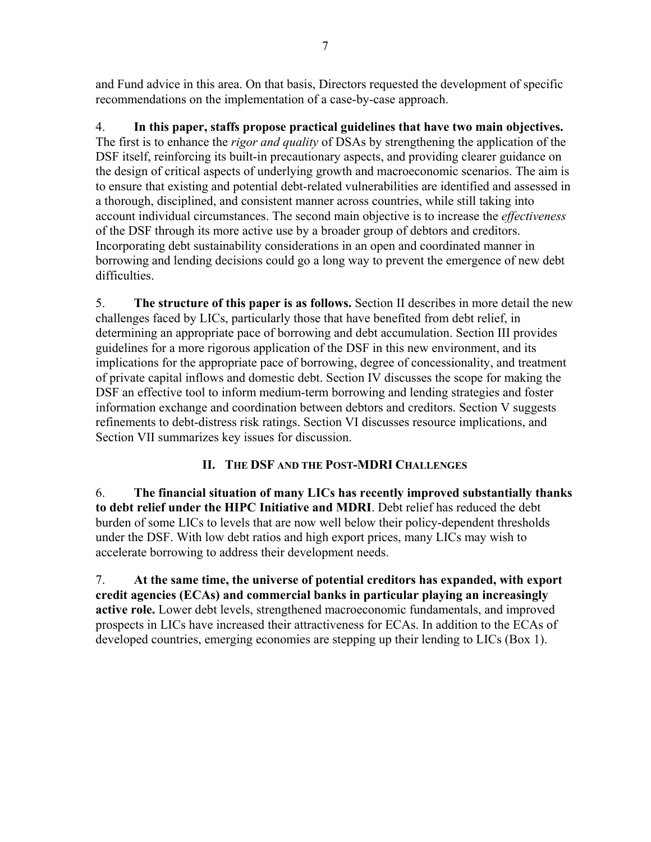and Fund advice in this area. On that basis, Directors requested the development of specific recommendations on the implementation of a case-by-case approach.

4. **In this paper, staffs propose practical guidelines that have two main objectives.**  The first is to enhance the *rigor and quality* of DSAs by strengthening the application of the DSF itself, reinforcing its built-in precautionary aspects, and providing clearer guidance on the design of critical aspects of underlying growth and macroeconomic scenarios. The aim is to ensure that existing and potential debt-related vulnerabilities are identified and assessed in a thorough, disciplined, and consistent manner across countries, while still taking into account individual circumstances. The second main objective is to increase the *effectiveness* of the DSF through its more active use by a broader group of debtors and creditors. Incorporating debt sustainability considerations in an open and coordinated manner in borrowing and lending decisions could go a long way to prevent the emergence of new debt difficulties.

5. **The structure of this paper is as follows.** Section II describes in more detail the new challenges faced by LICs, particularly those that have benefited from debt relief, in determining an appropriate pace of borrowing and debt accumulation. Section III provides guidelines for a more rigorous application of the DSF in this new environment, and its implications for the appropriate pace of borrowing, degree of concessionality, and treatment of private capital inflows and domestic debt. Section IV discusses the scope for making the DSF an effective tool to inform medium-term borrowing and lending strategies and foster information exchange and coordination between debtors and creditors. Section V suggests refinements to debt-distress risk ratings. Section VI discusses resource implications, and Section VII summarizes key issues for discussion.

# **II. THE DSF AND THE POST-MDRI CHALLENGES**

6. **The financial situation of many LICs has recently improved substantially thanks to debt relief under the HIPC Initiative and MDRI**. Debt relief has reduced the debt burden of some LICs to levels that are now well below their policy-dependent thresholds under the DSF. With low debt ratios and high export prices, many LICs may wish to accelerate borrowing to address their development needs.

7. **At the same time, the universe of potential creditors has expanded, with export credit agencies (ECAs) and commercial banks in particular playing an increasingly active role.** Lower debt levels, strengthened macroeconomic fundamentals, and improved prospects in LICs have increased their attractiveness for ECAs. In addition to the ECAs of developed countries, emerging economies are stepping up their lending to LICs (Box 1).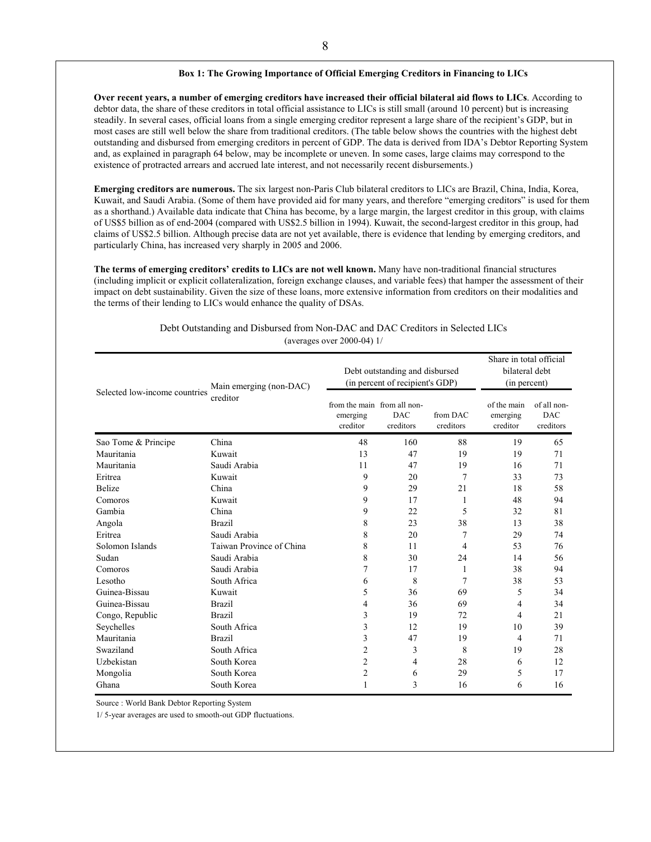#### **Box 1: The Growing Importance of Official Emerging Creditors in Financing to LICs**

**Over recent years, a number of emerging creditors have increased their official bilateral aid flows to LICs**. According to debtor data, the share of these creditors in total official assistance to LICs is still small (around 10 percent) but is increasing steadily. In several cases, official loans from a single emerging creditor represent a large share of the recipient's GDP, but in most cases are still well below the share from traditional creditors. (The table below shows the countries with the highest debt outstanding and disbursed from emerging creditors in percent of GDP. The data is derived from IDA's Debtor Reporting System and, as explained in paragraph 64 below, may be incomplete or uneven. In some cases, large claims may correspond to the existence of protracted arrears and accrued late interest, and not necessarily recent disbursements.)

**Emerging creditors are numerous.** The six largest non-Paris Club bilateral creditors to LICs are Brazil, China, India, Korea, Kuwait, and Saudi Arabia. (Some of them have provided aid for many years, and therefore "emerging creditors" is used for them as a shorthand.) Available data indicate that China has become, by a large margin, the largest creditor in this group, with claims of US\$5 billion as of end-2004 (compared with US\$2.5 billion in 1994). Kuwait, the second-largest creditor in this group, had claims of US\$2.5 billion. Although precise data are not yet available, there is evidence that lending by emerging creditors, and particularly China, has increased very sharply in 2005 and 2006.

**The terms of emerging creditors' credits to LICs are not well known.** Many have non-traditional financial structures (including implicit or explicit collateralization, foreign exchange clauses, and variable fees) that hamper the assessment of their impact on debt sustainability. Given the size of these loans, more extensive information from creditors on their modalities and the terms of their lending to LICs would enhance the quality of DSAs.

|                               | Main emerging (non-DAC)  | Debt outstanding and disbursed<br>(in percent of recipient's GDP) |                         |                       | Share in total official<br>bilateral debt<br>(in percent) |                                        |
|-------------------------------|--------------------------|-------------------------------------------------------------------|-------------------------|-----------------------|-----------------------------------------------------------|----------------------------------------|
| Selected low-income countries | creditor                 | from the main from all non-<br>emerging<br>creditor               | <b>DAC</b><br>creditors | from DAC<br>creditors | of the main<br>emerging<br>creditor                       | of all non-<br><b>DAC</b><br>creditors |
| Sao Tome & Principe           | China                    | 48                                                                | 160                     | 88                    | 19                                                        | 65                                     |
| Mauritania                    | Kuwait                   | 13                                                                | 47                      | 19                    | 19                                                        | 71                                     |
| Mauritania                    | Saudi Arabia             | 11                                                                | 47                      | 19                    | 16                                                        | 71                                     |
| Eritrea                       | Kuwait                   | 9                                                                 | 20                      | 7                     | 33                                                        | 73                                     |
| <b>Belize</b>                 | China                    | 9                                                                 | 29                      | 21                    | 18                                                        | 58                                     |
| Comoros                       | Kuwait                   | 9                                                                 | 17                      | 1                     | 48                                                        | 94                                     |
| Gambia                        | China                    | 9                                                                 | 22                      | 5                     | 32                                                        | 81                                     |
| Angola                        | <b>Brazil</b>            | 8                                                                 | 23                      | 38                    | 13                                                        | 38                                     |
| Eritrea                       | Saudi Arabia             | 8                                                                 | 20                      | 7                     | 29                                                        | 74                                     |
| Solomon Islands               | Taiwan Province of China | 8                                                                 | 11                      | 4                     | 53                                                        | 76                                     |
| Sudan                         | Saudi Arabia             | 8                                                                 | 30                      | 24                    | 14                                                        | 56                                     |
| Comoros                       | Saudi Arabia             | 7                                                                 | 17                      | 1                     | 38                                                        | 94                                     |
| Lesotho                       | South Africa             | 6                                                                 | 8                       | $\overline{7}$        | 38                                                        | 53                                     |
| Guinea-Bissau                 | Kuwait                   | 5                                                                 | 36                      | 69                    | 5                                                         | 34                                     |
| Guinea-Bissau                 | <b>Brazil</b>            | 4                                                                 | 36                      | 69                    | 4                                                         | 34                                     |
| Congo, Republic               | <b>Brazil</b>            | 3                                                                 | 19                      | 72                    | 4                                                         | 21                                     |
| Seychelles                    | South Africa             | 3                                                                 | 12                      | 19                    | 10                                                        | 39                                     |
| Mauritania                    | <b>Brazil</b>            | 3                                                                 | 47                      | 19                    | 4                                                         | 71                                     |
| Swaziland                     | South Africa             | 2                                                                 | 3                       | 8                     | 19                                                        | 28                                     |
| Uzbekistan                    | South Korea              | 2                                                                 | 4                       | 28                    | 6                                                         | 12                                     |
| Mongolia                      | South Korea              | 2                                                                 | 6                       | 29                    | 5                                                         | 17                                     |
| Ghana                         | South Korea              | 1                                                                 | 3                       | 16                    | 6                                                         | 16                                     |

#### Debt Outstanding and Disbursed from Non-DAC and DAC Creditors in Selected LICs (averages over 2000-04) 1/

Source : World Bank Debtor Reporting System

1/ 5-year averages are used to smooth-out GDP fluctuations.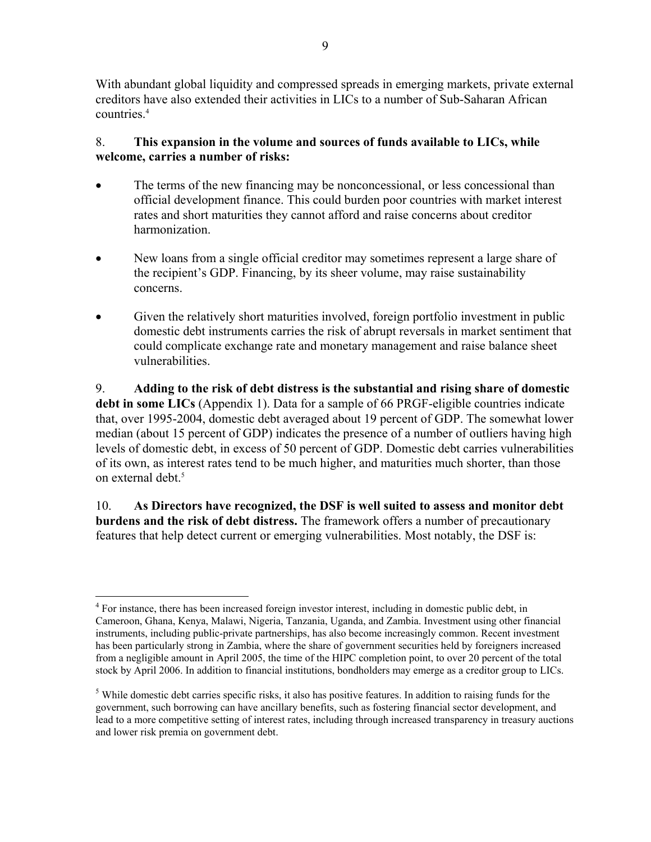With abundant global liquidity and compressed spreads in emerging markets, private external creditors have also extended their activities in LICs to a number of Sub-Saharan African countries.<sup>4</sup>

# 8. **This expansion in the volume and sources of funds available to LICs, while welcome, carries a number of risks:**

- The terms of the new financing may be nonconcessional, or less concessional than official development finance. This could burden poor countries with market interest rates and short maturities they cannot afford and raise concerns about creditor harmonization.
- New loans from a single official creditor may sometimes represent a large share of the recipient's GDP. Financing, by its sheer volume, may raise sustainability concerns.
- Given the relatively short maturities involved, foreign portfolio investment in public domestic debt instruments carries the risk of abrupt reversals in market sentiment that could complicate exchange rate and monetary management and raise balance sheet vulnerabilities.

9. **Adding to the risk of debt distress is the substantial and rising share of domestic debt in some LICs** (Appendix 1). Data for a sample of 66 PRGF-eligible countries indicate that, over 1995-2004, domestic debt averaged about 19 percent of GDP. The somewhat lower median (about 15 percent of GDP) indicates the presence of a number of outliers having high levels of domestic debt, in excess of 50 percent of GDP. Domestic debt carries vulnerabilities of its own, as interest rates tend to be much higher, and maturities much shorter, than those on external debt.<sup>5</sup>

10. **As Directors have recognized, the DSF is well suited to assess and monitor debt burdens and the risk of debt distress.** The framework offers a number of precautionary features that help detect current or emerging vulnerabilities. Most notably, the DSF is:

<sup>&</sup>lt;u>.</u> <sup>4</sup> For instance, there has been increased foreign investor interest, including in domestic public debt, in Cameroon, Ghana, Kenya, Malawi, Nigeria, Tanzania, Uganda, and Zambia. Investment using other financial instruments, including public-private partnerships, has also become increasingly common. Recent investment has been particularly strong in Zambia, where the share of government securities held by foreigners increased from a negligible amount in April 2005, the time of the HIPC completion point, to over 20 percent of the total stock by April 2006. In addition to financial institutions, bondholders may emerge as a creditor group to LICs.

<sup>&</sup>lt;sup>5</sup> While domestic debt carries specific risks, it also has positive features. In addition to raising funds for the government, such borrowing can have ancillary benefits, such as fostering financial sector development, and lead to a more competitive setting of interest rates, including through increased transparency in treasury auctions and lower risk premia on government debt.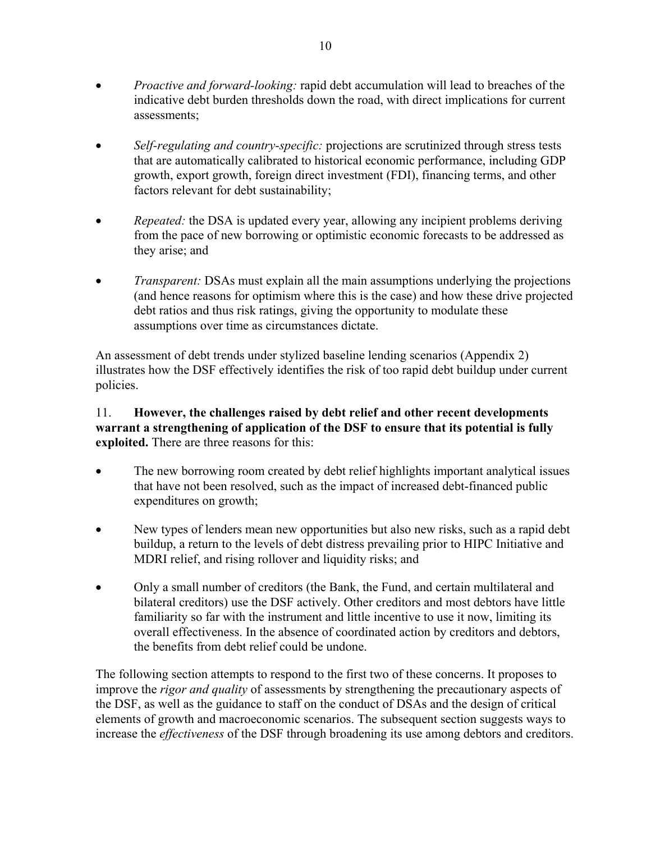- *Proactive and forward-looking:* rapid debt accumulation will lead to breaches of the indicative debt burden thresholds down the road, with direct implications for current assessments;
- *Self-regulating and country-specific:* projections are scrutinized through stress tests that are automatically calibrated to historical economic performance, including GDP growth, export growth, foreign direct investment (FDI), financing terms, and other factors relevant for debt sustainability;
- *Repeated:* the DSA is updated every year, allowing any incipient problems deriving from the pace of new borrowing or optimistic economic forecasts to be addressed as they arise; and
- *Transparent:* DSAs must explain all the main assumptions underlying the projections (and hence reasons for optimism where this is the case) and how these drive projected debt ratios and thus risk ratings, giving the opportunity to modulate these assumptions over time as circumstances dictate.

An assessment of debt trends under stylized baseline lending scenarios (Appendix 2) illustrates how the DSF effectively identifies the risk of too rapid debt buildup under current policies.

## 11. **However, the challenges raised by debt relief and other recent developments warrant a strengthening of application of the DSF to ensure that its potential is fully exploited.** There are three reasons for this:

- The new borrowing room created by debt relief highlights important analytical issues that have not been resolved, such as the impact of increased debt-financed public expenditures on growth;
- New types of lenders mean new opportunities but also new risks, such as a rapid debt buildup, a return to the levels of debt distress prevailing prior to HIPC Initiative and MDRI relief, and rising rollover and liquidity risks; and
- Only a small number of creditors (the Bank, the Fund, and certain multilateral and bilateral creditors) use the DSF actively. Other creditors and most debtors have little familiarity so far with the instrument and little incentive to use it now, limiting its overall effectiveness. In the absence of coordinated action by creditors and debtors, the benefits from debt relief could be undone.

The following section attempts to respond to the first two of these concerns. It proposes to improve the *rigor and quality* of assessments by strengthening the precautionary aspects of the DSF, as well as the guidance to staff on the conduct of DSAs and the design of critical elements of growth and macroeconomic scenarios. The subsequent section suggests ways to increase the *effectiveness* of the DSF through broadening its use among debtors and creditors.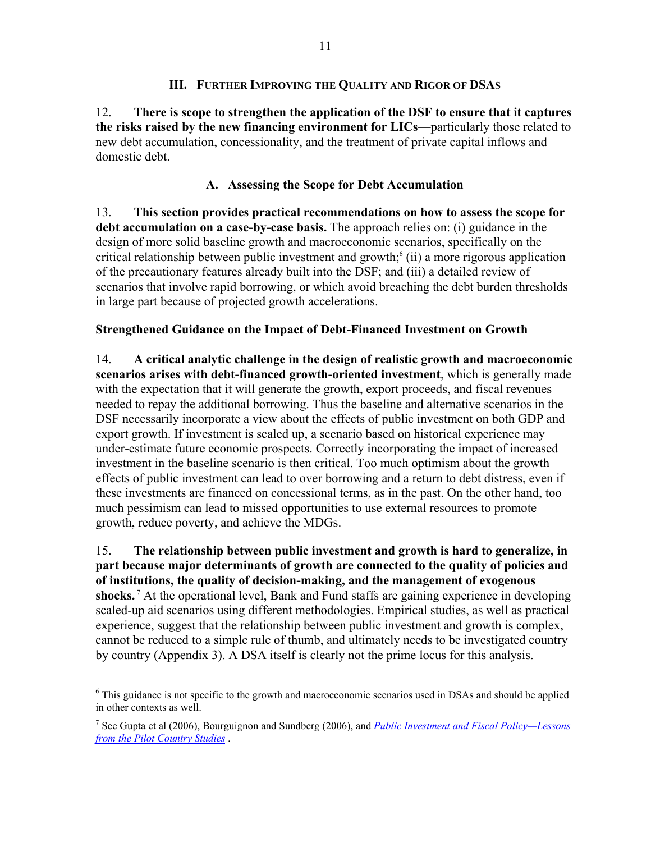### **III. FURTHER IMPROVING THE QUALITY AND RIGOR OF DSAS**

12. **There is scope to strengthen the application of the DSF to ensure that it captures the risks raised by the new financing environment for LICs**—particularly those related to new debt accumulation, concessionality, and the treatment of private capital inflows and domestic debt.

# **A. Assessing the Scope for Debt Accumulation**

13. **This section provides practical recommendations on how to assess the scope for debt accumulation on a case-by-case basis.** The approach relies on: (i) guidance in the design of more solid baseline growth and macroeconomic scenarios, specifically on the critical relationship between public investment and growth; $\delta$  (ii) a more rigorous application of the precautionary features already built into the DSF; and (iii) a detailed review of scenarios that involve rapid borrowing, or which avoid breaching the debt burden thresholds in large part because of projected growth accelerations.

## **Strengthened Guidance on the Impact of Debt-Financed Investment on Growth**

14. **A critical analytic challenge in the design of realistic growth and macroeconomic scenarios arises with debt-financed growth-oriented investment**, which is generally made with the expectation that it will generate the growth, export proceeds, and fiscal revenues needed to repay the additional borrowing. Thus the baseline and alternative scenarios in the DSF necessarily incorporate a view about the effects of public investment on both GDP and export growth. If investment is scaled up, a scenario based on historical experience may under-estimate future economic prospects. Correctly incorporating the impact of increased investment in the baseline scenario is then critical. Too much optimism about the growth effects of public investment can lead to over borrowing and a return to debt distress, even if these investments are financed on concessional terms, as in the past. On the other hand, too much pessimism can lead to missed opportunities to use external resources to promote growth, reduce poverty, and achieve the MDGs.

15. **The relationship between public investment and growth is hard to generalize, in part because major determinants of growth are connected to the quality of policies and of institutions, the quality of decision-making, and the management of exogenous shocks.** 7 At the operational level, Bank and Fund staffs are gaining experience in developing scaled-up aid scenarios using different methodologies. Empirical studies, as well as practical experience, suggest that the relationship between public investment and growth is complex, cannot be reduced to a simple rule of thumb, and ultimately needs to be investigated country by country (Appendix 3). A DSA itself is clearly not the prime locus for this analysis.

<sup>&</sup>lt;u>.</u> <sup>6</sup> This guidance is not specific to the growth and macroeconomic scenarios used in DSAs and should be applied in other contexts as well.

<sup>7</sup> See Gupta et al (2006), Bourguignon and Sundberg (2006), and *Public Investment and Fiscal Policy—Lessons from the Pilot Country Studies* .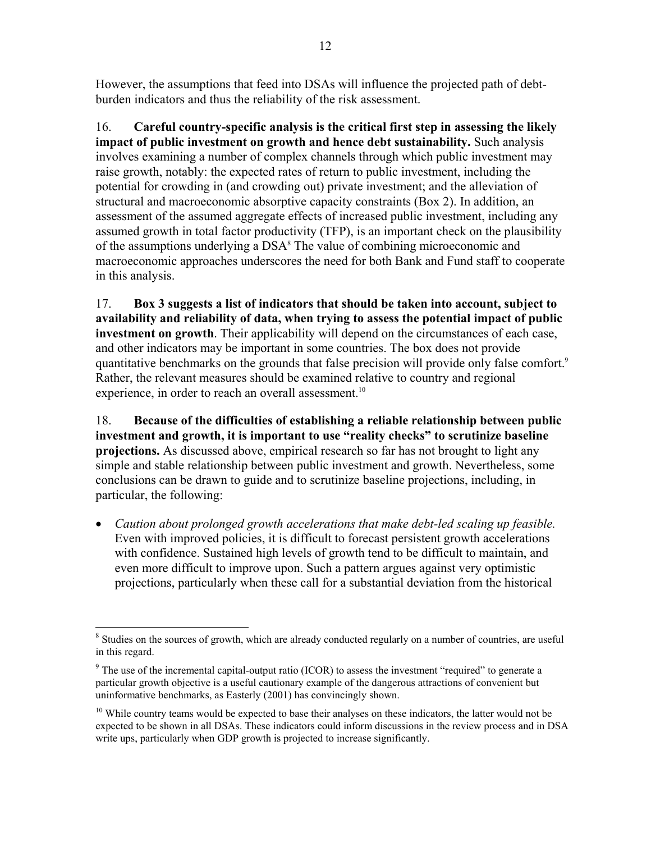However, the assumptions that feed into DSAs will influence the projected path of debtburden indicators and thus the reliability of the risk assessment.

16. **Careful country-specific analysis is the critical first step in assessing the likely impact of public investment on growth and hence debt sustainability.** Such analysis involves examining a number of complex channels through which public investment may raise growth, notably: the expected rates of return to public investment, including the potential for crowding in (and crowding out) private investment; and the alleviation of structural and macroeconomic absorptive capacity constraints (Box 2). In addition, an assessment of the assumed aggregate effects of increased public investment, including any assumed growth in total factor productivity (TFP), is an important check on the plausibility of the assumptions underlying a DSA<sup>8</sup> The value of combining microeconomic and macroeconomic approaches underscores the need for both Bank and Fund staff to cooperate in this analysis.

17. **Box 3 suggests a list of indicators that should be taken into account, subject to availability and reliability of data, when trying to assess the potential impact of public investment on growth**. Their applicability will depend on the circumstances of each case, and other indicators may be important in some countries. The box does not provide quantitative benchmarks on the grounds that false precision will provide only false comfort.<sup>9</sup> Rather, the relevant measures should be examined relative to country and regional experience, in order to reach an overall assessment.<sup>10</sup>

18. **Because of the difficulties of establishing a reliable relationship between public investment and growth, it is important to use "reality checks" to scrutinize baseline projections.** As discussed above, empirical research so far has not brought to light any simple and stable relationship between public investment and growth. Nevertheless, some conclusions can be drawn to guide and to scrutinize baseline projections, including, in particular, the following:

• *Caution about prolonged growth accelerations that make debt-led scaling up feasible.* Even with improved policies, it is difficult to forecast persistent growth accelerations with confidence. Sustained high levels of growth tend to be difficult to maintain, and even more difficult to improve upon. Such a pattern argues against very optimistic projections, particularly when these call for a substantial deviation from the historical

<sup>1</sup> <sup>8</sup> Studies on the sources of growth, which are already conducted regularly on a number of countries, are useful in this regard.

 $9$  The use of the incremental capital-output ratio (ICOR) to assess the investment "required" to generate a particular growth objective is a useful cautionary example of the dangerous attractions of convenient but uninformative benchmarks, as Easterly (2001) has convincingly shown.

<sup>&</sup>lt;sup>10</sup> While country teams would be expected to base their analyses on these indicators, the latter would not be expected to be shown in all DSAs. These indicators could inform discussions in the review process and in DSA write ups, particularly when GDP growth is projected to increase significantly.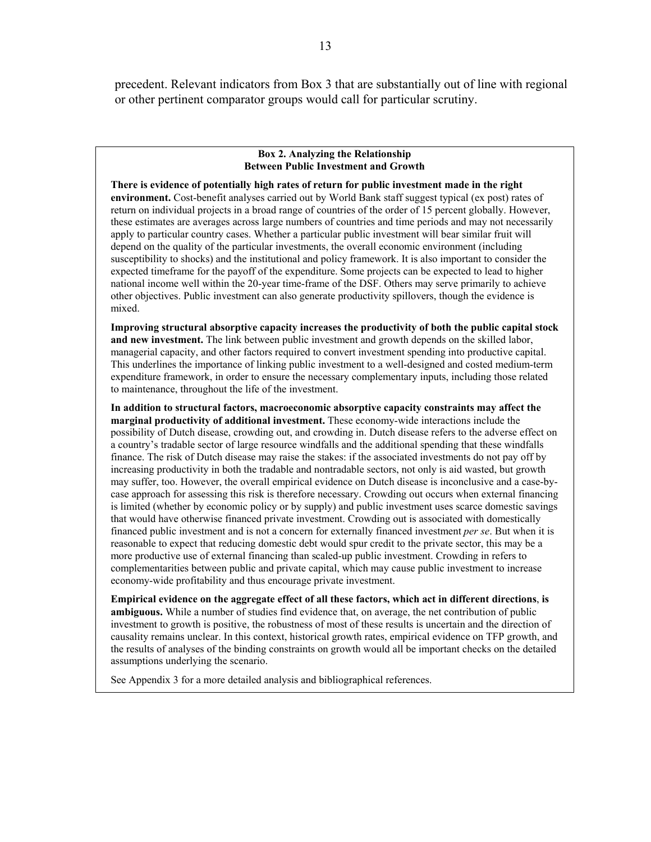precedent. Relevant indicators from Box 3 that are substantially out of line with regional or other pertinent comparator groups would call for particular scrutiny.

#### **Box 2. Analyzing the Relationship Between Public Investment and Growth**

**There is evidence of potentially high rates of return for public investment made in the right environment.** Cost-benefit analyses carried out by World Bank staff suggest typical (ex post) rates of return on individual projects in a broad range of countries of the order of 15 percent globally. However, these estimates are averages across large numbers of countries and time periods and may not necessarily apply to particular country cases. Whether a particular public investment will bear similar fruit will depend on the quality of the particular investments, the overall economic environment (including susceptibility to shocks) and the institutional and policy framework. It is also important to consider the expected timeframe for the payoff of the expenditure. Some projects can be expected to lead to higher national income well within the 20-year time-frame of the DSF. Others may serve primarily to achieve other objectives. Public investment can also generate productivity spillovers, though the evidence is mixed.

**Improving structural absorptive capacity increases the productivity of both the public capital stock and new investment.** The link between public investment and growth depends on the skilled labor, managerial capacity, and other factors required to convert investment spending into productive capital. This underlines the importance of linking public investment to a well-designed and costed medium-term expenditure framework, in order to ensure the necessary complementary inputs, including those related to maintenance, throughout the life of the investment.

**In addition to structural factors, macroeconomic absorptive capacity constraints may affect the marginal productivity of additional investment.** These economy-wide interactions include the possibility of Dutch disease, crowding out, and crowding in. Dutch disease refers to the adverse effect on a country's tradable sector of large resource windfalls and the additional spending that these windfalls finance. The risk of Dutch disease may raise the stakes: if the associated investments do not pay off by increasing productivity in both the tradable and nontradable sectors, not only is aid wasted, but growth may suffer, too. However, the overall empirical evidence on Dutch disease is inconclusive and a case-bycase approach for assessing this risk is therefore necessary. Crowding out occurs when external financing is limited (whether by economic policy or by supply) and public investment uses scarce domestic savings that would have otherwise financed private investment. Crowding out is associated with domestically financed public investment and is not a concern for externally financed investment *per se*. But when it is reasonable to expect that reducing domestic debt would spur credit to the private sector, this may be a more productive use of external financing than scaled-up public investment. Crowding in refers to complementarities between public and private capital, which may cause public investment to increase economy-wide profitability and thus encourage private investment.

**Empirical evidence on the aggregate effect of all these factors, which act in different directions**, **is ambiguous.** While a number of studies find evidence that, on average, the net contribution of public investment to growth is positive, the robustness of most of these results is uncertain and the direction of causality remains unclear. In this context, historical growth rates, empirical evidence on TFP growth, and the results of analyses of the binding constraints on growth would all be important checks on the detailed assumptions underlying the scenario.

See Appendix 3 for a more detailed analysis and bibliographical references.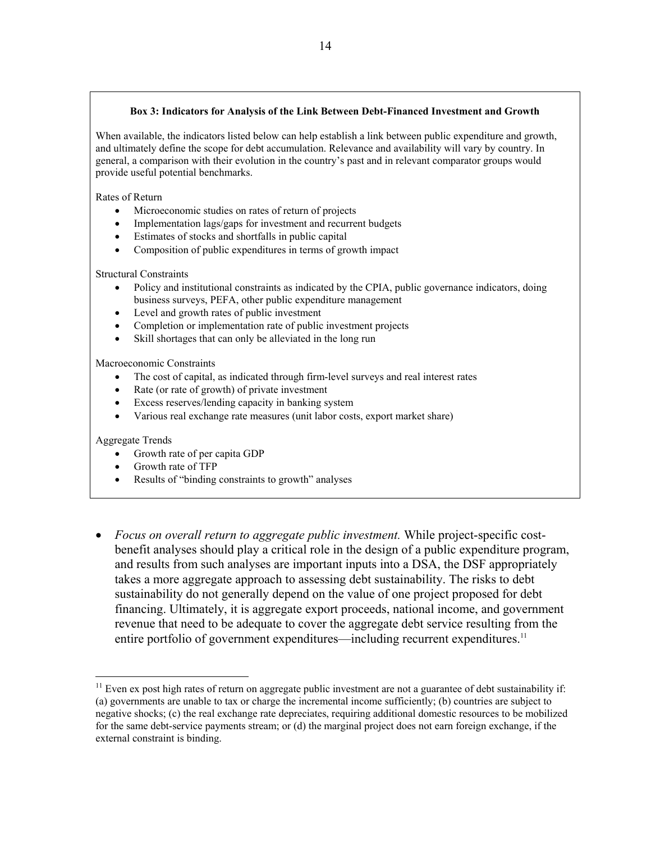#### **Box 3: Indicators for Analysis of the Link Between Debt-Financed Investment and Growth**

When available, the indicators listed below can help establish a link between public expenditure and growth, and ultimately define the scope for debt accumulation. Relevance and availability will vary by country. In general, a comparison with their evolution in the country's past and in relevant comparator groups would provide useful potential benchmarks.

Rates of Return

- Microeconomic studies on rates of return of projects
- Implementation lags/gaps for investment and recurrent budgets
- Estimates of stocks and shortfalls in public capital
- Composition of public expenditures in terms of growth impact

Structural Constraints

- Policy and institutional constraints as indicated by the CPIA, public governance indicators, doing business surveys, PEFA, other public expenditure management
- Level and growth rates of public investment
- Completion or implementation rate of public investment projects
- Skill shortages that can only be alleviated in the long run

Macroeconomic Constraints

- The cost of capital, as indicated through firm-level surveys and real interest rates
- Rate (or rate of growth) of private investment
- Excess reserves/lending capacity in banking system
- Various real exchange rate measures (unit labor costs, export market share)

Aggregate Trends

- Growth rate of per capita GDP
- Growth rate of TFP
- Results of "binding constraints to growth" analyses
- *Focus on overall return to aggregate public investment.* While project-specific costbenefit analyses should play a critical role in the design of a public expenditure program, and results from such analyses are important inputs into a DSA, the DSF appropriately takes a more aggregate approach to assessing debt sustainability. The risks to debt sustainability do not generally depend on the value of one project proposed for debt financing. Ultimately, it is aggregate export proceeds, national income, and government revenue that need to be adequate to cover the aggregate debt service resulting from the entire portfolio of government expenditures—including recurrent expenditures.<sup>11</sup>

<sup>&</sup>lt;sup>11</sup> Even ex post high rates of return on aggregate public investment are not a guarantee of debt sustainability if: (a) governments are unable to tax or charge the incremental income sufficiently; (b) countries are subject to negative shocks; (c) the real exchange rate depreciates, requiring additional domestic resources to be mobilized for the same debt-service payments stream; or (d) the marginal project does not earn foreign exchange, if the external constraint is binding.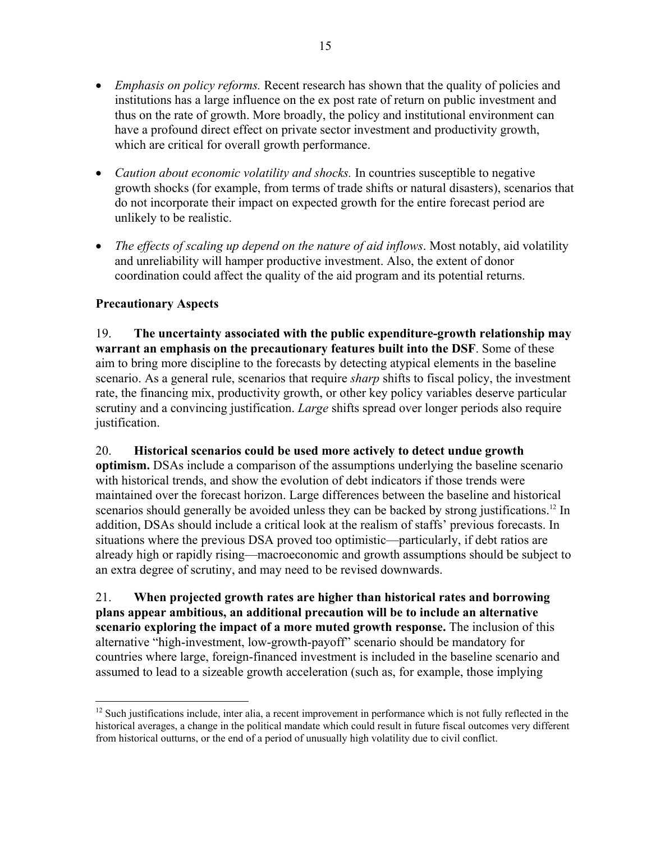- *Emphasis on policy reforms.* Recent research has shown that the quality of policies and institutions has a large influence on the ex post rate of return on public investment and thus on the rate of growth. More broadly, the policy and institutional environment can have a profound direct effect on private sector investment and productivity growth, which are critical for overall growth performance.
- *Caution about economic volatility and shocks*. In countries susceptible to negative growth shocks (for example, from terms of trade shifts or natural disasters), scenarios that do not incorporate their impact on expected growth for the entire forecast period are unlikely to be realistic.
- *The effects of scaling up depend on the nature of aid inflows.* Most notably, aid volatility and unreliability will hamper productive investment. Also, the extent of donor coordination could affect the quality of the aid program and its potential returns.

# **Precautionary Aspects**

19. **The uncertainty associated with the public expenditure-growth relationship may warrant an emphasis on the precautionary features built into the DSF**. Some of these aim to bring more discipline to the forecasts by detecting atypical elements in the baseline scenario. As a general rule, scenarios that require *sharp* shifts to fiscal policy, the investment rate, the financing mix, productivity growth, or other key policy variables deserve particular scrutiny and a convincing justification. *Large* shifts spread over longer periods also require justification.

20. **Historical scenarios could be used more actively to detect undue growth optimism.** DSAs include a comparison of the assumptions underlying the baseline scenario with historical trends, and show the evolution of debt indicators if those trends were maintained over the forecast horizon. Large differences between the baseline and historical scenarios should generally be avoided unless they can be backed by strong justifications.<sup>12</sup> In addition, DSAs should include a critical look at the realism of staffs' previous forecasts. In situations where the previous DSA proved too optimistic—particularly, if debt ratios are already high or rapidly rising—macroeconomic and growth assumptions should be subject to

21. **When projected growth rates are higher than historical rates and borrowing plans appear ambitious, an additional precaution will be to include an alternative scenario exploring the impact of a more muted growth response.** The inclusion of this alternative "high-investment, low-growth-payoff" scenario should be mandatory for countries where large, foreign-financed investment is included in the baseline scenario and assumed to lead to a sizeable growth acceleration (such as, for example, those implying

an extra degree of scrutiny, and may need to be revised downwards.

<sup>&</sup>lt;u>.</u> <sup>12</sup> Such iustifications include, inter alia, a recent improvement in performance which is not fully reflected in the historical averages, a change in the political mandate which could result in future fiscal outcomes very different from historical outturns, or the end of a period of unusually high volatility due to civil conflict.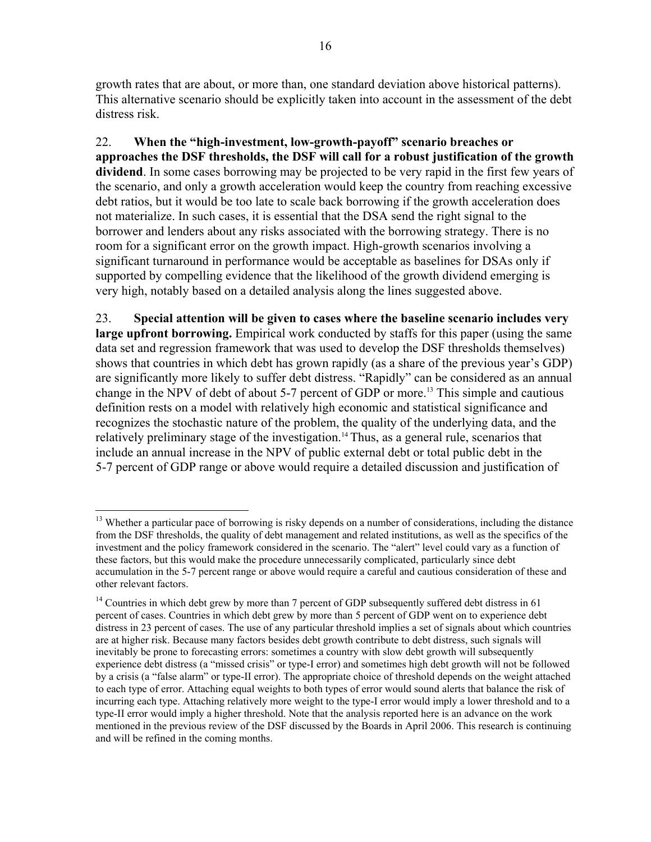growth rates that are about, or more than, one standard deviation above historical patterns). This alternative scenario should be explicitly taken into account in the assessment of the debt distress risk.

22. **When the "high-investment, low-growth-payoff" scenario breaches or approaches the DSF thresholds, the DSF will call for a robust justification of the growth dividend**. In some cases borrowing may be projected to be very rapid in the first few years of the scenario, and only a growth acceleration would keep the country from reaching excessive debt ratios, but it would be too late to scale back borrowing if the growth acceleration does not materialize. In such cases, it is essential that the DSA send the right signal to the borrower and lenders about any risks associated with the borrowing strategy. There is no room for a significant error on the growth impact. High-growth scenarios involving a significant turnaround in performance would be acceptable as baselines for DSAs only if supported by compelling evidence that the likelihood of the growth dividend emerging is very high, notably based on a detailed analysis along the lines suggested above.

23. **Special attention will be given to cases where the baseline scenario includes very large upfront borrowing.** Empirical work conducted by staffs for this paper (using the same data set and regression framework that was used to develop the DSF thresholds themselves) shows that countries in which debt has grown rapidly (as a share of the previous year's GDP) are significantly more likely to suffer debt distress. "Rapidly" can be considered as an annual change in the NPV of debt of about 5-7 percent of GDP or more.<sup>13</sup> This simple and cautious definition rests on a model with relatively high economic and statistical significance and recognizes the stochastic nature of the problem, the quality of the underlying data, and the relatively preliminary stage of the investigation.<sup>14</sup> Thus, as a general rule, scenarios that include an annual increase in the NPV of public external debt or total public debt in the 5-7 percent of GDP range or above would require a detailed discussion and justification of

<sup>&</sup>lt;sup>13</sup> Whether a particular pace of borrowing is risky depends on a number of considerations, including the distance from the DSF thresholds, the quality of debt management and related institutions, as well as the specifics of the investment and the policy framework considered in the scenario. The "alert" level could vary as a function of these factors, but this would make the procedure unnecessarily complicated, particularly since debt accumulation in the 5-7 percent range or above would require a careful and cautious consideration of these and other relevant factors.

<sup>&</sup>lt;sup>14</sup> Countries in which debt grew by more than 7 percent of GDP subsequently suffered debt distress in 61 percent of cases. Countries in which debt grew by more than 5 percent of GDP went on to experience debt distress in 23 percent of cases. The use of any particular threshold implies a set of signals about which countries are at higher risk. Because many factors besides debt growth contribute to debt distress, such signals will inevitably be prone to forecasting errors: sometimes a country with slow debt growth will subsequently experience debt distress (a "missed crisis" or type-I error) and sometimes high debt growth will not be followed by a crisis (a "false alarm" or type-II error). The appropriate choice of threshold depends on the weight attached to each type of error. Attaching equal weights to both types of error would sound alerts that balance the risk of incurring each type. Attaching relatively more weight to the type-I error would imply a lower threshold and to a type-II error would imply a higher threshold. Note that the analysis reported here is an advance on the work mentioned in the previous review of the DSF discussed by the Boards in April 2006. This research is continuing and will be refined in the coming months.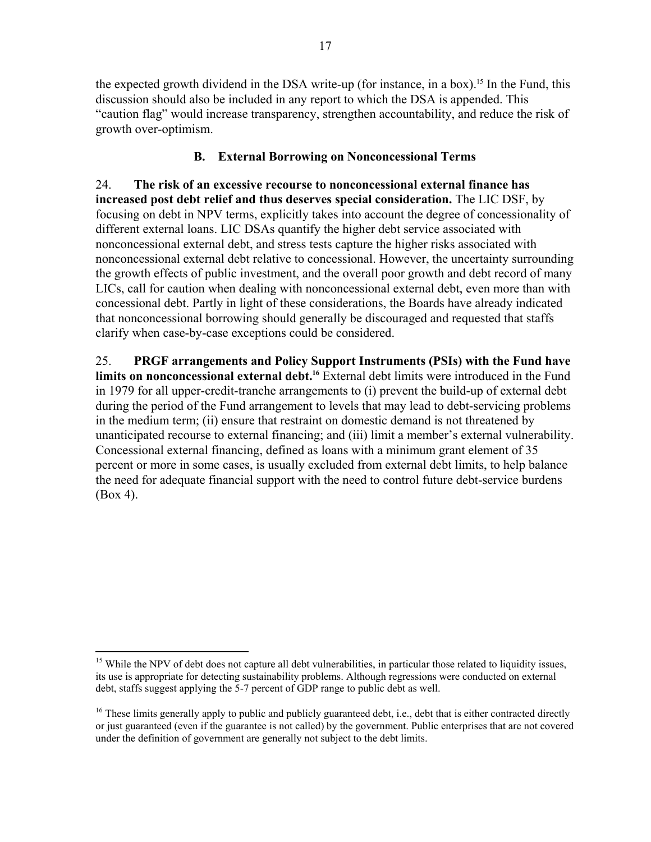the expected growth dividend in the DSA write-up (for instance, in a box).<sup>15</sup> In the Fund, this discussion should also be included in any report to which the DSA is appended. This "caution flag" would increase transparency, strengthen accountability, and reduce the risk of growth over-optimism.

# **B. External Borrowing on Nonconcessional Terms**

24. **The risk of an excessive recourse to nonconcessional external finance has increased post debt relief and thus deserves special consideration.** The LIC DSF, by focusing on debt in NPV terms, explicitly takes into account the degree of concessionality of different external loans. LIC DSAs quantify the higher debt service associated with nonconcessional external debt, and stress tests capture the higher risks associated with nonconcessional external debt relative to concessional. However, the uncertainty surrounding the growth effects of public investment, and the overall poor growth and debt record of many LICs, call for caution when dealing with nonconcessional external debt, even more than with concessional debt. Partly in light of these considerations, the Boards have already indicated that nonconcessional borrowing should generally be discouraged and requested that staffs clarify when case-by-case exceptions could be considered.

25. **PRGF arrangements and Policy Support Instruments (PSIs) with the Fund have**  limits on nonconcessional external debt.<sup>16</sup> External debt limits were introduced in the Fund in 1979 for all upper-credit-tranche arrangements to (i) prevent the build-up of external debt during the period of the Fund arrangement to levels that may lead to debt-servicing problems in the medium term; (ii) ensure that restraint on domestic demand is not threatened by unanticipated recourse to external financing; and (iii) limit a member's external vulnerability. Concessional external financing, defined as loans with a minimum grant element of 35 percent or more in some cases, is usually excluded from external debt limits, to help balance the need for adequate financial support with the need to control future debt-service burdens (Box 4).

 $15$  While the NPV of debt does not capture all debt vulnerabilities, in particular those related to liquidity issues, its use is appropriate for detecting sustainability problems. Although regressions were conducted on external debt, staffs suggest applying the 5-7 percent of GDP range to public debt as well.

 $16$  These limits generally apply to public and publicly guaranteed debt, i.e., debt that is either contracted directly or just guaranteed (even if the guarantee is not called) by the government. Public enterprises that are not covered under the definition of government are generally not subject to the debt limits.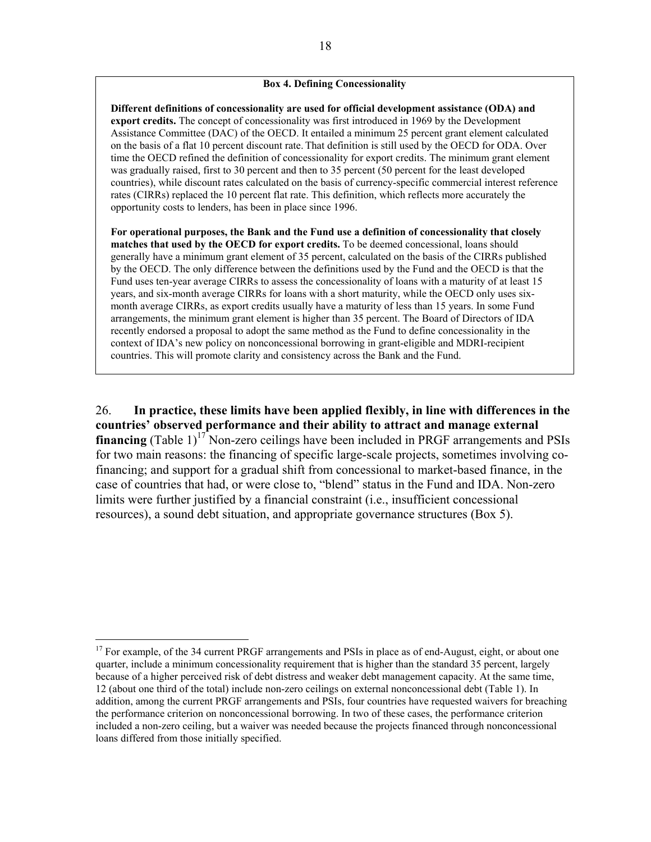#### **Box 4. Defining Concessionality**

**Different definitions of concessionality are used for official development assistance (ODA) and export credits.** The concept of concessionality was first introduced in 1969 by the Development Assistance Committee (DAC) of the OECD. It entailed a minimum 25 percent grant element calculated on the basis of a flat 10 percent discount rate. That definition is still used by the OECD for ODA. Over time the OECD refined the definition of concessionality for export credits. The minimum grant element was gradually raised, first to 30 percent and then to 35 percent (50 percent for the least developed countries), while discount rates calculated on the basis of currency-specific commercial interest reference rates (CIRRs) replaced the 10 percent flat rate. This definition, which reflects more accurately the opportunity costs to lenders, has been in place since 1996.

**For operational purposes, the Bank and the Fund use a definition of concessionality that closely matches that used by the OECD for export credits.** To be deemed concessional, loans should generally have a minimum grant element of 35 percent, calculated on the basis of the CIRRs published by the OECD. The only difference between the definitions used by the Fund and the OECD is that the Fund uses ten-year average CIRRs to assess the concessionality of loans with a maturity of at least 15 years, and six-month average CIRRs for loans with a short maturity, while the OECD only uses sixmonth average CIRRs, as export credits usually have a maturity of less than 15 years. In some Fund arrangements, the minimum grant element is higher than 35 percent. The Board of Directors of IDA recently endorsed a proposal to adopt the same method as the Fund to define concessionality in the context of IDA's new policy on nonconcessional borrowing in grant-eligible and MDRI-recipient countries. This will promote clarity and consistency across the Bank and the Fund.

26. **In practice, these limits have been applied flexibly, in line with differences in the countries' observed performance and their ability to attract and manage external financing** (Table  $1$ )<sup>17</sup> Non-zero ceilings have been included in PRGF arrangements and PSIs for two main reasons: the financing of specific large-scale projects, sometimes involving cofinancing; and support for a gradual shift from concessional to market-based finance, in the case of countries that had, or were close to, "blend" status in the Fund and IDA. Non-zero limits were further justified by a financial constraint (i.e., insufficient concessional resources), a sound debt situation, and appropriate governance structures (Box 5).

1

<sup>&</sup>lt;sup>17</sup> For example, of the 34 current PRGF arrangements and PSIs in place as of end-August, eight, or about one quarter, include a minimum concessionality requirement that is higher than the standard 35 percent, largely because of a higher perceived risk of debt distress and weaker debt management capacity. At the same time, 12 (about one third of the total) include non-zero ceilings on external nonconcessional debt (Table 1). In addition, among the current PRGF arrangements and PSIs, four countries have requested waivers for breaching the performance criterion on nonconcessional borrowing. In two of these cases, the performance criterion included a non-zero ceiling, but a waiver was needed because the projects financed through nonconcessional loans differed from those initially specified.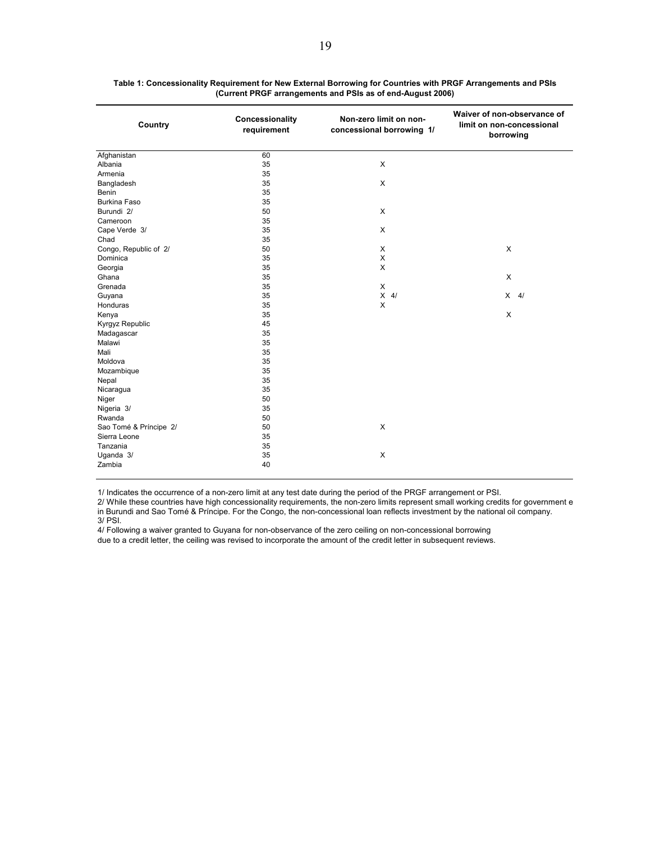| Country                | Concessionality<br>requirement | Non-zero limit on non-<br>concessional borrowing 1/ | Waiver of non-observance of<br>limit on non-concessional<br>borrowing |
|------------------------|--------------------------------|-----------------------------------------------------|-----------------------------------------------------------------------|
| Afghanistan            | 60                             |                                                     |                                                                       |
| Albania                | 35                             | X                                                   |                                                                       |
| Armenia                | 35                             |                                                     |                                                                       |
| Bangladesh             | 35                             | X                                                   |                                                                       |
| Benin                  | 35                             |                                                     |                                                                       |
| <b>Burkina Faso</b>    | 35                             |                                                     |                                                                       |
| Burundi 2/             | 50                             | X                                                   |                                                                       |
| Cameroon               | 35                             |                                                     |                                                                       |
| Cape Verde 3/          | 35                             | X                                                   |                                                                       |
| Chad                   | 35                             |                                                     |                                                                       |
| Congo, Republic of 2/  | 50                             | X                                                   | X                                                                     |
| Dominica               | 35                             | X                                                   |                                                                       |
| Georgia                | 35                             | X                                                   |                                                                       |
| Ghana                  | 35                             |                                                     | X                                                                     |
| Grenada                | 35                             | X                                                   |                                                                       |
| Guyana                 | 35                             | $X$ 4/                                              | $X$ 4/                                                                |
| Honduras               | 35                             | X                                                   |                                                                       |
| Kenya                  | 35                             |                                                     | X                                                                     |
| Kyrgyz Republic        | 45                             |                                                     |                                                                       |
| Madagascar             | 35                             |                                                     |                                                                       |
| Malawi                 | 35                             |                                                     |                                                                       |
| Mali                   | 35                             |                                                     |                                                                       |
| Moldova                | 35                             |                                                     |                                                                       |
| Mozambique             | 35                             |                                                     |                                                                       |
| Nepal                  | 35                             |                                                     |                                                                       |
| Nicaragua              | 35                             |                                                     |                                                                       |
| Niger                  | 50                             |                                                     |                                                                       |
| Nigeria 3/             | 35                             |                                                     |                                                                       |
| Rwanda                 | 50                             |                                                     |                                                                       |
| Sao Tomé & Príncipe 2/ | 50                             | X                                                   |                                                                       |
| Sierra Leone           | 35                             |                                                     |                                                                       |
| Tanzania               | 35                             |                                                     |                                                                       |
| Uganda 3/              | 35                             | X                                                   |                                                                       |
| Zambia                 | 40                             |                                                     |                                                                       |

**Table 1: Concessionality Requirement for New External Borrowing for Countries with PRGF Arrangements and PSIs (Current PRGF arrangements and PSIs as of end-August 2006)**

1/ Indicates the occurrence of a non-zero limit at any test date during the period of the PRGF arrangement or PSI.

2/ While these countries have high concessionality requirements, the non-zero limits represent small working credits for government e in Burundi and Sao Tomé & Príncipe. For the Congo, the non-concessional loan reflects investment by the national oil company. 3/ PSI.

4/ Following a waiver granted to Guyana for non-observance of the zero ceiling on non-concessional borrowing due to a credit letter, the ceiling was revised to incorporate the amount of the credit letter in subsequent reviews.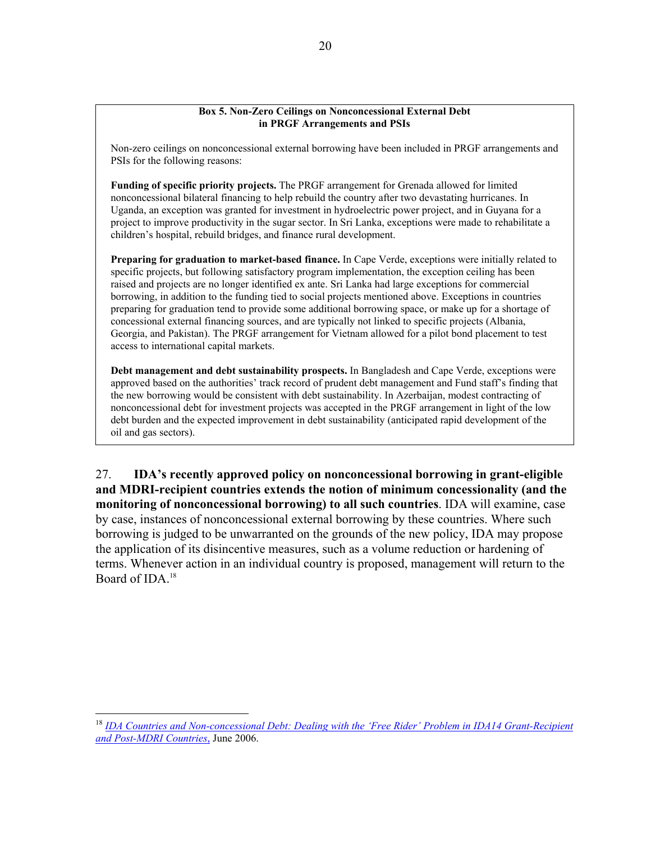#### **Box 5. Non-Zero Ceilings on Nonconcessional External Debt in PRGF Arrangements and PSIs**

Non-zero ceilings on nonconcessional external borrowing have been included in PRGF arrangements and PSIs for the following reasons:

**Funding of specific priority projects.** The PRGF arrangement for Grenada allowed for limited nonconcessional bilateral financing to help rebuild the country after two devastating hurricanes. In Uganda, an exception was granted for investment in hydroelectric power project, and in Guyana for a project to improve productivity in the sugar sector. In Sri Lanka, exceptions were made to rehabilitate a children's hospital, rebuild bridges, and finance rural development.

**Preparing for graduation to market-based finance.** In Cape Verde, exceptions were initially related to specific projects, but following satisfactory program implementation, the exception ceiling has been raised and projects are no longer identified ex ante. Sri Lanka had large exceptions for commercial borrowing, in addition to the funding tied to social projects mentioned above. Exceptions in countries preparing for graduation tend to provide some additional borrowing space, or make up for a shortage of concessional external financing sources, and are typically not linked to specific projects (Albania, Georgia, and Pakistan). The PRGF arrangement for Vietnam allowed for a pilot bond placement to test access to international capital markets.

**Debt management and debt sustainability prospects.** In Bangladesh and Cape Verde, exceptions were approved based on the authorities' track record of prudent debt management and Fund staff's finding that the new borrowing would be consistent with debt sustainability. In Azerbaijan, modest contracting of nonconcessional debt for investment projects was accepted in the PRGF arrangement in light of the low debt burden and the expected improvement in debt sustainability (anticipated rapid development of the oil and gas sectors).

27. **IDA's recently approved policy on nonconcessional borrowing in grant-eligible and MDRI-recipient countries extends the notion of minimum concessionality (and the monitoring of nonconcessional borrowing) to all such countries**. IDA will examine, case by case, instances of nonconcessional external borrowing by these countries. Where such borrowing is judged to be unwarranted on the grounds of the new policy, IDA may propose the application of its disincentive measures, such as a volume reduction or hardening of terms. Whenever action in an individual country is proposed, management will return to the Board of IDA  $18$ 

<sup>18</sup> *IDA Countries and Non-concessional Debt: Dealing with the 'Free Rider' Problem in IDA14 Grant-Recipient and Post-MDRI Countries*, June 2006.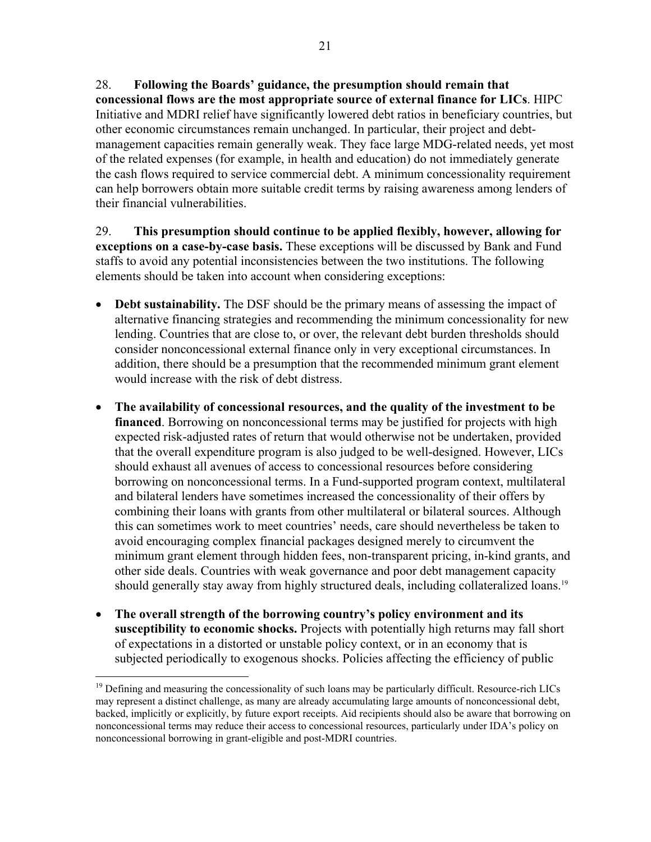28. **Following the Boards' guidance, the presumption should remain that concessional flows are the most appropriate source of external finance for LICs**. HIPC Initiative and MDRI relief have significantly lowered debt ratios in beneficiary countries, but other economic circumstances remain unchanged. In particular, their project and debtmanagement capacities remain generally weak. They face large MDG-related needs, yet most of the related expenses (for example, in health and education) do not immediately generate the cash flows required to service commercial debt. A minimum concessionality requirement can help borrowers obtain more suitable credit terms by raising awareness among lenders of their financial vulnerabilities.

29. **This presumption should continue to be applied flexibly, however, allowing for exceptions on a case-by-case basis.** These exceptions will be discussed by Bank and Fund staffs to avoid any potential inconsistencies between the two institutions. The following elements should be taken into account when considering exceptions:

- **Debt sustainability.** The DSF should be the primary means of assessing the impact of alternative financing strategies and recommending the minimum concessionality for new lending. Countries that are close to, or over, the relevant debt burden thresholds should consider nonconcessional external finance only in very exceptional circumstances. In addition, there should be a presumption that the recommended minimum grant element would increase with the risk of debt distress.
- **The availability of concessional resources, and the quality of the investment to be financed**. Borrowing on nonconcessional terms may be justified for projects with high expected risk-adjusted rates of return that would otherwise not be undertaken, provided that the overall expenditure program is also judged to be well-designed. However, LICs should exhaust all avenues of access to concessional resources before considering borrowing on nonconcessional terms. In a Fund-supported program context, multilateral and bilateral lenders have sometimes increased the concessionality of their offers by combining their loans with grants from other multilateral or bilateral sources. Although this can sometimes work to meet countries' needs, care should nevertheless be taken to avoid encouraging complex financial packages designed merely to circumvent the minimum grant element through hidden fees, non-transparent pricing, in-kind grants, and other side deals. Countries with weak governance and poor debt management capacity should generally stay away from highly structured deals, including collateralized loans.<sup>19</sup>
- **The overall strength of the borrowing country's policy environment and its susceptibility to economic shocks.** Projects with potentially high returns may fall short of expectations in a distorted or unstable policy context, or in an economy that is subjected periodically to exogenous shocks. Policies affecting the efficiency of public

1

 $<sup>19</sup>$  Defining and measuring the concessionality of such loans may be particularly difficult. Resource-rich LICs</sup> may represent a distinct challenge, as many are already accumulating large amounts of nonconcessional debt, backed, implicitly or explicitly, by future export receipts. Aid recipients should also be aware that borrowing on nonconcessional terms may reduce their access to concessional resources, particularly under IDA's policy on nonconcessional borrowing in grant-eligible and post-MDRI countries.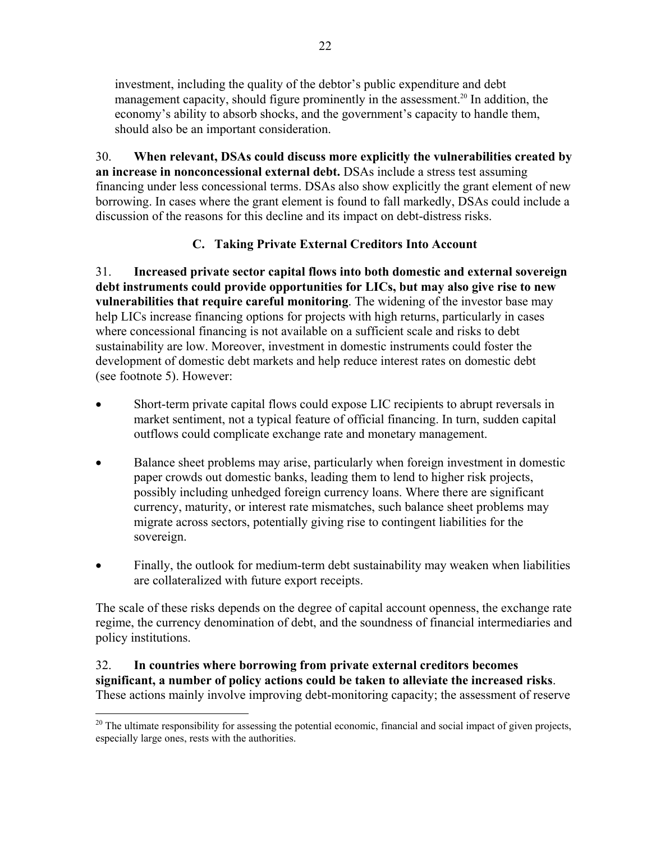investment, including the quality of the debtor's public expenditure and debt management capacity, should figure prominently in the assessment.<sup>20</sup> In addition, the economy's ability to absorb shocks, and the government's capacity to handle them, should also be an important consideration.

30. **When relevant, DSAs could discuss more explicitly the vulnerabilities created by an increase in nonconcessional external debt.** DSAs include a stress test assuming financing under less concessional terms. DSAs also show explicitly the grant element of new borrowing. In cases where the grant element is found to fall markedly, DSAs could include a discussion of the reasons for this decline and its impact on debt-distress risks.

# **C. Taking Private External Creditors Into Account**

31. **Increased private sector capital flows into both domestic and external sovereign debt instruments could provide opportunities for LICs, but may also give rise to new vulnerabilities that require careful monitoring**. The widening of the investor base may help LICs increase financing options for projects with high returns, particularly in cases where concessional financing is not available on a sufficient scale and risks to debt sustainability are low. Moreover, investment in domestic instruments could foster the development of domestic debt markets and help reduce interest rates on domestic debt (see footnote 5). However:

- Short-term private capital flows could expose LIC recipients to abrupt reversals in market sentiment, not a typical feature of official financing. In turn, sudden capital outflows could complicate exchange rate and monetary management.
- Balance sheet problems may arise, particularly when foreign investment in domestic paper crowds out domestic banks, leading them to lend to higher risk projects, possibly including unhedged foreign currency loans. Where there are significant currency, maturity, or interest rate mismatches, such balance sheet problems may migrate across sectors, potentially giving rise to contingent liabilities for the sovereign.
- Finally, the outlook for medium-term debt sustainability may weaken when liabilities are collateralized with future export receipts.

The scale of these risks depends on the degree of capital account openness, the exchange rate regime, the currency denomination of debt, and the soundness of financial intermediaries and policy institutions.

### 32. **In countries where borrowing from private external creditors becomes significant, a number of policy actions could be taken to alleviate the increased risks**. These actions mainly involve improving debt-monitoring capacity; the assessment of reserve

 $\overline{a}$  $20$  The ultimate responsibility for assessing the potential economic, financial and social impact of given projects, especially large ones, rests with the authorities.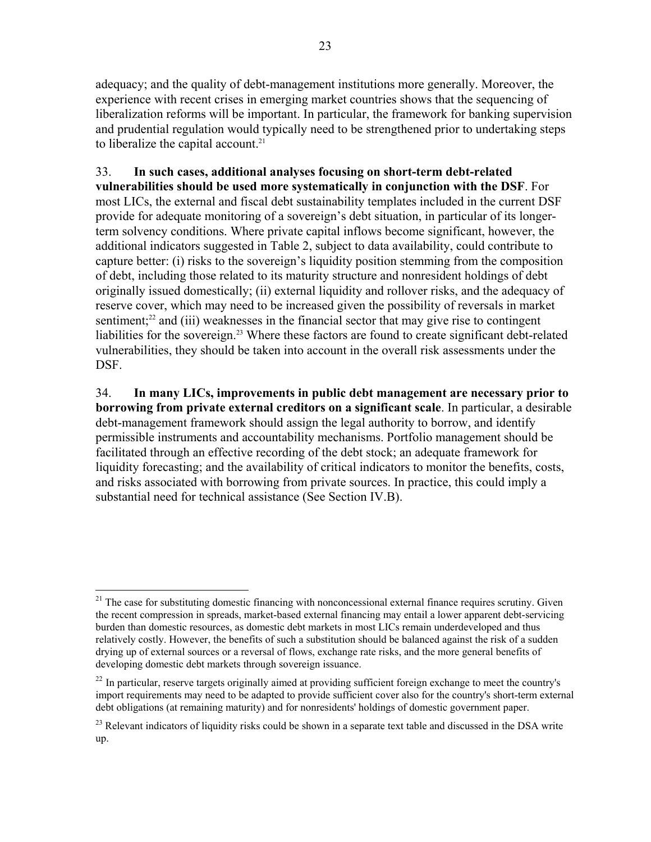adequacy; and the quality of debt-management institutions more generally. Moreover, the experience with recent crises in emerging market countries shows that the sequencing of liberalization reforms will be important. In particular, the framework for banking supervision and prudential regulation would typically need to be strengthened prior to undertaking steps to liberalize the capital account. $21$ 

33. **In such cases, additional analyses focusing on short-term debt-related vulnerabilities should be used more systematically in conjunction with the DSF**. For most LICs, the external and fiscal debt sustainability templates included in the current DSF provide for adequate monitoring of a sovereign's debt situation, in particular of its longerterm solvency conditions. Where private capital inflows become significant, however, the additional indicators suggested in Table 2, subject to data availability, could contribute to capture better: (i) risks to the sovereign's liquidity position stemming from the composition of debt, including those related to its maturity structure and nonresident holdings of debt originally issued domestically; (ii) external liquidity and rollover risks, and the adequacy of reserve cover, which may need to be increased given the possibility of reversals in market sentiment; $^{22}$  and (iii) weaknesses in the financial sector that may give rise to contingent liabilities for the sovereign.<sup>23</sup> Where these factors are found to create significant debt-related vulnerabilities, they should be taken into account in the overall risk assessments under the DSF.

34. **In many LICs, improvements in public debt management are necessary prior to borrowing from private external creditors on a significant scale**. In particular, a desirable debt-management framework should assign the legal authority to borrow, and identify permissible instruments and accountability mechanisms. Portfolio management should be facilitated through an effective recording of the debt stock; an adequate framework for liquidity forecasting; and the availability of critical indicators to monitor the benefits, costs, and risks associated with borrowing from private sources. In practice, this could imply a substantial need for technical assistance (See Section IV.B).

 $\overline{a}$  $21$  The case for substituting domestic financing with nonconcessional external finance requires scrutiny. Given the recent compression in spreads, market-based external financing may entail a lower apparent debt-servicing burden than domestic resources, as domestic debt markets in most LICs remain underdeveloped and thus relatively costly. However, the benefits of such a substitution should be balanced against the risk of a sudden drying up of external sources or a reversal of flows, exchange rate risks, and the more general benefits of developing domestic debt markets through sovereign issuance.

<sup>&</sup>lt;sup>22</sup> In particular, reserve targets originally aimed at providing sufficient foreign exchange to meet the country's import requirements may need to be adapted to provide sufficient cover also for the country's short-term external debt obligations (at remaining maturity) and for nonresidents' holdings of domestic government paper.

 $^{23}$  Relevant indicators of liquidity risks could be shown in a separate text table and discussed in the DSA write up.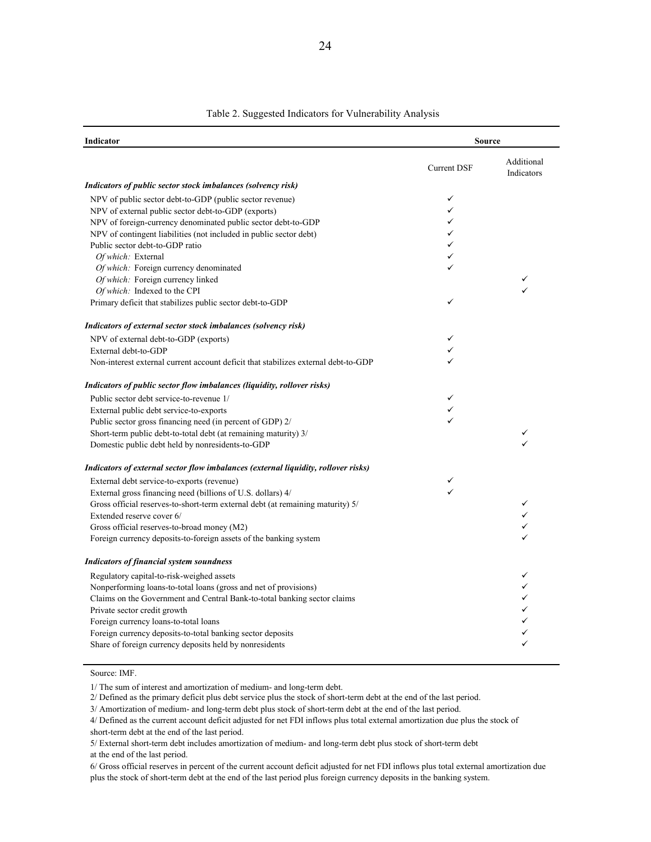| Indicator                                                                                           |                    | <b>Source</b>            |
|-----------------------------------------------------------------------------------------------------|--------------------|--------------------------|
|                                                                                                     | <b>Current DSF</b> | Additional<br>Indicators |
| Indicators of public sector stock imbalances (solvency risk)                                        |                    |                          |
| NPV of public sector debt-to-GDP (public sector revenue)                                            | ✓                  |                          |
| NPV of external public sector debt-to-GDP (exports)                                                 | ✓                  |                          |
| NPV of foreign-currency denominated public sector debt-to-GDP                                       |                    |                          |
| NPV of contingent liabilities (not included in public sector debt)                                  |                    |                          |
| Public sector debt-to-GDP ratio                                                                     |                    |                          |
| Of which: External                                                                                  |                    |                          |
| Of which. Foreign currency denominated                                                              |                    |                          |
| Of which: Foreign currency linked                                                                   |                    | ✓                        |
| Of which: Indexed to the CPI<br>Primary deficit that stabilizes public sector debt-to-GDP           |                    |                          |
| Indicators of external sector stock imbalances (solvency risk)                                      |                    |                          |
| NPV of external debt-to-GDP (exports)                                                               |                    |                          |
| External debt-to-GDP                                                                                |                    |                          |
| Non-interest external current account deficit that stabilizes external debt-to-GDP                  |                    |                          |
| Indicators of public sector flow imbalances (liquidity, rollover risks)                             |                    |                          |
| Public sector debt service-to-revenue 1/                                                            |                    |                          |
| External public debt service-to-exports                                                             |                    |                          |
| Public sector gross financing need (in percent of GDP) 2/                                           |                    |                          |
| Short-term public debt-to-total debt (at remaining maturity) 3/                                     |                    |                          |
| Domestic public debt held by nonresidents-to-GDP                                                    |                    |                          |
| Indicators of external sector flow imbalances (external liquidity, rollover risks)                  |                    |                          |
| External debt service-to-exports (revenue)                                                          |                    |                          |
| External gross financing need (billions of U.S. dollars) 4/                                         |                    |                          |
| Gross official reserves-to-short-term external debt (at remaining maturity) 5/                      |                    | ✓                        |
| Extended reserve cover 6/                                                                           |                    |                          |
| Gross official reserves-to-broad money (M2)                                                         |                    |                          |
| Foreign currency deposits-to-foreign assets of the banking system                                   |                    |                          |
| <b>Indicators of financial system soundness</b>                                                     |                    |                          |
| Regulatory capital-to-risk-weighed assets                                                           |                    | ✓                        |
| Nonperforming loans-to-total loans (gross and net of provisions)                                    |                    |                          |
| Claims on the Government and Central Bank-to-total banking sector claims                            |                    | ✓                        |
| Private sector credit growth                                                                        |                    |                          |
| Foreign currency loans-to-total loans<br>Foreign currency deposits-to-total banking sector deposits |                    | ✓                        |
| Share of foreign currency deposits held by nonresidents                                             |                    |                          |
|                                                                                                     |                    |                          |

#### Table 2. Suggested Indicators for Vulnerability Analysis

#### Source: IMF.

1/ The sum of interest and amortization of medium- and long-term debt.

2/ Defined as the primary deficit plus debt service plus the stock of short-term debt at the end of the last period.

3/ Amortization of medium- and long-term debt plus stock of short-term debt at the end of the last period.

4/ Defined as the current account deficit adjusted for net FDI inflows plus total external amortization due plus the stock of short-term debt at the end of the last period.

5/ External short-term debt includes amortization of medium- and long-term debt plus stock of short-term debt at the end of the last period.

6/ Gross official reserves in percent of the current account deficit adjusted for net FDI inflows plus total external amortization due plus the stock of short-term debt at the end of the last period plus foreign currency deposits in the banking system.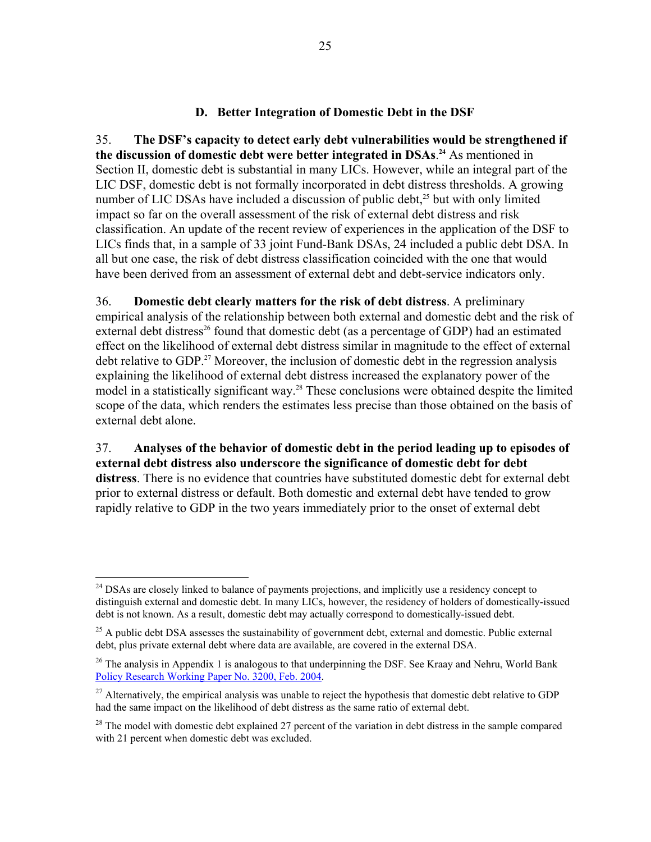### **D. Better Integration of Domestic Debt in the DSF**

35. **The DSF's capacity to detect early debt vulnerabilities would be strengthened if the discussion of domestic debt were better integrated in DSAs**. **<sup>24</sup>** As mentioned in Section II, domestic debt is substantial in many LICs. However, while an integral part of the LIC DSF, domestic debt is not formally incorporated in debt distress thresholds. A growing number of LIC DSAs have included a discussion of public debt,<sup>25</sup> but with only limited impact so far on the overall assessment of the risk of external debt distress and risk classification. An update of the recent review of experiences in the application of the DSF to LICs finds that, in a sample of 33 joint Fund-Bank DSAs, 24 included a public debt DSA. In all but one case, the risk of debt distress classification coincided with the one that would have been derived from an assessment of external debt and debt-service indicators only.

36. **Domestic debt clearly matters for the risk of debt distress**. A preliminary empirical analysis of the relationship between both external and domestic debt and the risk of external debt distress<sup>26</sup> found that domestic debt (as a percentage of GDP) had an estimated effect on the likelihood of external debt distress similar in magnitude to the effect of external debt relative to GDP.<sup>27</sup> Moreover, the inclusion of domestic debt in the regression analysis explaining the likelihood of external debt distress increased the explanatory power of the model in a statistically significant way.<sup>28</sup> These conclusions were obtained despite the limited scope of the data, which renders the estimates less precise than those obtained on the basis of external debt alone.

37. **Analyses of the behavior of domestic debt in the period leading up to episodes of external debt distress also underscore the significance of domestic debt for debt distress**. There is no evidence that countries have substituted domestic debt for external debt prior to external distress or default. Both domestic and external debt have tended to grow rapidly relative to GDP in the two years immediately prior to the onset of external debt

<sup>&</sup>lt;sup>24</sup> DSAs are closely linked to balance of payments projections, and implicitly use a residency concept to distinguish external and domestic debt. In many LICs, however, the residency of holders of domestically-issued debt is not known. As a result, domestic debt may actually correspond to domestically-issued debt.

<sup>&</sup>lt;sup>25</sup> A public debt DSA assesses the sustainability of government debt, external and domestic. Public external debt, plus private external debt where data are available, are covered in the external DSA.

 $26$  The analysis in Appendix 1 is analogous to that underpinning the DSF. See Kraay and Nehru, World Bank Policy Research Working Paper No. 3200, Feb. 2004.

<sup>&</sup>lt;sup>27</sup> Alternatively, the empirical analysis was unable to reject the hypothesis that domestic debt relative to GDP had the same impact on the likelihood of debt distress as the same ratio of external debt.

 $^{28}$  The model with domestic debt explained 27 percent of the variation in debt distress in the sample compared with 21 percent when domestic debt was excluded.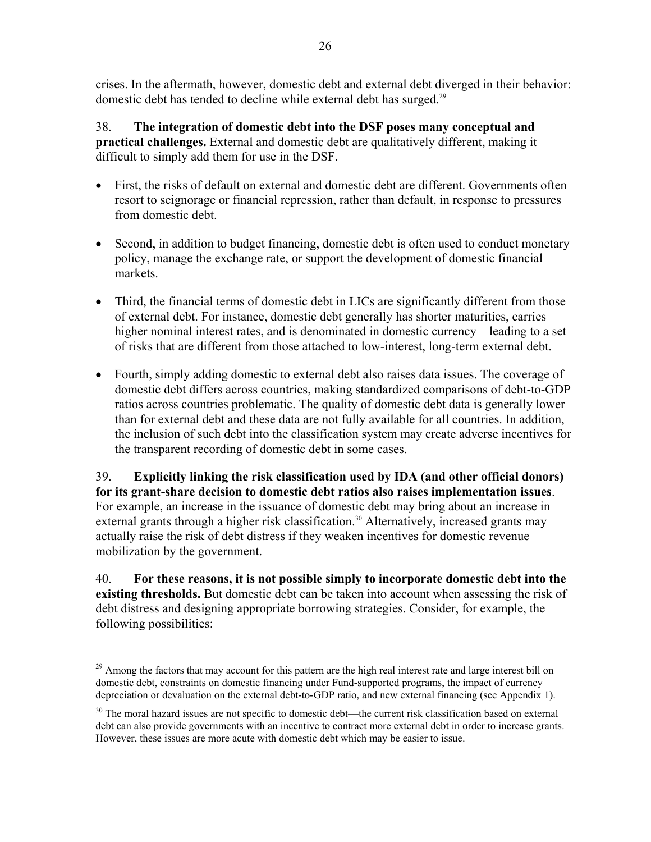crises. In the aftermath, however, domestic debt and external debt diverged in their behavior: domestic debt has tended to decline while external debt has surged.<sup>29</sup>

38. **The integration of domestic debt into the DSF poses many conceptual and practical challenges.** External and domestic debt are qualitatively different, making it difficult to simply add them for use in the DSF.

- First, the risks of default on external and domestic debt are different. Governments often resort to seignorage or financial repression, rather than default, in response to pressures from domestic debt.
- Second, in addition to budget financing, domestic debt is often used to conduct monetary policy, manage the exchange rate, or support the development of domestic financial markets.
- Third, the financial terms of domestic debt in LICs are significantly different from those of external debt. For instance, domestic debt generally has shorter maturities, carries higher nominal interest rates, and is denominated in domestic currency—leading to a set of risks that are different from those attached to low-interest, long-term external debt.
- Fourth, simply adding domestic to external debt also raises data issues. The coverage of domestic debt differs across countries, making standardized comparisons of debt-to-GDP ratios across countries problematic. The quality of domestic debt data is generally lower than for external debt and these data are not fully available for all countries. In addition, the inclusion of such debt into the classification system may create adverse incentives for the transparent recording of domestic debt in some cases.

39. **Explicitly linking the risk classification used by IDA (and other official donors) for its grant-share decision to domestic debt ratios also raises implementation issues**. For example, an increase in the issuance of domestic debt may bring about an increase in external grants through a higher risk classification.<sup>30</sup> Alternatively, increased grants may actually raise the risk of debt distress if they weaken incentives for domestic revenue mobilization by the government.

40. **For these reasons, it is not possible simply to incorporate domestic debt into the existing thresholds.** But domestic debt can be taken into account when assessing the risk of debt distress and designing appropriate borrowing strategies. Consider, for example, the following possibilities:

<sup>&</sup>lt;sup>29</sup> Among the factors that may account for this pattern are the high real interest rate and large interest bill on domestic debt, constraints on domestic financing under Fund-supported programs, the impact of currency depreciation or devaluation on the external debt-to-GDP ratio, and new external financing (see Appendix 1).

<sup>&</sup>lt;sup>30</sup> The moral hazard issues are not specific to domestic debt—the current risk classification based on external debt can also provide governments with an incentive to contract more external debt in order to increase grants. However, these issues are more acute with domestic debt which may be easier to issue.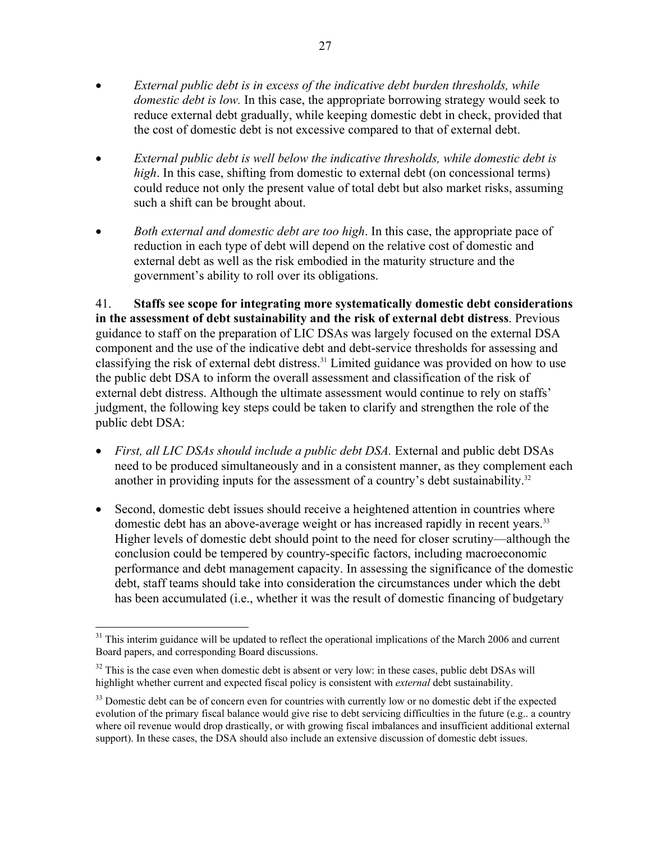- *External public debt is in excess of the indicative debt burden thresholds, while domestic debt is low.* In this case, the appropriate borrowing strategy would seek to reduce external debt gradually, while keeping domestic debt in check, provided that the cost of domestic debt is not excessive compared to that of external debt.
- *External public debt is well below the indicative thresholds, while domestic debt is high*. In this case, shifting from domestic to external debt (on concessional terms) could reduce not only the present value of total debt but also market risks, assuming such a shift can be brought about.
- *Both external and domestic debt are too high*. In this case, the appropriate pace of reduction in each type of debt will depend on the relative cost of domestic and external debt as well as the risk embodied in the maturity structure and the government's ability to roll over its obligations.

41. **Staffs see scope for integrating more systematically domestic debt considerations in the assessment of debt sustainability and the risk of external debt distress**. Previous guidance to staff on the preparation of LIC DSAs was largely focused on the external DSA component and the use of the indicative debt and debt-service thresholds for assessing and classifying the risk of external debt distress.<sup>31</sup> Limited guidance was provided on how to use the public debt DSA to inform the overall assessment and classification of the risk of external debt distress. Although the ultimate assessment would continue to rely on staffs' judgment, the following key steps could be taken to clarify and strengthen the role of the public debt DSA:

- *First, all LIC DSAs should include a public debt DSA*. External and public debt DSAs need to be produced simultaneously and in a consistent manner, as they complement each another in providing inputs for the assessment of a country's debt sustainability.<sup>32</sup>
- Second, domestic debt issues should receive a heightened attention in countries where domestic debt has an above-average weight or has increased rapidly in recent years.<sup>33</sup> Higher levels of domestic debt should point to the need for closer scrutiny—although the conclusion could be tempered by country-specific factors, including macroeconomic performance and debt management capacity. In assessing the significance of the domestic debt, staff teams should take into consideration the circumstances under which the debt has been accumulated (i.e., whether it was the result of domestic financing of budgetary

<sup>1</sup> <sup>31</sup> This interim guidance will be updated to reflect the operational implications of the March 2006 and current Board papers, and corresponding Board discussions.

 $32$  This is the case even when domestic debt is absent or very low: in these cases, public debt DSAs will highlight whether current and expected fiscal policy is consistent with *external* debt sustainability.

<sup>&</sup>lt;sup>33</sup> Domestic debt can be of concern even for countries with currently low or no domestic debt if the expected evolution of the primary fiscal balance would give rise to debt servicing difficulties in the future (e.g.. a country where oil revenue would drop drastically, or with growing fiscal imbalances and insufficient additional external support). In these cases, the DSA should also include an extensive discussion of domestic debt issues.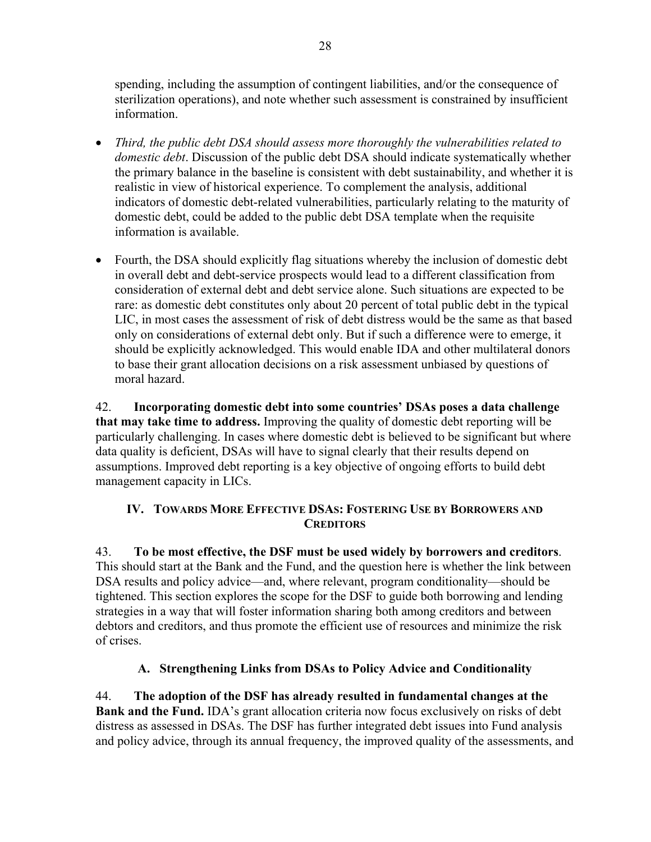spending, including the assumption of contingent liabilities, and/or the consequence of sterilization operations), and note whether such assessment is constrained by insufficient information.

- *Third, the public debt DSA should assess more thoroughly the vulnerabilities related to domestic debt*. Discussion of the public debt DSA should indicate systematically whether the primary balance in the baseline is consistent with debt sustainability, and whether it is realistic in view of historical experience. To complement the analysis, additional indicators of domestic debt-related vulnerabilities, particularly relating to the maturity of domestic debt, could be added to the public debt DSA template when the requisite information is available.
- Fourth, the DSA should explicitly flag situations whereby the inclusion of domestic debt in overall debt and debt-service prospects would lead to a different classification from consideration of external debt and debt service alone. Such situations are expected to be rare: as domestic debt constitutes only about 20 percent of total public debt in the typical LIC, in most cases the assessment of risk of debt distress would be the same as that based only on considerations of external debt only. But if such a difference were to emerge, it should be explicitly acknowledged. This would enable IDA and other multilateral donors to base their grant allocation decisions on a risk assessment unbiased by questions of moral hazard.

42. **Incorporating domestic debt into some countries' DSAs poses a data challenge that may take time to address.** Improving the quality of domestic debt reporting will be particularly challenging. In cases where domestic debt is believed to be significant but where data quality is deficient, DSAs will have to signal clearly that their results depend on assumptions. Improved debt reporting is a key objective of ongoing efforts to build debt management capacity in LICs.

# **IV. TOWARDS MORE EFFECTIVE DSAS: FOSTERING USE BY BORROWERS AND CREDITORS**

43. **To be most effective, the DSF must be used widely by borrowers and creditors**. This should start at the Bank and the Fund, and the question here is whether the link between DSA results and policy advice—and, where relevant, program conditionality—should be tightened. This section explores the scope for the DSF to guide both borrowing and lending strategies in a way that will foster information sharing both among creditors and between debtors and creditors, and thus promote the efficient use of resources and minimize the risk of crises.

# **A. Strengthening Links from DSAs to Policy Advice and Conditionality**

44. **The adoption of the DSF has already resulted in fundamental changes at the Bank and the Fund.** IDA's grant allocation criteria now focus exclusively on risks of debt distress as assessed in DSAs. The DSF has further integrated debt issues into Fund analysis and policy advice, through its annual frequency, the improved quality of the assessments, and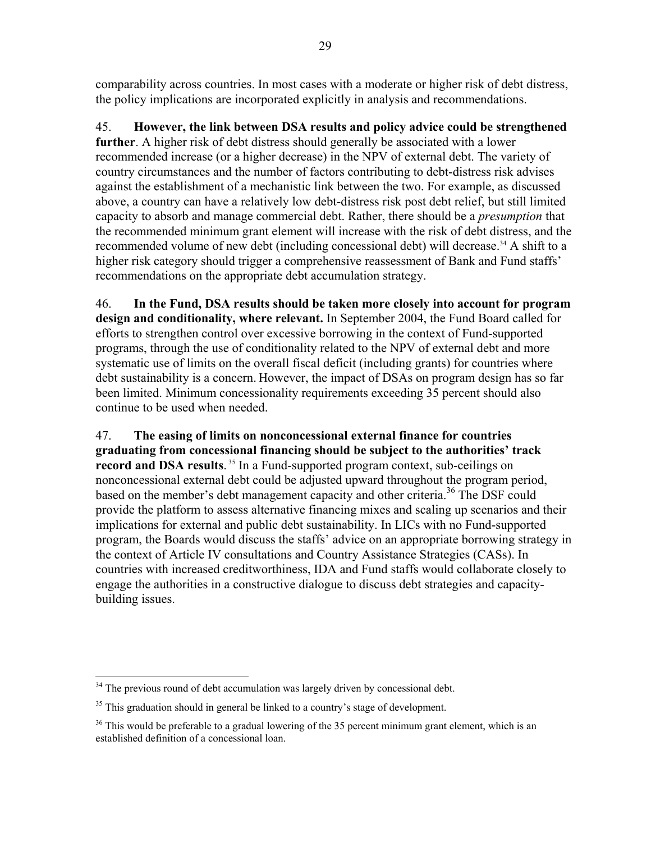comparability across countries. In most cases with a moderate or higher risk of debt distress, the policy implications are incorporated explicitly in analysis and recommendations.

45. **However, the link between DSA results and policy advice could be strengthened further**. A higher risk of debt distress should generally be associated with a lower recommended increase (or a higher decrease) in the NPV of external debt. The variety of country circumstances and the number of factors contributing to debt-distress risk advises against the establishment of a mechanistic link between the two. For example, as discussed above, a country can have a relatively low debt-distress risk post debt relief, but still limited capacity to absorb and manage commercial debt. Rather, there should be a *presumption* that the recommended minimum grant element will increase with the risk of debt distress, and the recommended volume of new debt (including concessional debt) will decrease.<sup>34</sup> A shift to a higher risk category should trigger a comprehensive reassessment of Bank and Fund staffs' recommendations on the appropriate debt accumulation strategy.

46. **In the Fund, DSA results should be taken more closely into account for program design and conditionality, where relevant.** In September 2004, the Fund Board called for efforts to strengthen control over excessive borrowing in the context of Fund-supported programs, through the use of conditionality related to the NPV of external debt and more systematic use of limits on the overall fiscal deficit (including grants) for countries where debt sustainability is a concern. However, the impact of DSAs on program design has so far been limited. Minimum concessionality requirements exceeding 35 percent should also continue to be used when needed.

47. **The easing of limits on nonconcessional external finance for countries graduating from concessional financing should be subject to the authorities' track**  record and DSA results.<sup>35</sup> In a Fund-supported program context, sub-ceilings on nonconcessional external debt could be adjusted upward throughout the program period, based on the member's debt management capacity and other criteria.<sup>36</sup> The DSF could provide the platform to assess alternative financing mixes and scaling up scenarios and their implications for external and public debt sustainability. In LICs with no Fund-supported program, the Boards would discuss the staffs' advice on an appropriate borrowing strategy in the context of Article IV consultations and Country Assistance Strategies (CASs). In countries with increased creditworthiness, IDA and Fund staffs would collaborate closely to engage the authorities in a constructive dialogue to discuss debt strategies and capacitybuilding issues.

 $\overline{a}$  $34$  The previous round of debt accumulation was largely driven by concessional debt.

 $35$  This graduation should in general be linked to a country's stage of development.

 $36$  This would be preferable to a gradual lowering of the 35 percent minimum grant element, which is an established definition of a concessional loan.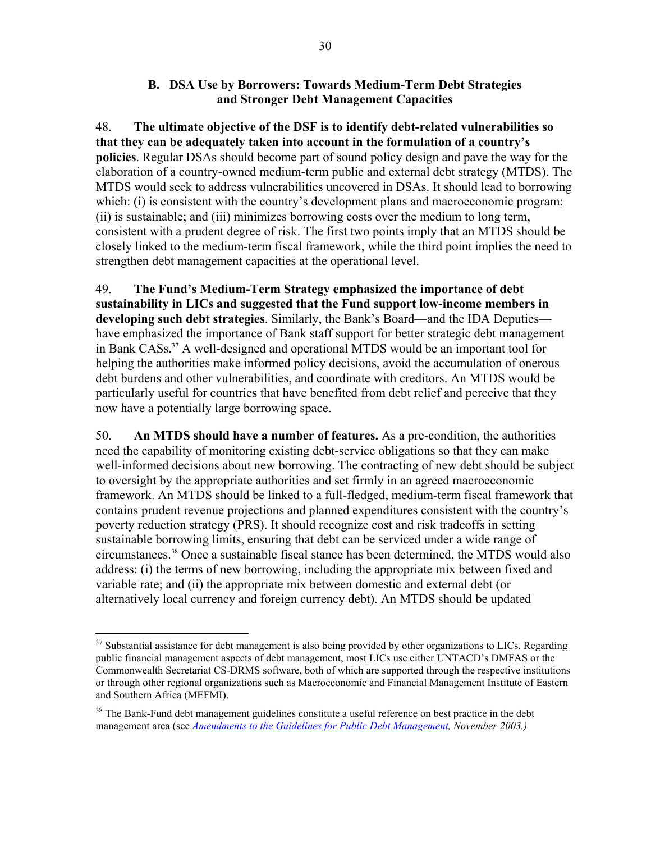### **B. DSA Use by Borrowers: Towards Medium-Term Debt Strategies and Stronger Debt Management Capacities**

48. **The ultimate objective of the DSF is to identify debt-related vulnerabilities so that they can be adequately taken into account in the formulation of a country's policies**. Regular DSAs should become part of sound policy design and pave the way for the elaboration of a country-owned medium-term public and external debt strategy (MTDS). The MTDS would seek to address vulnerabilities uncovered in DSAs. It should lead to borrowing which: (i) is consistent with the country's development plans and macroeconomic program; (ii) is sustainable; and (iii) minimizes borrowing costs over the medium to long term, consistent with a prudent degree of risk. The first two points imply that an MTDS should be closely linked to the medium-term fiscal framework, while the third point implies the need to strengthen debt management capacities at the operational level.

49. **The Fund's Medium-Term Strategy emphasized the importance of debt sustainability in LICs and suggested that the Fund support low-income members in developing such debt strategies**. Similarly, the Bank's Board—and the IDA Deputies have emphasized the importance of Bank staff support for better strategic debt management in Bank CASs.37 A well-designed and operational MTDS would be an important tool for helping the authorities make informed policy decisions, avoid the accumulation of onerous debt burdens and other vulnerabilities, and coordinate with creditors. An MTDS would be particularly useful for countries that have benefited from debt relief and perceive that they now have a potentially large borrowing space.

50. **An MTDS should have a number of features.** As a pre-condition, the authorities need the capability of monitoring existing debt-service obligations so that they can make well-informed decisions about new borrowing. The contracting of new debt should be subject to oversight by the appropriate authorities and set firmly in an agreed macroeconomic framework. An MTDS should be linked to a full-fledged, medium-term fiscal framework that contains prudent revenue projections and planned expenditures consistent with the country's poverty reduction strategy (PRS). It should recognize cost and risk tradeoffs in setting sustainable borrowing limits, ensuring that debt can be serviced under a wide range of circumstances.38 Once a sustainable fiscal stance has been determined, the MTDS would also address: (i) the terms of new borrowing, including the appropriate mix between fixed and variable rate; and (ii) the appropriate mix between domestic and external debt (or alternatively local currency and foreign currency debt). An MTDS should be updated

 $\overline{a}$  $37$  Substantial assistance for debt management is also being provided by other organizations to LICs. Regarding public financial management aspects of debt management, most LICs use either UNTACD's DMFAS or the Commonwealth Secretariat CS-DRMS software, both of which are supported through the respective institutions or through other regional organizations such as Macroeconomic and Financial Management Institute of Eastern and Southern Africa (MEFMI).

<sup>&</sup>lt;sup>38</sup> The Bank-Fund debt management guidelines constitute a useful reference on best practice in the debt management area (see *Amendments to the Guidelines for Public Debt Management, November 2003.)*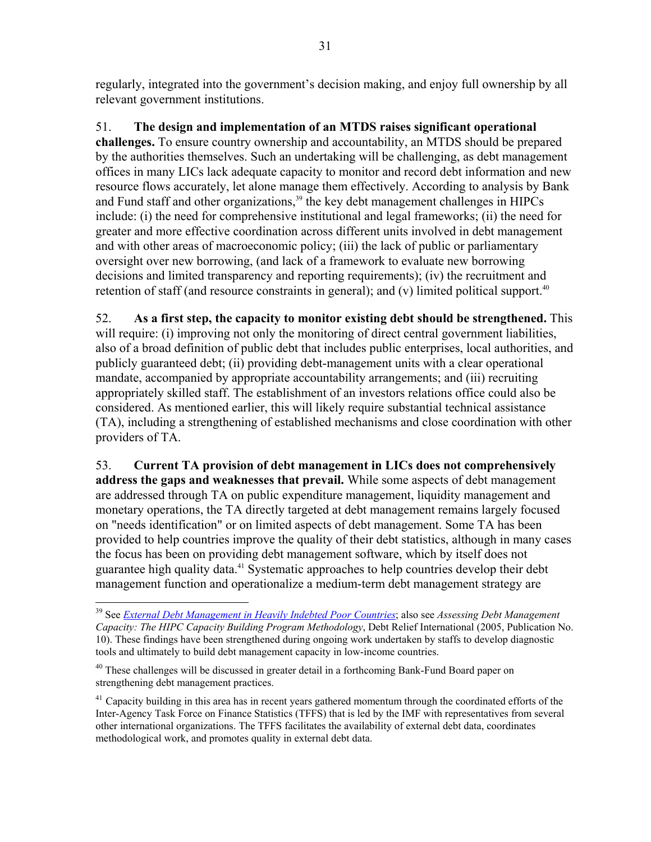regularly, integrated into the government's decision making, and enjoy full ownership by all relevant government institutions.

51. **The design and implementation of an MTDS raises significant operational challenges.** To ensure country ownership and accountability, an MTDS should be prepared by the authorities themselves. Such an undertaking will be challenging, as debt management offices in many LICs lack adequate capacity to monitor and record debt information and new resource flows accurately, let alone manage them effectively. According to analysis by Bank and Fund staff and other organizations,<sup>39</sup> the key debt management challenges in HIPCs include: (i) the need for comprehensive institutional and legal frameworks; (ii) the need for greater and more effective coordination across different units involved in debt management and with other areas of macroeconomic policy; (iii) the lack of public or parliamentary oversight over new borrowing, (and lack of a framework to evaluate new borrowing decisions and limited transparency and reporting requirements); (iv) the recruitment and retention of staff (and resource constraints in general); and (v) limited political support.<sup>40</sup>

52. **As a first step, the capacity to monitor existing debt should be strengthened.** This will require: (i) improving not only the monitoring of direct central government liabilities, also of a broad definition of public debt that includes public enterprises, local authorities, and publicly guaranteed debt; (ii) providing debt-management units with a clear operational mandate, accompanied by appropriate accountability arrangements; and (iii) recruiting appropriately skilled staff. The establishment of an investors relations office could also be considered. As mentioned earlier, this will likely require substantial technical assistance (TA), including a strengthening of established mechanisms and close coordination with other providers of TA.

53. **Current TA provision of debt management in LICs does not comprehensively address the gaps and weaknesses that prevail.** While some aspects of debt management are addressed through TA on public expenditure management, liquidity management and monetary operations, the TA directly targeted at debt management remains largely focused on "needs identification" or on limited aspects of debt management. Some TA has been provided to help countries improve the quality of their debt statistics, although in many cases the focus has been on providing debt management software, which by itself does not guarantee high quality data.41 Systematic approaches to help countries develop their debt management function and operationalize a medium-term debt management strategy are

1

<sup>39</sup> See *External Debt Management in Heavily Indebted Poor Countries*; also see *Assessing Debt Management Capacity: The HIPC Capacity Building Program Methodology*, Debt Relief International (2005, Publication No. 10). These findings have been strengthened during ongoing work undertaken by staffs to develop diagnostic tools and ultimately to build debt management capacity in low-income countries.

<sup>&</sup>lt;sup>40</sup> These challenges will be discussed in greater detail in a forthcoming Bank-Fund Board paper on strengthening debt management practices.

 $^{41}$  Capacity building in this area has in recent years gathered momentum through the coordinated efforts of the Inter-Agency Task Force on Finance Statistics (TFFS) that is led by the IMF with representatives from several other international organizations. The TFFS facilitates the availability of external debt data, coordinates methodological work, and promotes quality in external debt data.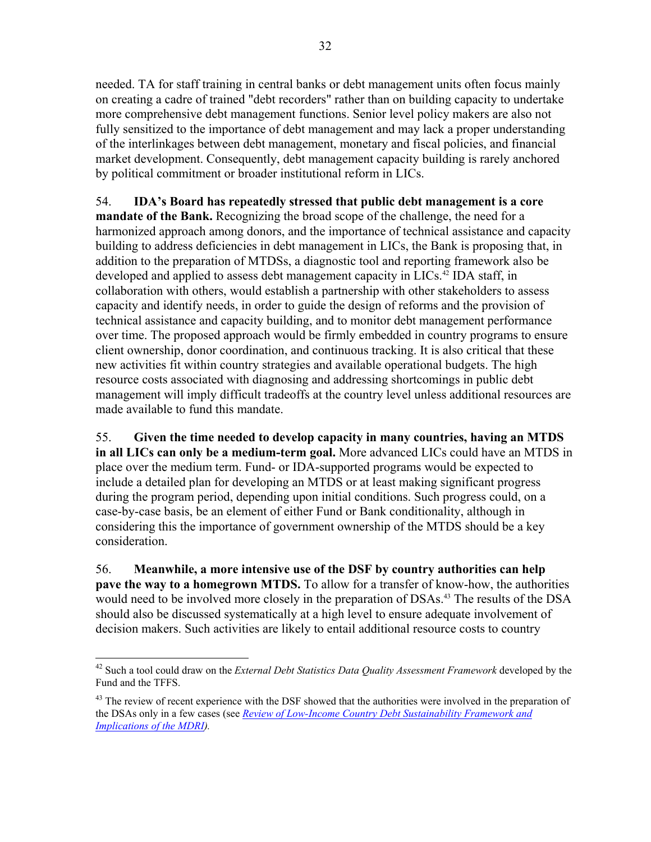needed. TA for staff training in central banks or debt management units often focus mainly on creating a cadre of trained "debt recorders" rather than on building capacity to undertake more comprehensive debt management functions. Senior level policy makers are also not fully sensitized to the importance of debt management and may lack a proper understanding of the interlinkages between debt management, monetary and fiscal policies, and financial market development. Consequently, debt management capacity building is rarely anchored by political commitment or broader institutional reform in LICs.

54. **IDA's Board has repeatedly stressed that public debt management is a core mandate of the Bank.** Recognizing the broad scope of the challenge, the need for a harmonized approach among donors, and the importance of technical assistance and capacity building to address deficiencies in debt management in LICs, the Bank is proposing that, in addition to the preparation of MTDSs, a diagnostic tool and reporting framework also be developed and applied to assess debt management capacity in LICs.<sup>42</sup> IDA staff, in collaboration with others, would establish a partnership with other stakeholders to assess capacity and identify needs, in order to guide the design of reforms and the provision of technical assistance and capacity building, and to monitor debt management performance over time. The proposed approach would be firmly embedded in country programs to ensure client ownership, donor coordination, and continuous tracking. It is also critical that these new activities fit within country strategies and available operational budgets. The high resource costs associated with diagnosing and addressing shortcomings in public debt management will imply difficult tradeoffs at the country level unless additional resources are made available to fund this mandate.

55. **Given the time needed to develop capacity in many countries, having an MTDS in all LICs can only be a medium-term goal.** More advanced LICs could have an MTDS in place over the medium term. Fund- or IDA-supported programs would be expected to include a detailed plan for developing an MTDS or at least making significant progress during the program period, depending upon initial conditions. Such progress could, on a case-by-case basis, be an element of either Fund or Bank conditionality, although in considering this the importance of government ownership of the MTDS should be a key consideration.

56. **Meanwhile, a more intensive use of the DSF by country authorities can help pave the way to a homegrown MTDS.** To allow for a transfer of know-how, the authorities would need to be involved more closely in the preparation of DSAs.<sup>43</sup> The results of the DSA should also be discussed systematically at a high level to ensure adequate involvement of decision makers. Such activities are likely to entail additional resource costs to country

 $\overline{a}$ 42 Such a tool could draw on the *External Debt Statistics Data Quality Assessment Framework* developed by the Fund and the TFFS.

<sup>&</sup>lt;sup>43</sup> The review of recent experience with the DSF showed that the authorities were involved in the preparation of the DSAs only in a few cases (see *Review of Low-Income Country Debt Sustainability Framework and Implications of the MDRI).*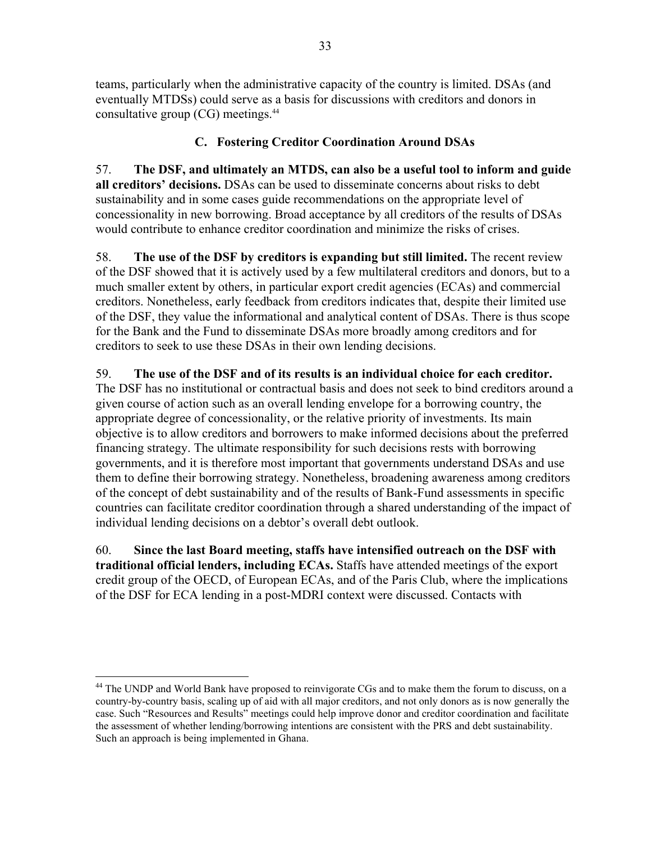teams, particularly when the administrative capacity of the country is limited. DSAs (and eventually MTDSs) could serve as a basis for discussions with creditors and donors in consultative group (CG) meetings.44

# **C. Fostering Creditor Coordination Around DSAs**

57. **The DSF, and ultimately an MTDS, can also be a useful tool to inform and guide all creditors' decisions.** DSAs can be used to disseminate concerns about risks to debt sustainability and in some cases guide recommendations on the appropriate level of concessionality in new borrowing. Broad acceptance by all creditors of the results of DSAs would contribute to enhance creditor coordination and minimize the risks of crises.

58. **The use of the DSF by creditors is expanding but still limited.** The recent review of the DSF showed that it is actively used by a few multilateral creditors and donors, but to a much smaller extent by others, in particular export credit agencies (ECAs) and commercial creditors. Nonetheless, early feedback from creditors indicates that, despite their limited use of the DSF, they value the informational and analytical content of DSAs. There is thus scope for the Bank and the Fund to disseminate DSAs more broadly among creditors and for creditors to seek to use these DSAs in their own lending decisions.

# 59. **The use of the DSF and of its results is an individual choice for each creditor.**

The DSF has no institutional or contractual basis and does not seek to bind creditors around a given course of action such as an overall lending envelope for a borrowing country, the appropriate degree of concessionality, or the relative priority of investments. Its main objective is to allow creditors and borrowers to make informed decisions about the preferred financing strategy. The ultimate responsibility for such decisions rests with borrowing governments, and it is therefore most important that governments understand DSAs and use them to define their borrowing strategy. Nonetheless, broadening awareness among creditors of the concept of debt sustainability and of the results of Bank-Fund assessments in specific countries can facilitate creditor coordination through a shared understanding of the impact of individual lending decisions on a debtor's overall debt outlook.

60. **Since the last Board meeting, staffs have intensified outreach on the DSF with traditional official lenders, including ECAs.** Staffs have attended meetings of the export credit group of the OECD, of European ECAs, and of the Paris Club, where the implications of the DSF for ECA lending in a post-MDRI context were discussed. Contacts with

<sup>&</sup>lt;sup>44</sup> The UNDP and World Bank have proposed to reinvigorate CGs and to make them the forum to discuss, on a country-by-country basis, scaling up of aid with all major creditors, and not only donors as is now generally the case. Such "Resources and Results" meetings could help improve donor and creditor coordination and facilitate the assessment of whether lending/borrowing intentions are consistent with the PRS and debt sustainability. Such an approach is being implemented in Ghana.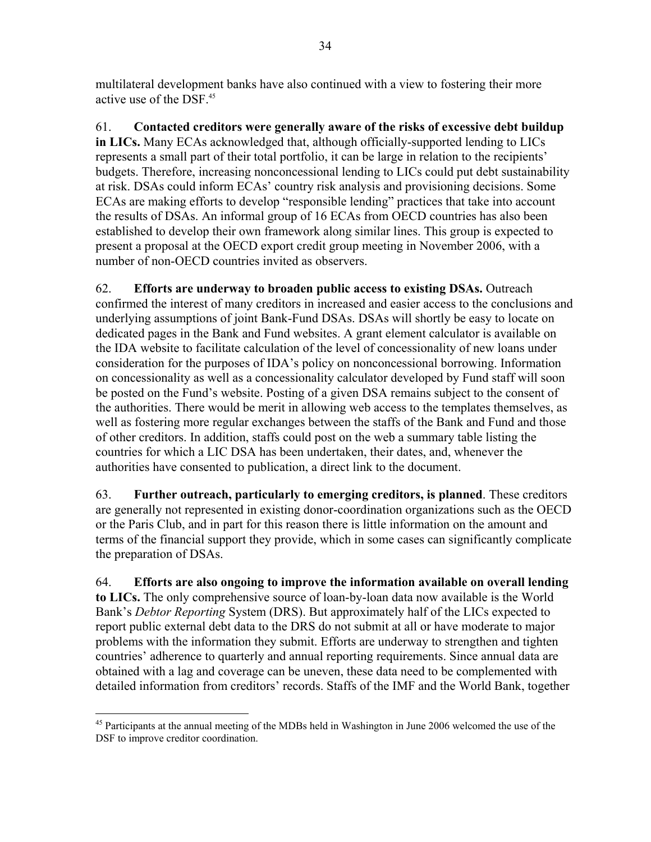multilateral development banks have also continued with a view to fostering their more active use of the DSF.45

61. **Contacted creditors were generally aware of the risks of excessive debt buildup in LICs.** Many ECAs acknowledged that, although officially-supported lending to LICs represents a small part of their total portfolio, it can be large in relation to the recipients' budgets. Therefore, increasing nonconcessional lending to LICs could put debt sustainability at risk. DSAs could inform ECAs' country risk analysis and provisioning decisions. Some ECAs are making efforts to develop "responsible lending" practices that take into account the results of DSAs. An informal group of 16 ECAs from OECD countries has also been established to develop their own framework along similar lines. This group is expected to present a proposal at the OECD export credit group meeting in November 2006, with a number of non-OECD countries invited as observers.

62. **Efforts are underway to broaden public access to existing DSAs.** Outreach confirmed the interest of many creditors in increased and easier access to the conclusions and underlying assumptions of joint Bank-Fund DSAs. DSAs will shortly be easy to locate on dedicated pages in the Bank and Fund websites. A grant element calculator is available on the IDA website to facilitate calculation of the level of concessionality of new loans under consideration for the purposes of IDA's policy on nonconcessional borrowing. Information on concessionality as well as a concessionality calculator developed by Fund staff will soon be posted on the Fund's website. Posting of a given DSA remains subject to the consent of the authorities. There would be merit in allowing web access to the templates themselves, as well as fostering more regular exchanges between the staffs of the Bank and Fund and those of other creditors. In addition, staffs could post on the web a summary table listing the countries for which a LIC DSA has been undertaken, their dates, and, whenever the authorities have consented to publication, a direct link to the document.

63. **Further outreach, particularly to emerging creditors, is planned**. These creditors are generally not represented in existing donor-coordination organizations such as the OECD or the Paris Club, and in part for this reason there is little information on the amount and terms of the financial support they provide, which in some cases can significantly complicate the preparation of DSAs.

64. **Efforts are also ongoing to improve the information available on overall lending to LICs.** The only comprehensive source of loan-by-loan data now available is the World Bank's *Debtor Reporting* System (DRS). But approximately half of the LICs expected to report public external debt data to the DRS do not submit at all or have moderate to major problems with the information they submit. Efforts are underway to strengthen and tighten countries' adherence to quarterly and annual reporting requirements. Since annual data are obtained with a lag and coverage can be uneven, these data need to be complemented with detailed information from creditors' records. Staffs of the IMF and the World Bank, together

<sup>&</sup>lt;u>.</u> <sup>45</sup> Participants at the annual meeting of the MDBs held in Washington in June 2006 welcomed the use of the DSF to improve creditor coordination.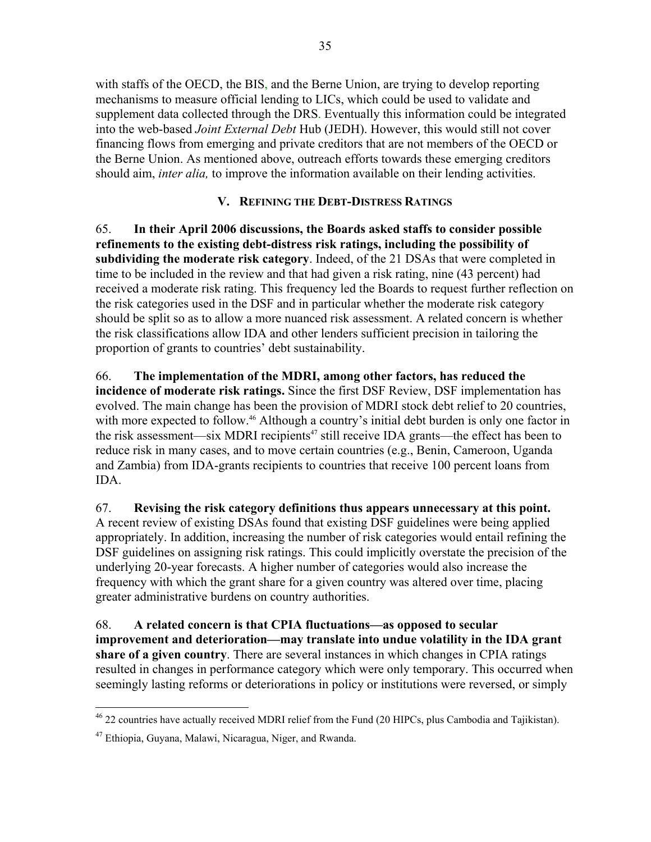with staffs of the OECD, the BIS, and the Berne Union, are trying to develop reporting mechanisms to measure official lending to LICs, which could be used to validate and supplement data collected through the DRS. Eventually this information could be integrated into the web-based *Joint External Debt* Hub (JEDH). However, this would still not cover financing flows from emerging and private creditors that are not members of the OECD or the Berne Union. As mentioned above, outreach efforts towards these emerging creditors should aim, *inter alia,* to improve the information available on their lending activities.

# **V. REFINING THE DEBT-DISTRESS RATINGS**

65. **In their April 2006 discussions, the Boards asked staffs to consider possible refinements to the existing debt-distress risk ratings, including the possibility of subdividing the moderate risk category**. Indeed, of the 21 DSAs that were completed in time to be included in the review and that had given a risk rating, nine (43 percent) had received a moderate risk rating. This frequency led the Boards to request further reflection on the risk categories used in the DSF and in particular whether the moderate risk category should be split so as to allow a more nuanced risk assessment. A related concern is whether the risk classifications allow IDA and other lenders sufficient precision in tailoring the proportion of grants to countries' debt sustainability.

66. **The implementation of the MDRI, among other factors, has reduced the incidence of moderate risk ratings.** Since the first DSF Review, DSF implementation has evolved. The main change has been the provision of MDRI stock debt relief to 20 countries, with more expected to follow.<sup>46</sup> Although a country's initial debt burden is only one factor in the risk assessment—six MDRI recipients<sup> $47$ </sup> still receive IDA grants—the effect has been to reduce risk in many cases, and to move certain countries (e.g., Benin, Cameroon, Uganda and Zambia) from IDA-grants recipients to countries that receive 100 percent loans from IDA.

67. **Revising the risk category definitions thus appears unnecessary at this point.** A recent review of existing DSAs found that existing DSF guidelines were being applied appropriately. In addition, increasing the number of risk categories would entail refining the DSF guidelines on assigning risk ratings. This could implicitly overstate the precision of the underlying 20-year forecasts. A higher number of categories would also increase the frequency with which the grant share for a given country was altered over time, placing greater administrative burdens on country authorities.

68. **A related concern is that CPIA fluctuations—as opposed to secular improvement and deterioration—may translate into undue volatility in the IDA grant share of a given country**. There are several instances in which changes in CPIA ratings resulted in changes in performance category which were only temporary. This occurred when seemingly lasting reforms or deteriorations in policy or institutions were reversed, or simply

 $\overline{a}$  $^{46}$  22 countries have actually received MDRI relief from the Fund (20 HIPCs, plus Cambodia and Tajikistan).

<sup>47</sup> Ethiopia, Guyana, Malawi, Nicaragua, Niger, and Rwanda.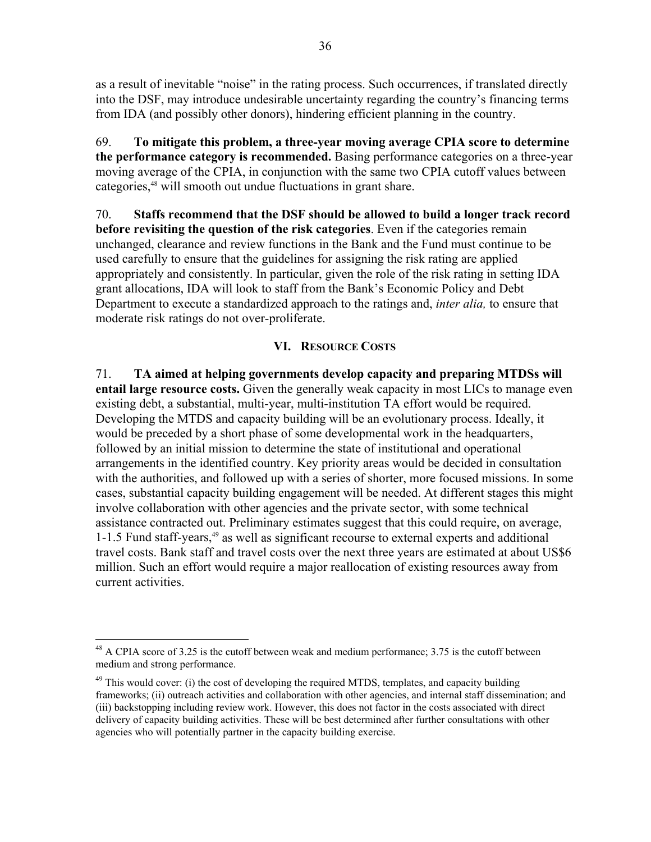as a result of inevitable "noise" in the rating process. Such occurrences, if translated directly into the DSF, may introduce undesirable uncertainty regarding the country's financing terms from IDA (and possibly other donors), hindering efficient planning in the country.

69. **To mitigate this problem, a three-year moving average CPIA score to determine the performance category is recommended.** Basing performance categories on a three-year moving average of the CPIA, in conjunction with the same two CPIA cutoff values between categories,<sup>48</sup> will smooth out undue fluctuations in grant share.

70. **Staffs recommend that the DSF should be allowed to build a longer track record before revisiting the question of the risk categories**. Even if the categories remain unchanged, clearance and review functions in the Bank and the Fund must continue to be used carefully to ensure that the guidelines for assigning the risk rating are applied appropriately and consistently. In particular, given the role of the risk rating in setting IDA grant allocations, IDA will look to staff from the Bank's Economic Policy and Debt Department to execute a standardized approach to the ratings and, *inter alia,* to ensure that moderate risk ratings do not over-proliferate.

# **VI. RESOURCE COSTS**

71. **TA aimed at helping governments develop capacity and preparing MTDSs will entail large resource costs.** Given the generally weak capacity in most LICs to manage even existing debt, a substantial, multi-year, multi-institution TA effort would be required. Developing the MTDS and capacity building will be an evolutionary process. Ideally, it would be preceded by a short phase of some developmental work in the headquarters, followed by an initial mission to determine the state of institutional and operational arrangements in the identified country. Key priority areas would be decided in consultation with the authorities, and followed up with a series of shorter, more focused missions. In some cases, substantial capacity building engagement will be needed. At different stages this might involve collaboration with other agencies and the private sector, with some technical assistance contracted out. Preliminary estimates suggest that this could require, on average, 1-1.5 Fund staff-years,<sup>49</sup> as well as significant recourse to external experts and additional travel costs. Bank staff and travel costs over the next three years are estimated at about US\$6 million. Such an effort would require a major reallocation of existing resources away from current activities.

1

<sup>&</sup>lt;sup>48</sup> A CPIA score of 3.25 is the cutoff between weak and medium performance; 3.75 is the cutoff between medium and strong performance.

 $49$  This would cover: (i) the cost of developing the required MTDS, templates, and capacity building frameworks; (ii) outreach activities and collaboration with other agencies, and internal staff dissemination; and (iii) backstopping including review work. However, this does not factor in the costs associated with direct delivery of capacity building activities. These will be best determined after further consultations with other agencies who will potentially partner in the capacity building exercise.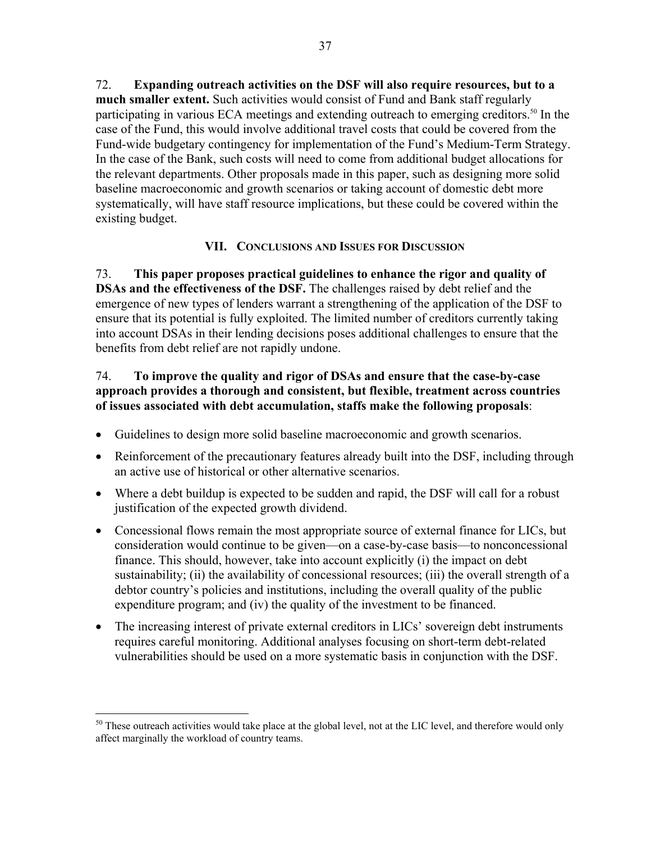72. **Expanding outreach activities on the DSF will also require resources, but to a much smaller extent.** Such activities would consist of Fund and Bank staff regularly participating in various ECA meetings and extending outreach to emerging creditors.<sup>50</sup> In the case of the Fund, this would involve additional travel costs that could be covered from the Fund-wide budgetary contingency for implementation of the Fund's Medium-Term Strategy. In the case of the Bank, such costs will need to come from additional budget allocations for the relevant departments. Other proposals made in this paper, such as designing more solid baseline macroeconomic and growth scenarios or taking account of domestic debt more systematically, will have staff resource implications, but these could be covered within the existing budget.

# **VII. CONCLUSIONS AND ISSUES FOR DISCUSSION**

73. **This paper proposes practical guidelines to enhance the rigor and quality of DSAs and the effectiveness of the DSF.** The challenges raised by debt relief and the emergence of new types of lenders warrant a strengthening of the application of the DSF to ensure that its potential is fully exploited. The limited number of creditors currently taking into account DSAs in their lending decisions poses additional challenges to ensure that the benefits from debt relief are not rapidly undone.

# 74. **To improve the quality and rigor of DSAs and ensure that the case-by-case approach provides a thorough and consistent, but flexible, treatment across countries of issues associated with debt accumulation, staffs make the following proposals**:

- Guidelines to design more solid baseline macroeconomic and growth scenarios.
- Reinforcement of the precautionary features already built into the DSF, including through an active use of historical or other alternative scenarios.
- Where a debt buildup is expected to be sudden and rapid, the DSF will call for a robust justification of the expected growth dividend.
- Concessional flows remain the most appropriate source of external finance for LICs, but consideration would continue to be given—on a case-by-case basis—to nonconcessional finance. This should, however, take into account explicitly (i) the impact on debt sustainability; (ii) the availability of concessional resources; (iii) the overall strength of a debtor country's policies and institutions, including the overall quality of the public expenditure program; and (iv) the quality of the investment to be financed.
- The increasing interest of private external creditors in LICs' sovereign debt instruments requires careful monitoring. Additional analyses focusing on short-term debt-related vulnerabilities should be used on a more systematic basis in conjunction with the DSF.

<u>.</u>

 $50$  These outreach activities would take place at the global level, not at the LIC level, and therefore would only affect marginally the workload of country teams.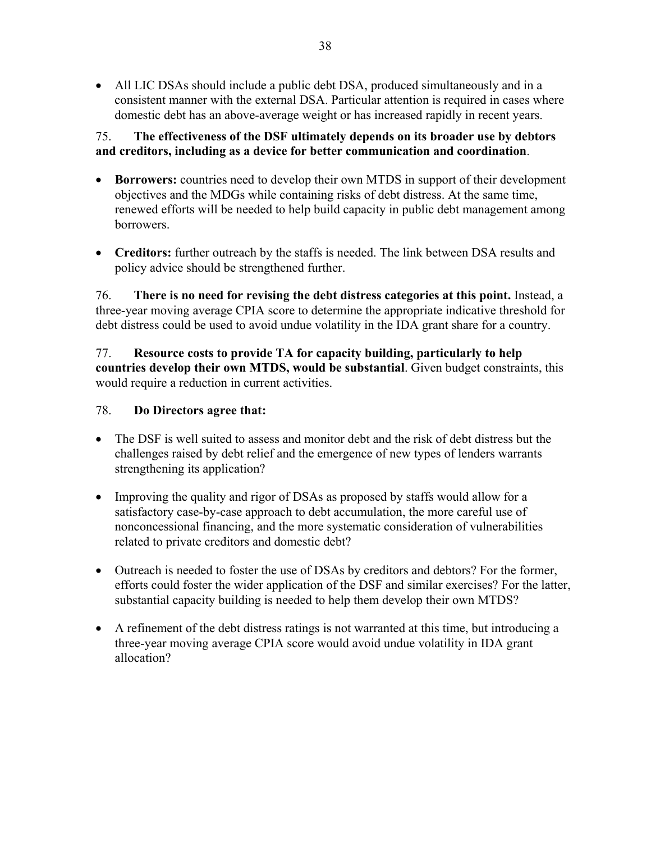• All LIC DSAs should include a public debt DSA, produced simultaneously and in a consistent manner with the external DSA. Particular attention is required in cases where domestic debt has an above-average weight or has increased rapidly in recent years.

# 75. **The effectiveness of the DSF ultimately depends on its broader use by debtors and creditors, including as a device for better communication and coordination**.

- **Borrowers:** countries need to develop their own MTDS in support of their development objectives and the MDGs while containing risks of debt distress. At the same time, renewed efforts will be needed to help build capacity in public debt management among borrowers.
- **Creditors:** further outreach by the staffs is needed. The link between DSA results and policy advice should be strengthened further.

76. **There is no need for revising the debt distress categories at this point.** Instead, a three-year moving average CPIA score to determine the appropriate indicative threshold for debt distress could be used to avoid undue volatility in the IDA grant share for a country.

77. **Resource costs to provide TA for capacity building, particularly to help countries develop their own MTDS, would be substantial**. Given budget constraints, this would require a reduction in current activities.

# 78. **Do Directors agree that:**

- The DSF is well suited to assess and monitor debt and the risk of debt distress but the challenges raised by debt relief and the emergence of new types of lenders warrants strengthening its application?
- Improving the quality and rigor of DSAs as proposed by staffs would allow for a satisfactory case-by-case approach to debt accumulation, the more careful use of nonconcessional financing, and the more systematic consideration of vulnerabilities related to private creditors and domestic debt?
- Outreach is needed to foster the use of DSAs by creditors and debtors? For the former, efforts could foster the wider application of the DSF and similar exercises? For the latter, substantial capacity building is needed to help them develop their own MTDS?
- A refinement of the debt distress ratings is not warranted at this time, but introducing a three-year moving average CPIA score would avoid undue volatility in IDA grant allocation?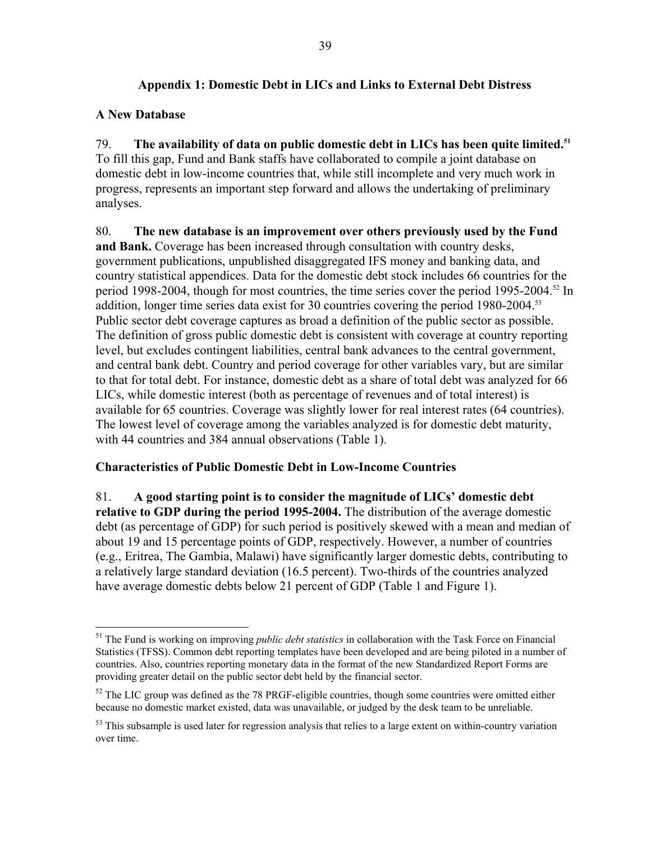# **Appendix 1: Domestic Debt in LICs and Links to External Debt Distress**

# **A New Database**

79. **The availability of data on public domestic debt in LICs has been quite limited.51** To fill this gap, Fund and Bank staffs have collaborated to compile a joint database on domestic debt in low-income countries that, while still incomplete and very much work in progress, represents an important step forward and allows the undertaking of preliminary analyses.

80. **The new database is an improvement over others previously used by the Fund and Bank.** Coverage has been increased through consultation with country desks, government publications, unpublished disaggregated IFS money and banking data, and country statistical appendices. Data for the domestic debt stock includes 66 countries for the period 1998-2004, though for most countries, the time series cover the period 1995-2004.<sup>52</sup> In addition, longer time series data exist for 30 countries covering the period 1980-2004.<sup>53</sup> Public sector debt coverage captures as broad a definition of the public sector as possible. The definition of gross public domestic debt is consistent with coverage at country reporting level, but excludes contingent liabilities, central bank advances to the central government, and central bank debt. Country and period coverage for other variables vary, but are similar to that for total debt. For instance, domestic debt as a share of total debt was analyzed for 66 LICs, while domestic interest (both as percentage of revenues and of total interest) is available for 65 countries. Coverage was slightly lower for real interest rates (64 countries). The lowest level of coverage among the variables analyzed is for domestic debt maturity, with 44 countries and 384 annual observations (Table 1).

## **Characteristics of Public Domestic Debt in Low-Income Countries**

81. **A good starting point is to consider the magnitude of LICs' domestic debt relative to GDP during the period 1995-2004.** The distribution of the average domestic debt (as percentage of GDP) for such period is positively skewed with a mean and median of about 19 and 15 percentage points of GDP, respectively. However, a number of countries (e.g., Eritrea, The Gambia, Malawi) have significantly larger domestic debts, contributing to a relatively large standard deviation (16.5 percent). Two-thirds of the countries analyzed have average domestic debts below 21 percent of GDP (Table 1 and Figure 1).

 $\overline{a}$ 51 The Fund is working on improving *public debt statistics* in collaboration with the Task Force on Financial Statistics (TFSS). Common debt reporting templates have been developed and are being piloted in a number of countries. Also, countries reporting monetary data in the format of the new Standardized Report Forms are providing greater detail on the public sector debt held by the financial sector.

 $52$  The LIC group was defined as the 78 PRGF-eligible countries, though some countries were omitted either because no domestic market existed, data was unavailable, or judged by the desk team to be unreliable.

 $53$  This subsample is used later for regression analysis that relies to a large extent on within-country variation over time.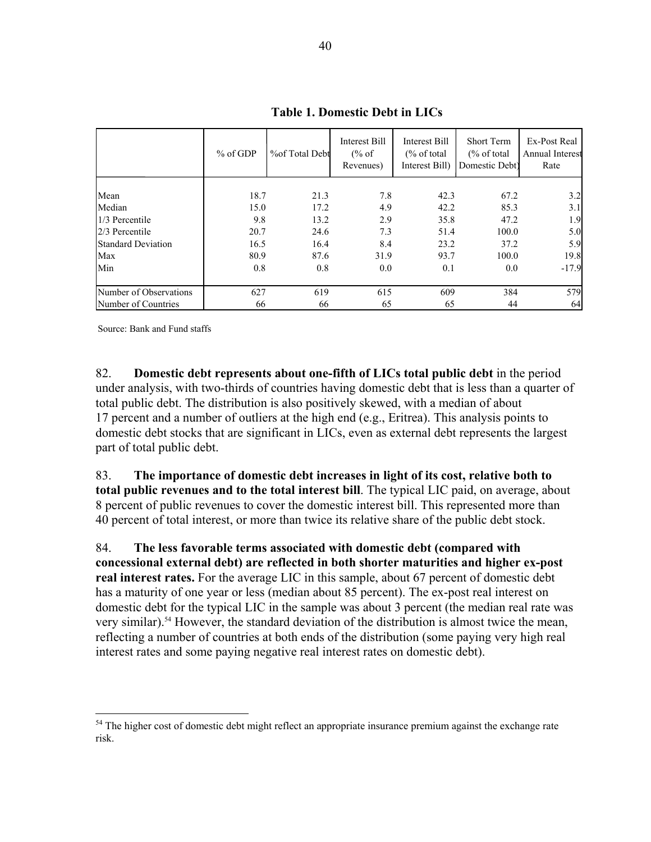|                           | $%$ of GDP | % of Total Debt | Interest Bill<br>$\frac{6}{6}$ of<br>Revenues) | Interest Bill<br>$\frac{6}{6}$ of total<br>Interest Bill) | <b>Short Term</b><br>$\frac{6}{6}$ of total<br>Domestic Debt) | Ex-Post Real<br>Annual Interest<br>Rate |
|---------------------------|------------|-----------------|------------------------------------------------|-----------------------------------------------------------|---------------------------------------------------------------|-----------------------------------------|
| Mean                      | 18.7       | 21.3            | 7.8                                            | 42.3                                                      | 67.2                                                          | 3.2                                     |
| Median                    | 15.0       | 17.2            | 4.9                                            | 42.2                                                      | 85.3                                                          | 3.1                                     |
| 1/3 Percentile            | 9.8        | 13.2            | 2.9                                            | 35.8                                                      | 47.2                                                          | 1.9                                     |
| 2/3 Percentile            | 20.7       | 24.6            | 7.3                                            | 51.4                                                      | 100.0                                                         | 5.0                                     |
| <b>Standard Deviation</b> | 16.5       | 16.4            | 8.4                                            | 23.2                                                      | 37.2                                                          | 5.9                                     |
| Max                       | 80.9       | 87.6            | 31.9                                           | 93.7                                                      | 100.0                                                         | 19.8                                    |
| Min                       | 0.8        | 0.8             | 0.0                                            | 0.1                                                       | 0.0                                                           | $-17.9$                                 |
| Number of Observations    | 627        | 619             | 615                                            | 609                                                       | 384                                                           | 579                                     |
| Number of Countries       | 66         | 66              | 65                                             | 65                                                        | 44                                                            | 64                                      |

**Table 1. Domestic Debt in LICs**

Source: Bank and Fund staffs

 $\overline{a}$ 

82. **Domestic debt represents about one-fifth of LICs total public debt** in the period under analysis, with two-thirds of countries having domestic debt that is less than a quarter of total public debt. The distribution is also positively skewed, with a median of about 17 percent and a number of outliers at the high end (e.g., Eritrea). This analysis points to domestic debt stocks that are significant in LICs, even as external debt represents the largest part of total public debt.

83. **The importance of domestic debt increases in light of its cost, relative both to total public revenues and to the total interest bill**. The typical LIC paid, on average, about 8 percent of public revenues to cover the domestic interest bill. This represented more than 40 percent of total interest, or more than twice its relative share of the public debt stock.

84. **The less favorable terms associated with domestic debt (compared with concessional external debt) are reflected in both shorter maturities and higher ex-post real interest rates.** For the average LIC in this sample, about 67 percent of domestic debt has a maturity of one year or less (median about 85 percent). The ex-post real interest on domestic debt for the typical LIC in the sample was about 3 percent (the median real rate was very similar).54 However, the standard deviation of the distribution is almost twice the mean, reflecting a number of countries at both ends of the distribution (some paying very high real interest rates and some paying negative real interest rates on domestic debt).

<sup>&</sup>lt;sup>54</sup> The higher cost of domestic debt might reflect an appropriate insurance premium against the exchange rate risk.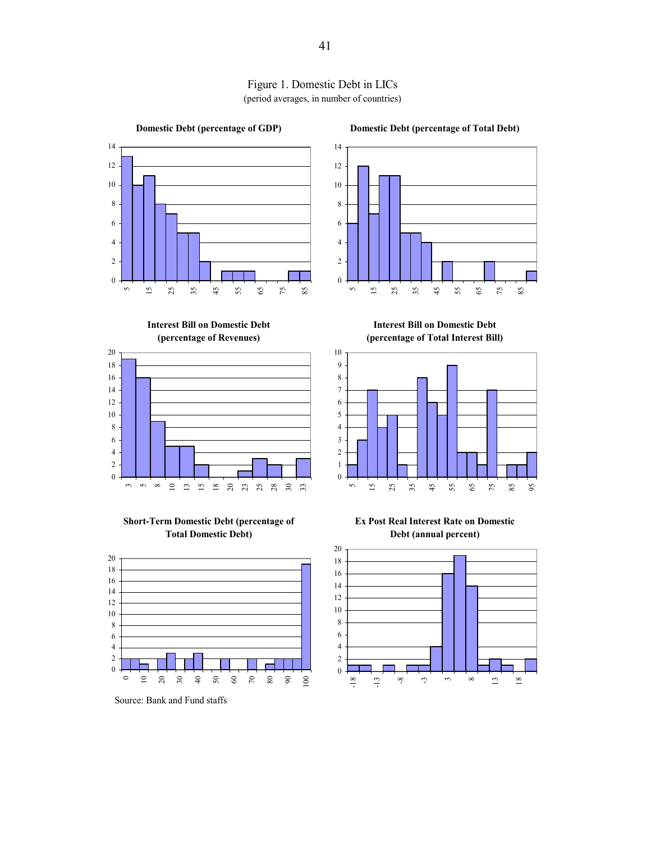

Figure 1. Domestic Debt in LICs (period averages, in number of countries)





**Short-Term Domestic Debt (percentage of Total Domestic Debt)**



Source: Bank and Fund staffs

 $\overline{0}$  

**Domestic Debt (percentage of Total Debt)**

**Interest Bill on Domestic Debt (percentage of Total Interest Bill)**



**Ex Post Real Interest Rate on Domestic Debt (annual percent)**

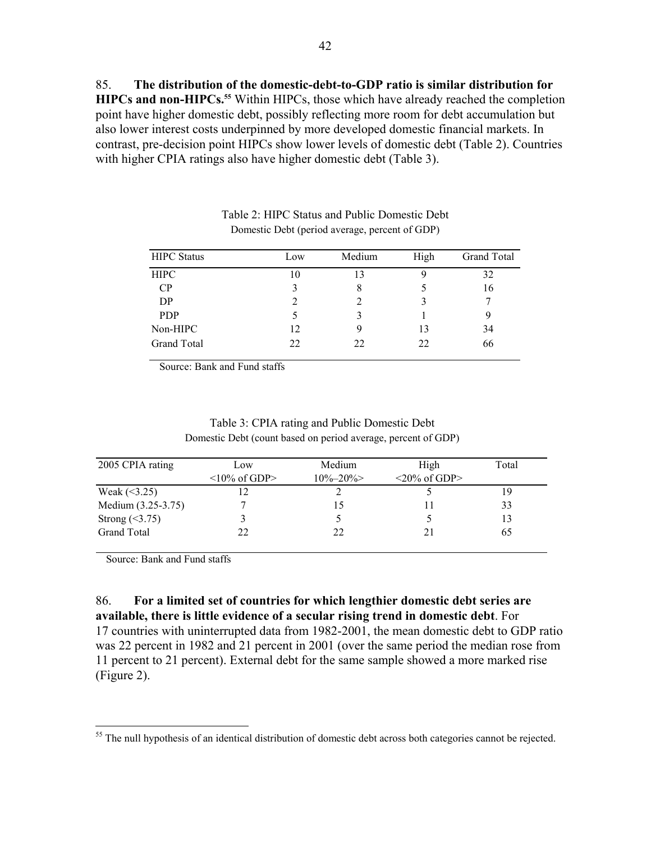85. **The distribution of the domestic-debt-to-GDP ratio is similar distribution for HIPCs and non-HIPCs.<sup>55</sup>** Within HIPCs, those which have already reached the completion point have higher domestic debt, possibly reflecting more room for debt accumulation but also lower interest costs underpinned by more developed domestic financial markets. In contrast, pre-decision point HIPCs show lower levels of domestic debt (Table 2). Countries with higher CPIA ratings also have higher domestic debt (Table 3).

| <b>HIPC</b> Status | Low | Medium | High | <b>Grand Total</b> |
|--------------------|-----|--------|------|--------------------|
| <b>HIPC</b>        | 10  | 13     |      | 32                 |
| CP                 |     |        |      | 16                 |
| DP                 |     |        |      |                    |
| <b>PDP</b>         |     |        |      |                    |
| Non-HIPC           | 12  | 9      | 13   | 34                 |
| <b>Grand Total</b> | 22  | 22     | 22   | 66                 |

#### Table 2: HIPC Status and Public Domestic Debt Domestic Debt (period average, percent of GDP)

Source: Bank and Fund staffs

| 2005 CPIA rating     | Low                | Medium        | High                                  | Total |
|----------------------|--------------------|---------------|---------------------------------------|-------|
|                      | $\leq$ 10% of GDP> | $10\% - 20\%$ | $\langle 20\% \text{ of GDP} \rangle$ |       |
| Weak $(<3.25)$       |                    |               |                                       | 19    |
| Medium (3.25-3.75)   |                    | 15            |                                       | 33    |
| Strong $(\leq 3.75)$ |                    |               |                                       | 13    |
| <b>Grand Total</b>   | 22                 | 22            |                                       | 65    |

Table 3: CPIA rating and Public Domestic Debt Domestic Debt (count based on period average, percent of GDP)

Source: Bank and Fund staffs

 $\overline{a}$ 

86. **For a limited set of countries for which lengthier domestic debt series are available, there is little evidence of a secular rising trend in domestic debt**. For 17 countries with uninterrupted data from 1982-2001, the mean domestic debt to GDP ratio was 22 percent in 1982 and 21 percent in 2001 (over the same period the median rose from 11 percent to 21 percent). External debt for the same sample showed a more marked rise (Figure 2).

<sup>&</sup>lt;sup>55</sup> The null hypothesis of an identical distribution of domestic debt across both categories cannot be rejected.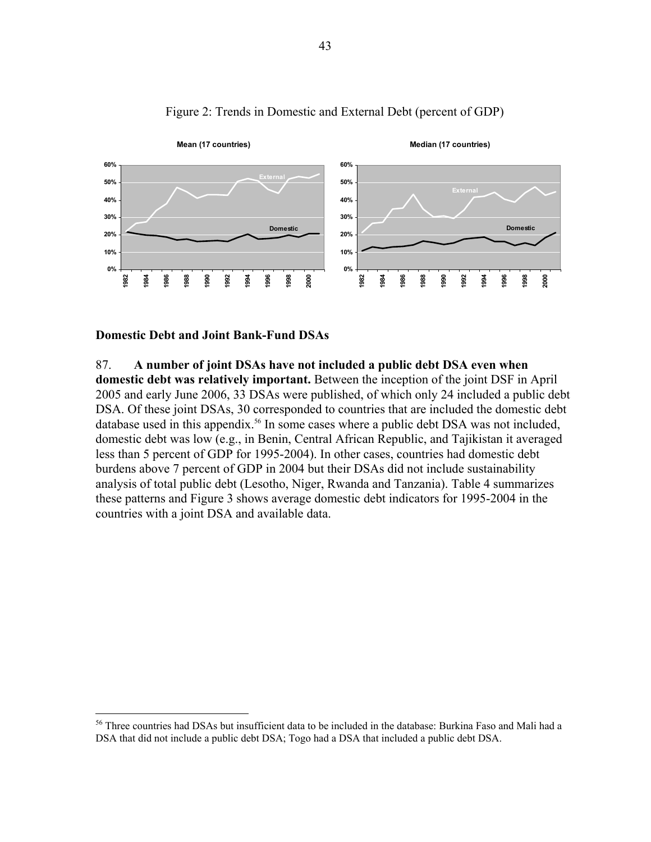

# Figure 2: Trends in Domestic and External Debt (percent of GDP)

### **Domestic Debt and Joint Bank-Fund DSAs**

 $\overline{a}$ 

#### 87. **A number of joint DSAs have not included a public debt DSA even when**

**domestic debt was relatively important.** Between the inception of the joint DSF in April 2005 and early June 2006, 33 DSAs were published, of which only 24 included a public debt DSA. Of these joint DSAs, 30 corresponded to countries that are included the domestic debt database used in this appendix.<sup>56</sup> In some cases where a public debt DSA was not included, domestic debt was low (e.g., in Benin, Central African Republic, and Tajikistan it averaged less than 5 percent of GDP for 1995-2004). In other cases, countries had domestic debt burdens above 7 percent of GDP in 2004 but their DSAs did not include sustainability analysis of total public debt (Lesotho, Niger, Rwanda and Tanzania). Table 4 summarizes these patterns and Figure 3 shows average domestic debt indicators for 1995-2004 in the countries with a joint DSA and available data.

<sup>56</sup> Three countries had DSAs but insufficient data to be included in the database: Burkina Faso and Mali had a DSA that did not include a public debt DSA; Togo had a DSA that included a public debt DSA.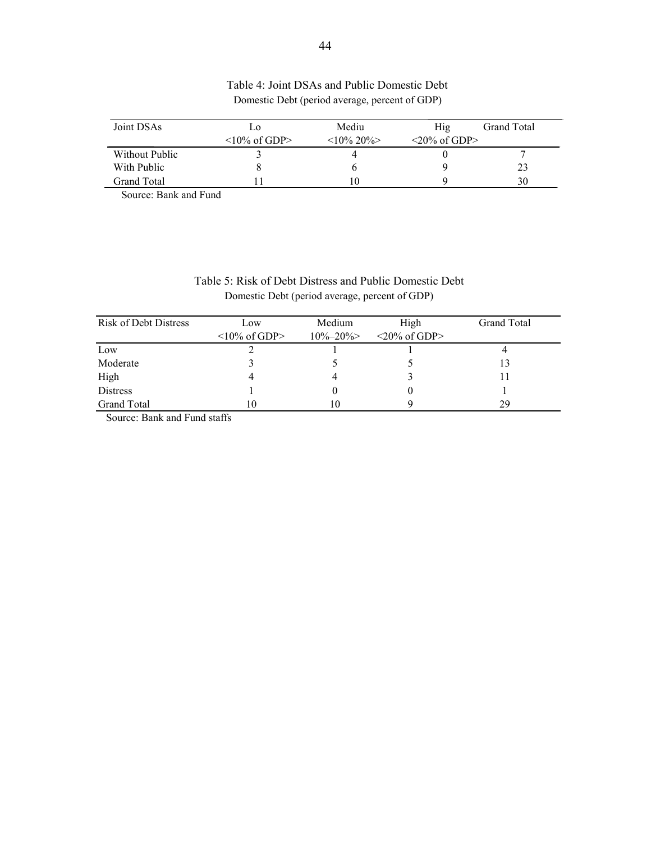| Joint DSAs     | LO.                | Mediu      | Hig.                                  | Grand Total |
|----------------|--------------------|------------|---------------------------------------|-------------|
|                | $\leq$ 10% of GDP> | $10\%$ 20% | $\langle 20\% \text{ of GDP} \rangle$ |             |
| Without Public |                    |            |                                       |             |
| With Public    |                    |            |                                       | 23          |
| Grand Total    |                    |            |                                       | 30          |

## Table 4: Joint DSAs and Public Domestic Debt Domestic Debt (period average, percent of GDP)

Source: Bank and Fund

| Table 5: Risk of Debt Distress and Public Domestic Debt |  |
|---------------------------------------------------------|--|
| Domestic Debt (period average, percent of GDP)          |  |

| <b>Risk of Debt Distress</b> | Low                 | Medium        | High                                  | Grand Total |
|------------------------------|---------------------|---------------|---------------------------------------|-------------|
|                              | $\leq 10\%$ of GDP> | $10\% - 20\%$ | $\langle 20\% \text{ of GDP} \rangle$ |             |
| Low                          |                     |               |                                       |             |
| Moderate                     |                     |               |                                       | 13          |
| High                         |                     | 4             |                                       |             |
| <b>Distress</b>              |                     |               |                                       |             |
| <b>Grand Total</b>           | 10                  | 10            |                                       | 29          |

Source: Bank and Fund staffs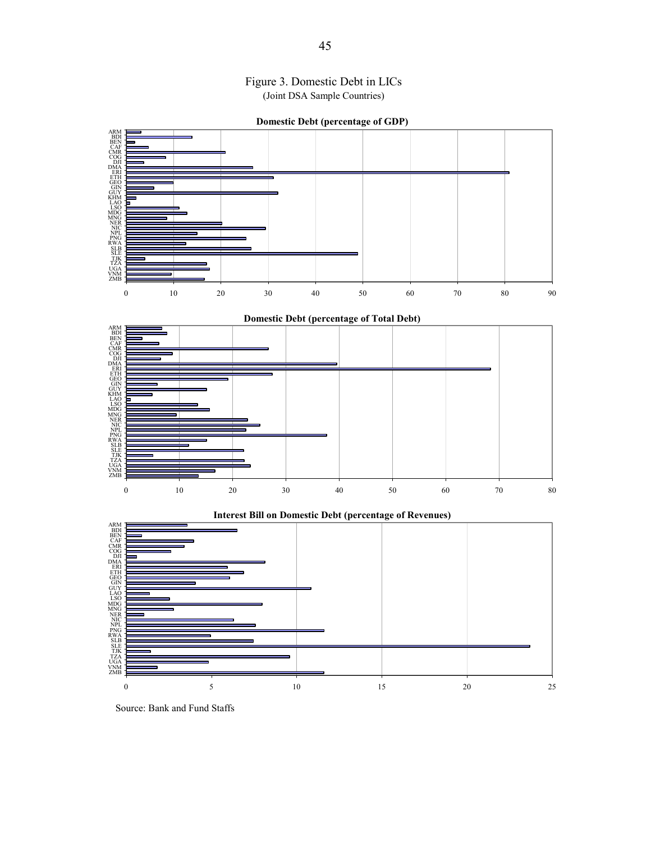



Source: Bank and Fund Staffs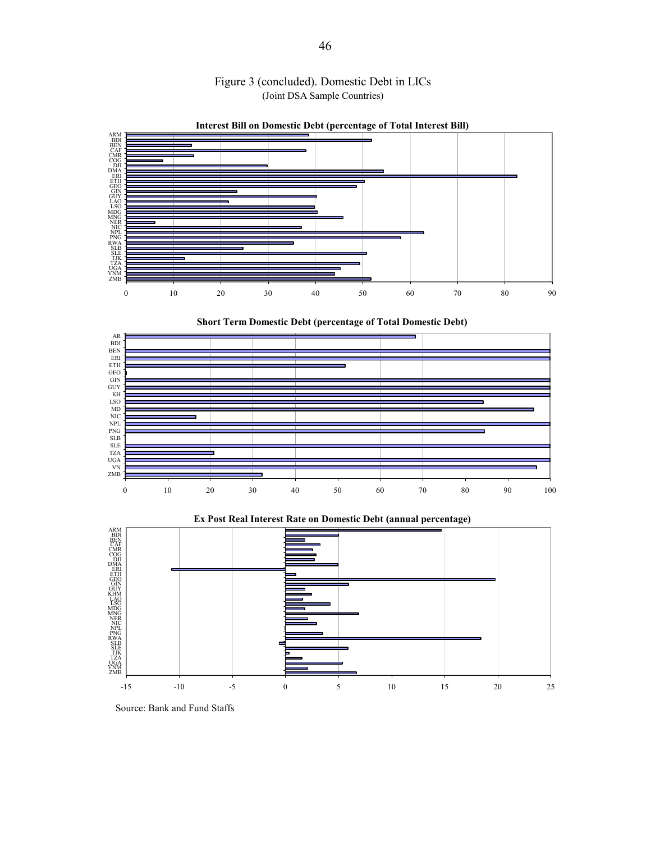



**Interest Bill on Domestic Debt (percentage of Total Interest Bill)**







**Ex Post Real Interest Rate on Domestic Debt (annual percentage)**

Source: Bank and Fund Staffs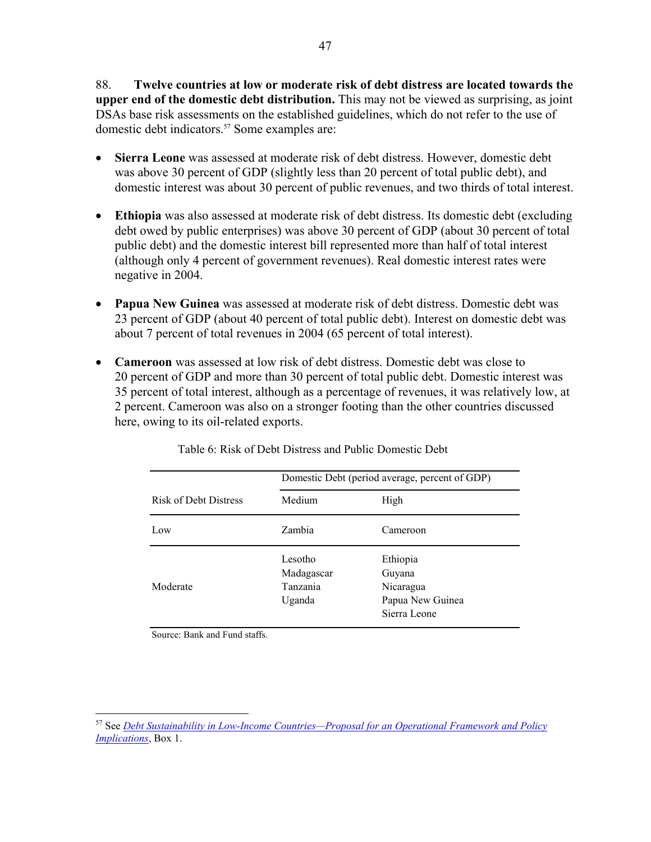88. **Twelve countries at low or moderate risk of debt distress are located towards the upper end of the domestic debt distribution.** This may not be viewed as surprising, as joint DSAs base risk assessments on the established guidelines, which do not refer to the use of domestic debt indicators.<sup>57</sup> Some examples are:

- **Sierra Leone** was assessed at moderate risk of debt distress. However, domestic debt was above 30 percent of GDP (slightly less than 20 percent of total public debt), and domestic interest was about 30 percent of public revenues, and two thirds of total interest.
- **Ethiopia** was also assessed at moderate risk of debt distress. Its domestic debt (excluding debt owed by public enterprises) was above 30 percent of GDP (about 30 percent of total public debt) and the domestic interest bill represented more than half of total interest (although only 4 percent of government revenues). Real domestic interest rates were negative in 2004.
- **Papua New Guinea** was assessed at moderate risk of debt distress. Domestic debt was 23 percent of GDP (about 40 percent of total public debt). Interest on domestic debt was about 7 percent of total revenues in 2004 (65 percent of total interest).
- **Cameroon** was assessed at low risk of debt distress. Domestic debt was close to 20 percent of GDP and more than 30 percent of total public debt. Domestic interest was 35 percent of total interest, although as a percentage of revenues, it was relatively low, at 2 percent. Cameroon was also on a stronger footing than the other countries discussed here, owing to its oil-related exports.

|                              | Domestic Debt (period average, percent of GDP) |                                                                     |  |  |  |
|------------------------------|------------------------------------------------|---------------------------------------------------------------------|--|--|--|
| <b>Risk of Debt Distress</b> | Medium                                         | High                                                                |  |  |  |
| Low                          | Zambia                                         | Cameroon                                                            |  |  |  |
| Moderate                     | Lesotho<br>Madagascar<br>Tanzania<br>Uganda    | Ethiopia<br>Guyana<br>Nicaragua<br>Papua New Guinea<br>Sierra Leone |  |  |  |

Table 6: Risk of Debt Distress and Public Domestic Debt

Source: Bank and Fund staffs.

<u>.</u>

<sup>57</sup> See *Debt Sustainability in Low-Income Countries—Proposal for an Operational Framework and Policy Implications*, Box 1.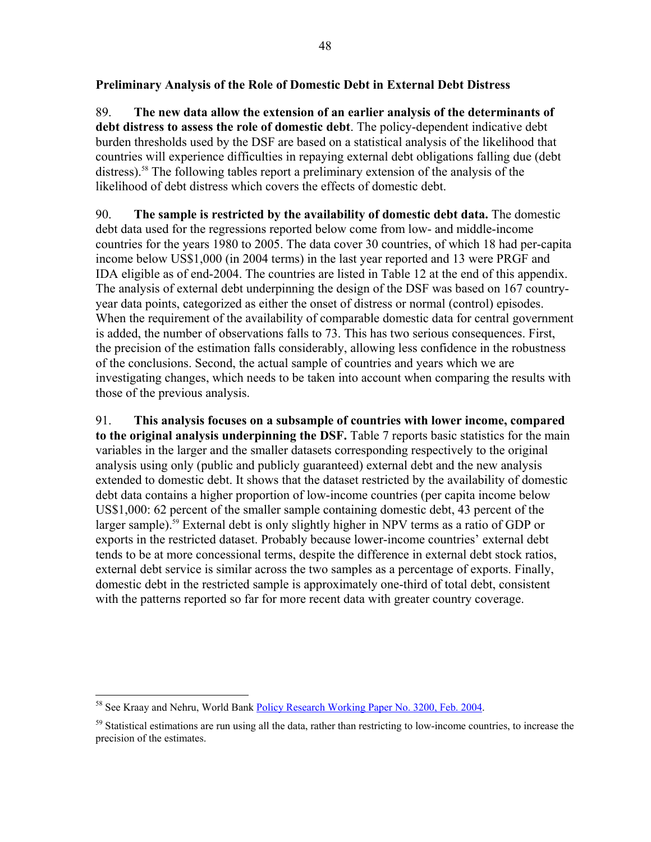## **Preliminary Analysis of the Role of Domestic Debt in External Debt Distress**

89. **The new data allow the extension of an earlier analysis of the determinants of debt distress to assess the role of domestic debt**. The policy-dependent indicative debt burden thresholds used by the DSF are based on a statistical analysis of the likelihood that countries will experience difficulties in repaying external debt obligations falling due (debt distress).<sup>58</sup> The following tables report a preliminary extension of the analysis of the likelihood of debt distress which covers the effects of domestic debt.

90. **The sample is restricted by the availability of domestic debt data.** The domestic debt data used for the regressions reported below come from low- and middle-income countries for the years 1980 to 2005. The data cover 30 countries, of which 18 had per-capita income below US\$1,000 (in 2004 terms) in the last year reported and 13 were PRGF and IDA eligible as of end-2004. The countries are listed in Table 12 at the end of this appendix. The analysis of external debt underpinning the design of the DSF was based on 167 countryyear data points, categorized as either the onset of distress or normal (control) episodes. When the requirement of the availability of comparable domestic data for central government is added, the number of observations falls to 73. This has two serious consequences. First, the precision of the estimation falls considerably, allowing less confidence in the robustness of the conclusions. Second, the actual sample of countries and years which we are investigating changes, which needs to be taken into account when comparing the results with those of the previous analysis.

91. **This analysis focuses on a subsample of countries with lower income, compared to the original analysis underpinning the DSF.** Table 7 reports basic statistics for the main variables in the larger and the smaller datasets corresponding respectively to the original analysis using only (public and publicly guaranteed) external debt and the new analysis extended to domestic debt. It shows that the dataset restricted by the availability of domestic debt data contains a higher proportion of low-income countries (per capita income below US\$1,000: 62 percent of the smaller sample containing domestic debt, 43 percent of the larger sample).<sup>59</sup> External debt is only slightly higher in NPV terms as a ratio of GDP or exports in the restricted dataset. Probably because lower-income countries' external debt tends to be at more concessional terms, despite the difference in external debt stock ratios, external debt service is similar across the two samples as a percentage of exports. Finally, domestic debt in the restricted sample is approximately one-third of total debt, consistent with the patterns reported so far for more recent data with greater country coverage.

<sup>&</sup>lt;u>.</u> <sup>58</sup> See Kraay and Nehru, World Bank Policy Research Working Paper No. 3200, Feb. 2004.

<sup>&</sup>lt;sup>59</sup> Statistical estimations are run using all the data, rather than restricting to low-income countries, to increase the precision of the estimates.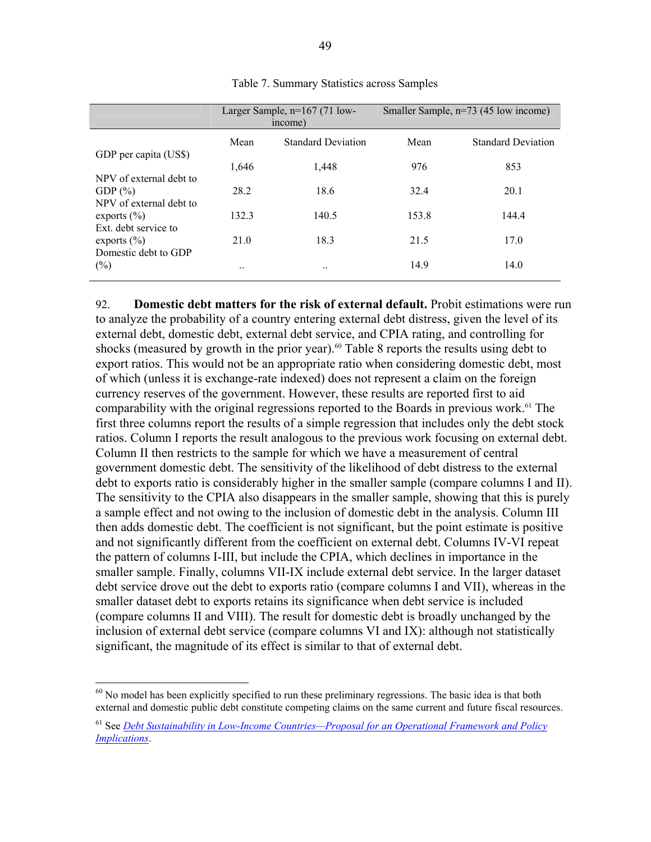|       | income)                   | Smaller Sample, n=73 (45 low income) |                           |  |
|-------|---------------------------|--------------------------------------|---------------------------|--|
| Mean  | <b>Standard Deviation</b> | Mean                                 | <b>Standard Deviation</b> |  |
| 1,646 | 1,448                     | 976                                  | 853                       |  |
| 28.2  | 18.6                      | 32.4                                 | 20.1                      |  |
| 132.3 | 140.5                     | 153.8                                | 144.4                     |  |
| 21.0  | 18.3                      | 21.5                                 | 17.0                      |  |
|       |                           | 14.9                                 | 14.0                      |  |
|       |                           | Larger Sample, $n=167$ (71 low-      |                           |  |

Table 7. Summary Statistics across Samples

92. **Domestic debt matters for the risk of external default.** Probit estimations were run to analyze the probability of a country entering external debt distress, given the level of its external debt, domestic debt, external debt service, and CPIA rating, and controlling for shocks (measured by growth in the prior year).<sup>60</sup> Table 8 reports the results using debt to export ratios. This would not be an appropriate ratio when considering domestic debt, most of which (unless it is exchange-rate indexed) does not represent a claim on the foreign currency reserves of the government. However, these results are reported first to aid comparability with the original regressions reported to the Boards in previous work.<sup>61</sup> The first three columns report the results of a simple regression that includes only the debt stock ratios. Column I reports the result analogous to the previous work focusing on external debt. Column II then restricts to the sample for which we have a measurement of central government domestic debt. The sensitivity of the likelihood of debt distress to the external debt to exports ratio is considerably higher in the smaller sample (compare columns I and II). The sensitivity to the CPIA also disappears in the smaller sample, showing that this is purely a sample effect and not owing to the inclusion of domestic debt in the analysis. Column III then adds domestic debt. The coefficient is not significant, but the point estimate is positive and not significantly different from the coefficient on external debt. Columns IV-VI repeat the pattern of columns I-III, but include the CPIA, which declines in importance in the smaller sample. Finally, columns VII-IX include external debt service. In the larger dataset debt service drove out the debt to exports ratio (compare columns I and VII), whereas in the smaller dataset debt to exports retains its significance when debt service is included (compare columns II and VIII). The result for domestic debt is broadly unchanged by the inclusion of external debt service (compare columns VI and IX): although not statistically significant, the magnitude of its effect is similar to that of external debt.

 $60$  No model has been explicitly specified to run these preliminary regressions. The basic idea is that both external and domestic public debt constitute competing claims on the same current and future fiscal resources.

<sup>61</sup> See *Debt Sustainability in Low-Income Countries—Proposal for an Operational Framework and Policy Implications*.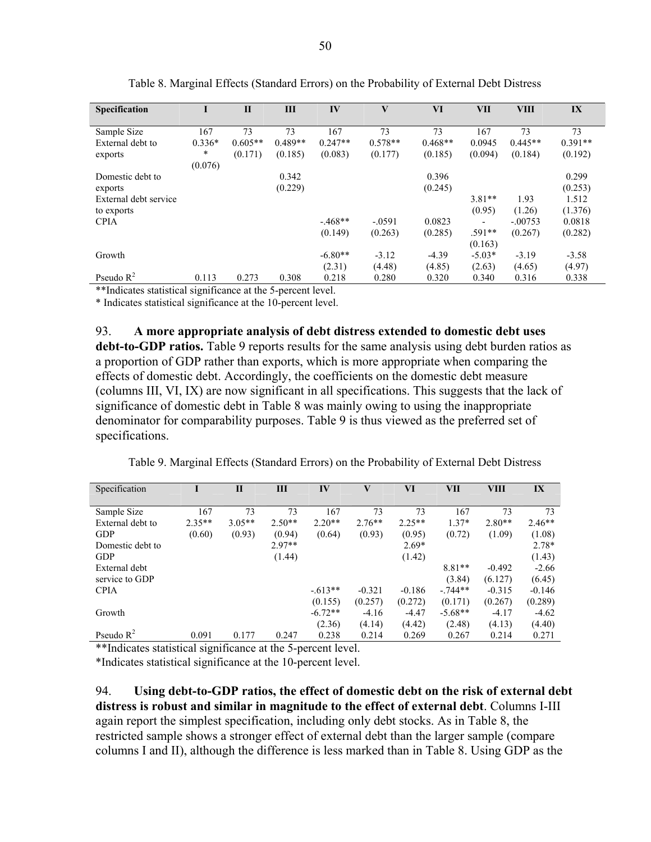|                       |          |              |           |           | V         |           |          |             |           |
|-----------------------|----------|--------------|-----------|-----------|-----------|-----------|----------|-------------|-----------|
| <b>Specification</b>  | I        | $\mathbf{I}$ | ΠI        | IV        |           | VI        | VII      | <b>VIII</b> | IX        |
|                       |          |              |           |           |           |           |          |             |           |
| Sample Size           | 167      | 73           | 73        | 167       | 73        | 73        | 167      | 73          | 73        |
| External debt to      | $0.336*$ | $0.605**$    | $0.489**$ | $0.247**$ | $0.578**$ | $0.468**$ | 0.0945   | $0.445**$   | $0.391**$ |
| exports               | $\ast$   | (0.171)      | (0.185)   | (0.083)   | (0.177)   | (0.185)   | (0.094)  | (0.184)     | (0.192)   |
|                       | (0.076)  |              |           |           |           |           |          |             |           |
| Domestic debt to      |          |              | 0.342     |           |           | 0.396     |          |             | 0.299     |
| exports               |          |              | (0.229)   |           |           | (0.245)   |          |             | (0.253)   |
| External debt service |          |              |           |           |           |           | $3.81**$ | 1.93        | 1.512     |
| to exports            |          |              |           |           |           |           | (0.95)   | (1.26)      | (1.376)   |
| <b>CPIA</b>           |          |              |           | $-.468**$ | $-.0591$  | 0.0823    |          | $-.00753$   | 0.0818    |
|                       |          |              |           | (0.149)   | (0.263)   | (0.285)   | $.591**$ | (0.267)     | (0.282)   |
|                       |          |              |           |           |           |           | (0.163)  |             |           |
| Growth                |          |              |           | $-6.80**$ | $-3.12$   | $-4.39$   | $-5.03*$ | $-3.19$     | $-3.58$   |
|                       |          |              |           | (2.31)    | (4.48)    | (4.85)    | (2.63)   | (4.65)      | (4.97)    |
| Pseudo $R^2$          | 0.113    | 0.273        | 0.308     | 0.218     | 0.280     | 0.320     | 0.340    | 0.316       | 0.338     |

Table 8. Marginal Effects (Standard Errors) on the Probability of External Debt Distress

\*\*Indicates statistical significance at the 5-percent level.

\* Indicates statistical significance at the 10-percent level.

93. **A more appropriate analysis of debt distress extended to domestic debt uses debt-to-GDP ratios.** Table 9 reports results for the same analysis using debt burden ratios as a proportion of GDP rather than exports, which is more appropriate when comparing the effects of domestic debt. Accordingly, the coefficients on the domestic debt measure (columns III, VI, IX) are now significant in all specifications. This suggests that the lack of significance of domestic debt in Table 8 was mainly owing to using the inappropriate denominator for comparability purposes. Table 9 is thus viewed as the preferred set of specifications.

Table 9. Marginal Effects (Standard Errors) on the Probability of External Debt Distress

| Specification    |          | $\mathbf{I}$ | Ш        | IV        | $\mathbf{V}$ | VI       | VII       | VIII     | IX       |
|------------------|----------|--------------|----------|-----------|--------------|----------|-----------|----------|----------|
|                  |          |              |          |           |              |          |           |          |          |
| Sample Size      | 167      | 73           | 73       | 167       | 73           | 73       | 167       | 73       | 73       |
| External debt to | $2.35**$ | $3.05**$     | $2.50**$ | $2.20**$  | $2.76**$     | $2.25**$ | $1.37*$   | $2.80**$ | $2.46**$ |
| <b>GDP</b>       | (0.60)   | (0.93)       | (0.94)   | (0.64)    | (0.93)       | (0.95)   | (0.72)    | (1.09)   | (1.08)   |
| Domestic debt to |          |              | $2.97**$ |           |              | $2.69*$  |           |          | 2.78*    |
| <b>GDP</b>       |          |              | (1.44)   |           |              | (1.42)   |           |          | (1.43)   |
| External debt    |          |              |          |           |              |          | $8.81**$  | $-0.492$ | $-2.66$  |
| service to GDP   |          |              |          |           |              |          | (3.84)    | (6.127)  | (6.45)   |
| <b>CPIA</b>      |          |              |          | $-613**$  | $-0.321$     | $-0.186$ | $-.744**$ | $-0.315$ | $-0.146$ |
|                  |          |              |          | (0.155)   | (0.257)      | (0.272)  | (0.171)   | (0.267)  | (0.289)  |
| Growth           |          |              |          | $-6.72**$ | $-4.16$      | $-4.47$  | $-5.68**$ | $-4.17$  | $-4.62$  |
|                  |          |              |          | (2.36)    | (4.14)       | (4.42)   | (2.48)    | (4.13)   | (4.40)   |
| Pseudo $R^2$     | 0.091    | 0.177        | 0.247    | 0.238     | 0.214        | 0.269    | 0.267     | 0.214    | 0.271    |

\*\*Indicates statistical significance at the 5-percent level.

\*Indicates statistical significance at the 10-percent level.

94. **Using debt-to-GDP ratios, the effect of domestic debt on the risk of external debt distress is robust and similar in magnitude to the effect of external debt**. Columns I-III again report the simplest specification, including only debt stocks. As in Table 8, the restricted sample shows a stronger effect of external debt than the larger sample (compare columns I and II), although the difference is less marked than in Table 8. Using GDP as the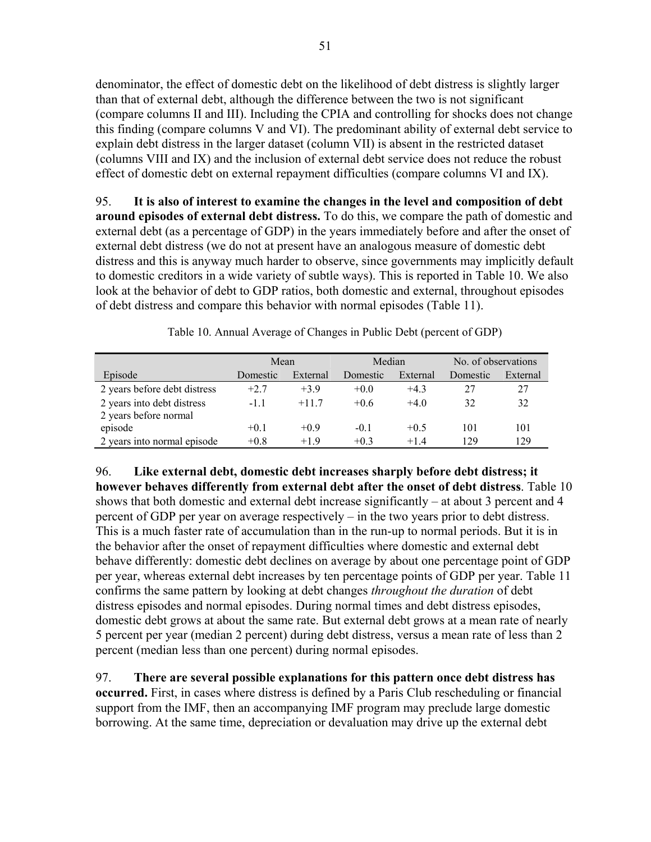denominator, the effect of domestic debt on the likelihood of debt distress is slightly larger than that of external debt, although the difference between the two is not significant (compare columns II and III). Including the CPIA and controlling for shocks does not change this finding (compare columns V and VI). The predominant ability of external debt service to explain debt distress in the larger dataset (column VII) is absent in the restricted dataset (columns VIII and IX) and the inclusion of external debt service does not reduce the robust effect of domestic debt on external repayment difficulties (compare columns VI and IX).

95. **It is also of interest to examine the changes in the level and composition of debt around episodes of external debt distress.** To do this, we compare the path of domestic and external debt (as a percentage of GDP) in the years immediately before and after the onset of external debt distress (we do not at present have an analogous measure of domestic debt distress and this is anyway much harder to observe, since governments may implicitly default to domestic creditors in a wide variety of subtle ways). This is reported in Table 10. We also look at the behavior of debt to GDP ratios, both domestic and external, throughout episodes of debt distress and compare this behavior with normal episodes (Table 11).

|                              | Mean     |          | Median   |          | No. of observations |          |
|------------------------------|----------|----------|----------|----------|---------------------|----------|
| Episode                      | Domestic | External | Domestic | External | Domestic            | External |
| 2 years before debt distress | $+2.7$   | $+3.9$   | $+0.0$   | $+4.3$   | 27                  | 27       |
| 2 years into debt distress   | $-1.1$   | $+117$   | $+0.6$   | $+40$    | 32                  | 32       |
| 2 years before normal        |          |          |          |          |                     |          |
| episode                      | $+0.1$   | $+0.9$   | $-0.1$   | $+0.5$   | 101                 | 101      |
| 2 years into normal episode  | $+0.8$   | $+19$    | $+0.3$   | $+14$    | 129                 | 129      |

Table 10. Annual Average of Changes in Public Debt (percent of GDP)

96. **Like external debt, domestic debt increases sharply before debt distress; it however behaves differently from external debt after the onset of debt distress**. Table 10 shows that both domestic and external debt increase significantly – at about 3 percent and 4 percent of GDP per year on average respectively – in the two years prior to debt distress. This is a much faster rate of accumulation than in the run-up to normal periods. But it is in the behavior after the onset of repayment difficulties where domestic and external debt behave differently: domestic debt declines on average by about one percentage point of GDP per year, whereas external debt increases by ten percentage points of GDP per year. Table 11 confirms the same pattern by looking at debt changes *throughout the duration* of debt distress episodes and normal episodes. During normal times and debt distress episodes, domestic debt grows at about the same rate. But external debt grows at a mean rate of nearly 5 percent per year (median 2 percent) during debt distress, versus a mean rate of less than 2 percent (median less than one percent) during normal episodes.

97. **There are several possible explanations for this pattern once debt distress has occurred.** First, in cases where distress is defined by a Paris Club rescheduling or financial support from the IMF, then an accompanying IMF program may preclude large domestic borrowing. At the same time, depreciation or devaluation may drive up the external debt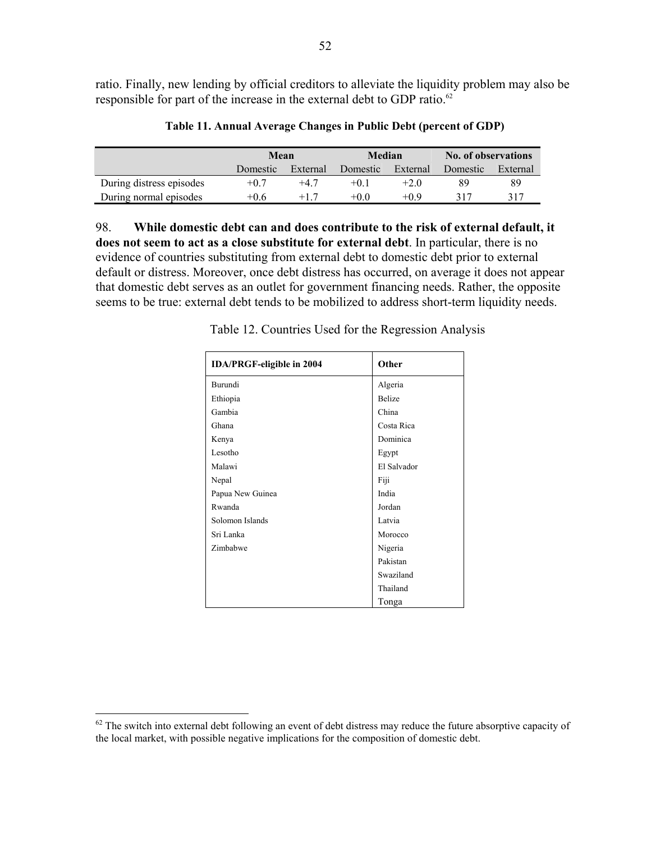ratio. Finally, new lending by official creditors to alleviate the liquidity problem may also be responsible for part of the increase in the external debt to GDP ratio.<sup>62</sup>

|                          | Mean     |          | Median   |          | No. of observations |          |  |
|--------------------------|----------|----------|----------|----------|---------------------|----------|--|
|                          | Domestic | External | Domestic | External | Domestic            | External |  |
| During distress episodes | $+0.7$   | $+47$    | $+01$    | $+2.0$   | 89                  | 89       |  |
| During normal episodes   | $+0.6$   |          | $+0.0$   | $+0.9$   | 317                 | 317      |  |

**Table 11. Annual Average Changes in Public Debt (percent of GDP)** 

98. **While domestic debt can and does contribute to the risk of external default, it does not seem to act as a close substitute for external debt**. In particular, there is no evidence of countries substituting from external debt to domestic debt prior to external default or distress. Moreover, once debt distress has occurred, on average it does not appear that domestic debt serves as an outlet for government financing needs. Rather, the opposite seems to be true: external debt tends to be mobilized to address short-term liquidity needs.

| <b>IDA/PRGF-eligible in 2004</b> | Other       |
|----------------------------------|-------------|
| Burundi                          | Algeria     |
| Ethiopia                         | Belize      |
| Gambia                           | China       |
| Ghana                            | Costa Rica  |
| Kenya                            | Dominica    |
| Lesotho                          | Egypt       |
| Malawi                           | El Salvador |
| Nepal                            | Fiji        |
| Papua New Guinea                 | India       |
| Rwanda                           | Jordan      |
| Solomon Islands                  | Latvia      |
| Sri Lanka                        | Morocco     |
| Zimbabwe                         | Nigeria     |
|                                  | Pakistan    |
|                                  | Swaziland   |
|                                  | Thailand    |
|                                  | Tonga       |

Table 12. Countries Used for the Regression Analysis

 $62$  The switch into external debt following an event of debt distress may reduce the future absorptive capacity of the local market, with possible negative implications for the composition of domestic debt.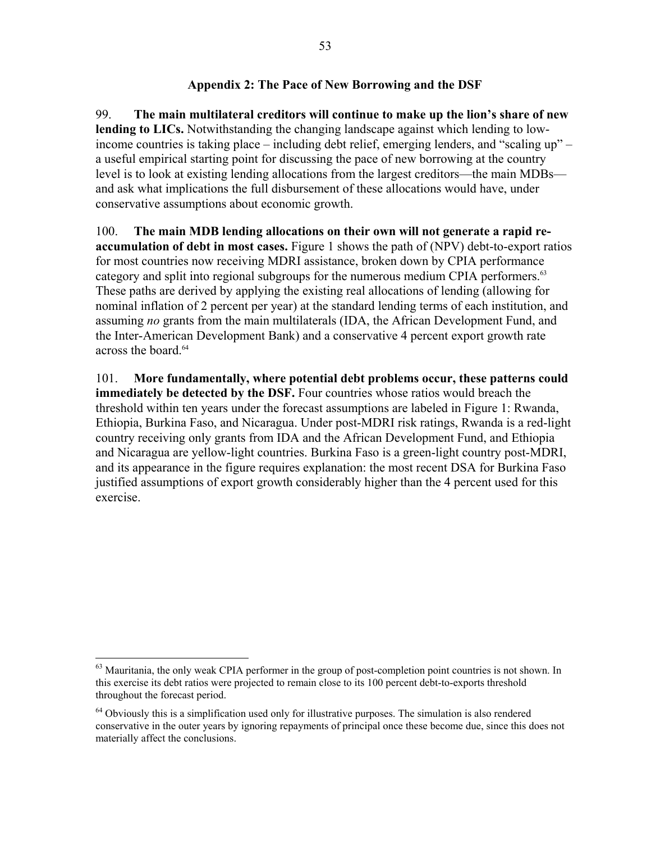### **Appendix 2: The Pace of New Borrowing and the DSF**

99. **The main multilateral creditors will continue to make up the lion's share of new lending to LICs.** Notwithstanding the changing landscape against which lending to lowincome countries is taking place – including debt relief, emerging lenders, and "scaling up" – a useful empirical starting point for discussing the pace of new borrowing at the country level is to look at existing lending allocations from the largest creditors—the main MDBs and ask what implications the full disbursement of these allocations would have, under conservative assumptions about economic growth.

100. **The main MDB lending allocations on their own will not generate a rapid reaccumulation of debt in most cases.** Figure 1 shows the path of (NPV) debt-to-export ratios for most countries now receiving MDRI assistance, broken down by CPIA performance category and split into regional subgroups for the numerous medium CPIA performers.<sup>63</sup> These paths are derived by applying the existing real allocations of lending (allowing for nominal inflation of 2 percent per year) at the standard lending terms of each institution, and assuming *no* grants from the main multilaterals (IDA, the African Development Fund, and the Inter-American Development Bank) and a conservative 4 percent export growth rate across the board.<sup>64</sup>

101. **More fundamentally, where potential debt problems occur, these patterns could immediately be detected by the DSF.** Four countries whose ratios would breach the threshold within ten years under the forecast assumptions are labeled in Figure 1: Rwanda, Ethiopia, Burkina Faso, and Nicaragua. Under post-MDRI risk ratings, Rwanda is a red-light country receiving only grants from IDA and the African Development Fund, and Ethiopia and Nicaragua are yellow-light countries. Burkina Faso is a green-light country post-MDRI, and its appearance in the figure requires explanation: the most recent DSA for Burkina Faso justified assumptions of export growth considerably higher than the 4 percent used for this exercise.

<sup>&</sup>lt;sup>63</sup> Mauritania, the only weak CPIA performer in the group of post-completion point countries is not shown. In this exercise its debt ratios were projected to remain close to its 100 percent debt-to-exports threshold throughout the forecast period.

 $64$  Obviously this is a simplification used only for illustrative purposes. The simulation is also rendered conservative in the outer years by ignoring repayments of principal once these become due, since this does not materially affect the conclusions.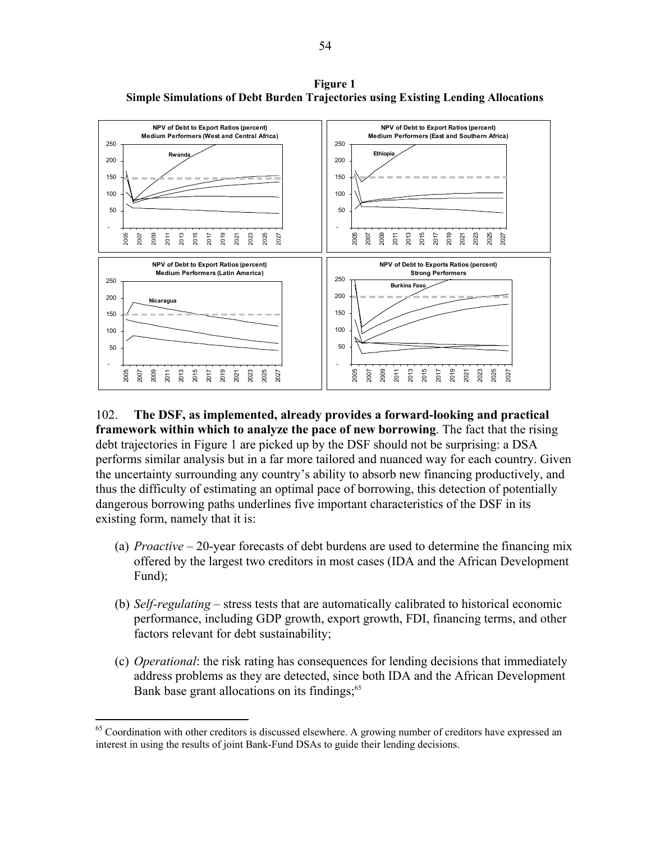**NPV of Debt to Export Ratios (percent) Medium Performers (West and Central Africa)** - **Rwanda NPV of Debt to Export Ratios (percent) Medium Performers (East and Southern Africa)** - **Ethiopia NPV of Debt to Export Ratios (percent) Medium Performers (Latin America)** - **Nicaragua NPV of Debt to Exports Ratios (percent) Strong Performers** - **Burkina Faso**

**Figure 1 Simple Simulations of Debt Burden Trajectories using Existing Lending Allocations** 

### 102. **The DSF, as implemented, already provides a forward-looking and practical framework within which to analyze the pace of new borrowing**. The fact that the rising debt trajectories in Figure 1 are picked up by the DSF should not be surprising: a DSA performs similar analysis but in a far more tailored and nuanced way for each country. Given the uncertainty surrounding any country's ability to absorb new financing productively, and thus the difficulty of estimating an optimal pace of borrowing, this detection of potentially dangerous borrowing paths underlines five important characteristics of the DSF in its existing form, namely that it is:

- (a) *Proactive* 20-year forecasts of debt burdens are used to determine the financing mix offered by the largest two creditors in most cases (IDA and the African Development Fund);
- (b) *Self-regulating* stress tests that are automatically calibrated to historical economic performance, including GDP growth, export growth, FDI, financing terms, and other factors relevant for debt sustainability;
- (c) *Operational*: the risk rating has consequences for lending decisions that immediately address problems as they are detected, since both IDA and the African Development Bank base grant allocations on its findings;<sup>65</sup>

<sup>&</sup>lt;sup>65</sup> Coordination with other creditors is discussed elsewhere. A growing number of creditors have expressed an interest in using the results of joint Bank-Fund DSAs to guide their lending decisions.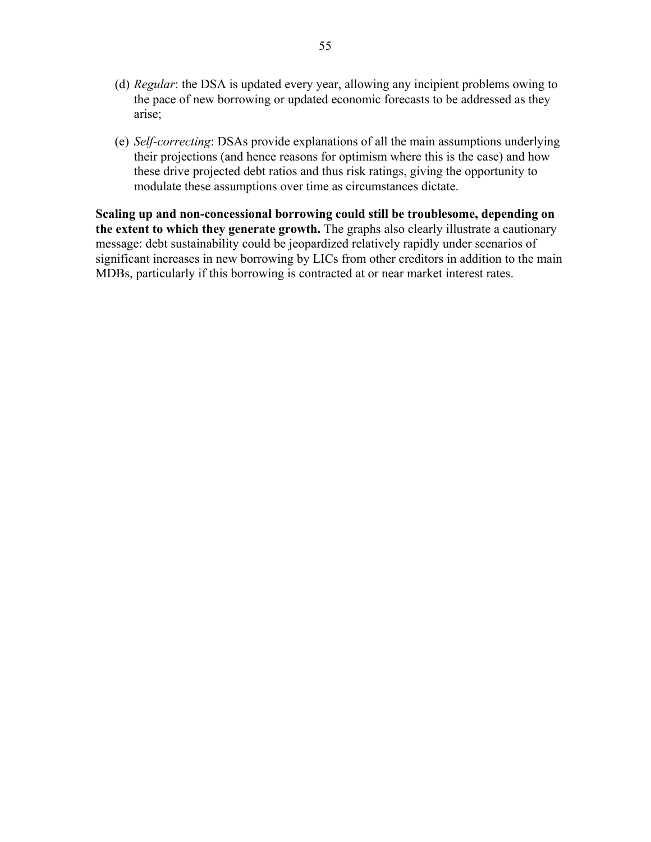- (d) *Regular*: the DSA is updated every year, allowing any incipient problems owing to the pace of new borrowing or updated economic forecasts to be addressed as they arise;
- (e) *Self-correcting*: DSAs provide explanations of all the main assumptions underlying their projections (and hence reasons for optimism where this is the case) and how these drive projected debt ratios and thus risk ratings, giving the opportunity to modulate these assumptions over time as circumstances dictate.

**Scaling up and non-concessional borrowing could still be troublesome, depending on the extent to which they generate growth.** The graphs also clearly illustrate a cautionary message: debt sustainability could be jeopardized relatively rapidly under scenarios of significant increases in new borrowing by LICs from other creditors in addition to the main MDBs, particularly if this borrowing is contracted at or near market interest rates.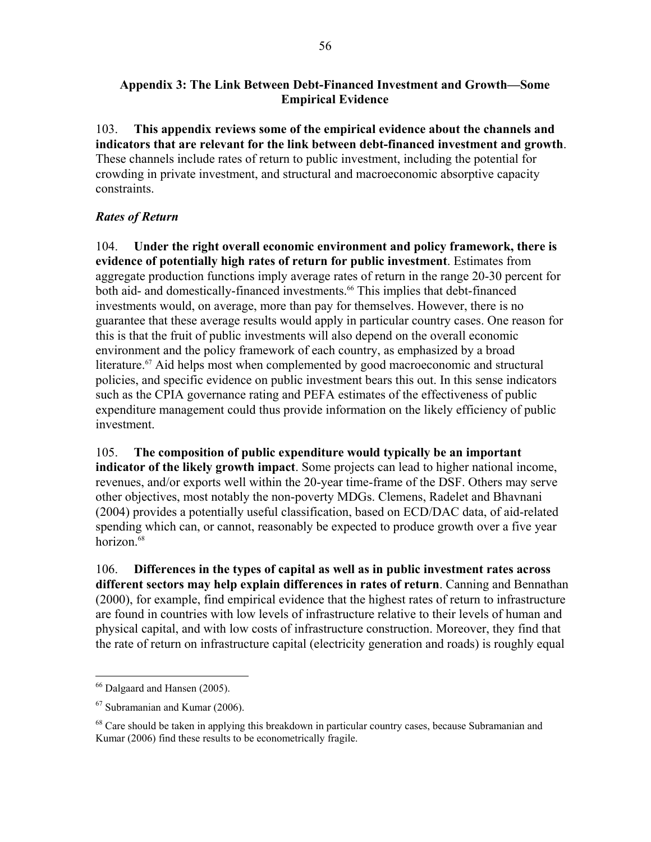### **Appendix 3: The Link Between Debt-Financed Investment and Growth—Some Empirical Evidence**

103. **This appendix reviews some of the empirical evidence about the channels and indicators that are relevant for the link between debt-financed investment and growth**. These channels include rates of return to public investment, including the potential for crowding in private investment, and structural and macroeconomic absorptive capacity constraints.

# *Rates of Return*

104. **Under the right overall economic environment and policy framework, there is evidence of potentially high rates of return for public investment**. Estimates from aggregate production functions imply average rates of return in the range 20-30 percent for both aid- and domestically-financed investments.<sup>66</sup> This implies that debt-financed investments would, on average, more than pay for themselves. However, there is no guarantee that these average results would apply in particular country cases. One reason for this is that the fruit of public investments will also depend on the overall economic environment and the policy framework of each country, as emphasized by a broad literature.<sup>67</sup> Aid helps most when complemented by good macroeconomic and structural policies, and specific evidence on public investment bears this out. In this sense indicators such as the CPIA governance rating and PEFA estimates of the effectiveness of public expenditure management could thus provide information on the likely efficiency of public investment.

105. **The composition of public expenditure would typically be an important indicator of the likely growth impact**. Some projects can lead to higher national income, revenues, and/or exports well within the 20-year time-frame of the DSF. Others may serve other objectives, most notably the non-poverty MDGs. Clemens, Radelet and Bhavnani (2004) provides a potentially useful classification, based on ECD/DAC data, of aid-related spending which can, or cannot, reasonably be expected to produce growth over a five year horizon.<sup>68</sup>

106. **Differences in the types of capital as well as in public investment rates across different sectors may help explain differences in rates of return**. Canning and Bennathan (2000), for example, find empirical evidence that the highest rates of return to infrastructure are found in countries with low levels of infrastructure relative to their levels of human and physical capital, and with low costs of infrastructure construction. Moreover, they find that the rate of return on infrastructure capital (electricity generation and roads) is roughly equal

<u>.</u>

<sup>66</sup> Dalgaard and Hansen (2005).

 $67$  Subramanian and Kumar (2006).

 $^{68}$  Care should be taken in applying this breakdown in particular country cases, because Subramanian and Kumar (2006) find these results to be econometrically fragile.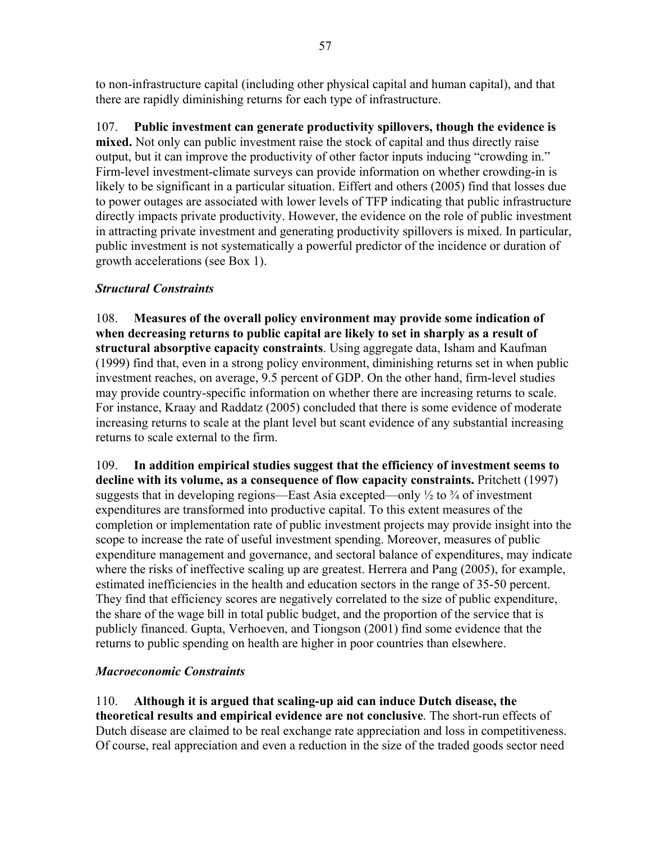to non-infrastructure capital (including other physical capital and human capital), and that there are rapidly diminishing returns for each type of infrastructure.

107. **Public investment can generate productivity spillovers, though the evidence is mixed.** Not only can public investment raise the stock of capital and thus directly raise output, but it can improve the productivity of other factor inputs inducing "crowding in." Firm-level investment-climate surveys can provide information on whether crowding-in is likely to be significant in a particular situation. Eiffert and others (2005) find that losses due to power outages are associated with lower levels of TFP indicating that public infrastructure directly impacts private productivity. However, the evidence on the role of public investment in attracting private investment and generating productivity spillovers is mixed. In particular, public investment is not systematically a powerful predictor of the incidence or duration of growth accelerations (see Box 1).

# *Structural Constraints*

108. **Measures of the overall policy environment may provide some indication of when decreasing returns to public capital are likely to set in sharply as a result of structural absorptive capacity constraints**. Using aggregate data, Isham and Kaufman (1999) find that, even in a strong policy environment, diminishing returns set in when public investment reaches, on average, 9.5 percent of GDP. On the other hand, firm-level studies may provide country-specific information on whether there are increasing returns to scale. For instance, Kraay and Raddatz (2005) concluded that there is some evidence of moderate increasing returns to scale at the plant level but scant evidence of any substantial increasing returns to scale external to the firm.

109. **In addition empirical studies suggest that the efficiency of investment seems to decline with its volume, as a consequence of flow capacity constraints.** Pritchett (1997) suggests that in developing regions—East Asia excepted—only  $\frac{1}{2}$  to  $\frac{3}{4}$  of investment expenditures are transformed into productive capital. To this extent measures of the completion or implementation rate of public investment projects may provide insight into the scope to increase the rate of useful investment spending. Moreover, measures of public expenditure management and governance, and sectoral balance of expenditures, may indicate where the risks of ineffective scaling up are greatest. Herrera and Pang (2005), for example, estimated inefficiencies in the health and education sectors in the range of 35-50 percent. They find that efficiency scores are negatively correlated to the size of public expenditure, the share of the wage bill in total public budget, and the proportion of the service that is publicly financed. Gupta, Verhoeven, and Tiongson (2001) find some evidence that the returns to public spending on health are higher in poor countries than elsewhere.

## *Macroeconomic Constraints*

110. **Although it is argued that scaling-up aid can induce Dutch disease, the theoretical results and empirical evidence are not conclusive**. The short-run effects of Dutch disease are claimed to be real exchange rate appreciation and loss in competitiveness. Of course, real appreciation and even a reduction in the size of the traded goods sector need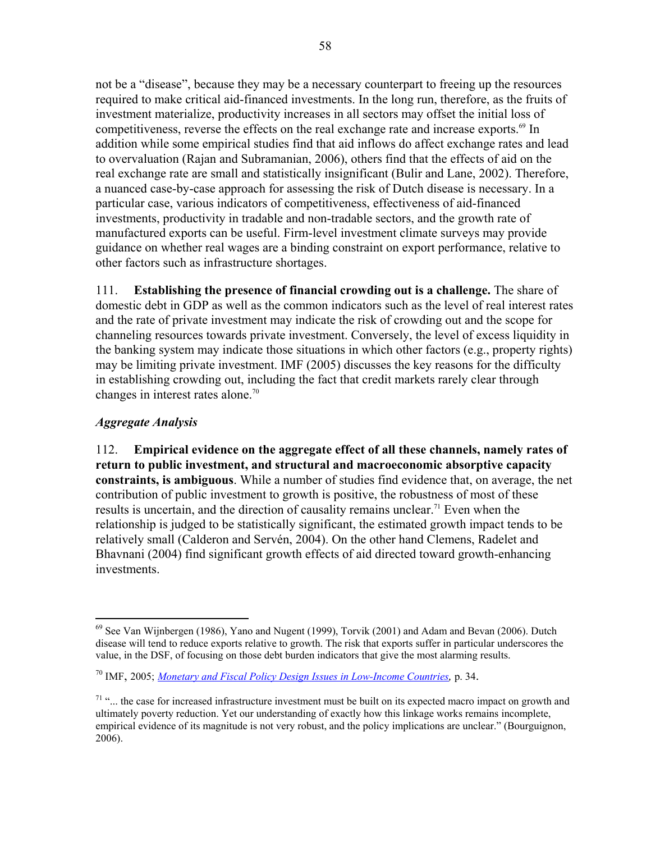not be a "disease", because they may be a necessary counterpart to freeing up the resources required to make critical aid-financed investments. In the long run, therefore, as the fruits of investment materialize, productivity increases in all sectors may offset the initial loss of competitiveness, reverse the effects on the real exchange rate and increase exports.<sup>69</sup> In addition while some empirical studies find that aid inflows do affect exchange rates and lead to overvaluation (Rajan and Subramanian, 2006), others find that the effects of aid on the real exchange rate are small and statistically insignificant (Bulir and Lane, 2002). Therefore, a nuanced case-by-case approach for assessing the risk of Dutch disease is necessary. In a particular case, various indicators of competitiveness, effectiveness of aid-financed investments, productivity in tradable and non-tradable sectors, and the growth rate of manufactured exports can be useful. Firm-level investment climate surveys may provide guidance on whether real wages are a binding constraint on export performance, relative to other factors such as infrastructure shortages.

111. **Establishing the presence of financial crowding out is a challenge.** The share of domestic debt in GDP as well as the common indicators such as the level of real interest rates and the rate of private investment may indicate the risk of crowding out and the scope for channeling resources towards private investment. Conversely, the level of excess liquidity in the banking system may indicate those situations in which other factors (e.g., property rights) may be limiting private investment. IMF (2005) discusses the key reasons for the difficulty in establishing crowding out, including the fact that credit markets rarely clear through changes in interest rates alone.70

# *Aggregate Analysis*

 $\overline{a}$ 

112. **Empirical evidence on the aggregate effect of all these channels, namely rates of return to public investment, and structural and macroeconomic absorptive capacity constraints, is ambiguous**. While a number of studies find evidence that, on average, the net contribution of public investment to growth is positive, the robustness of most of these results is uncertain, and the direction of causality remains unclear.<sup>71</sup> Even when the relationship is judged to be statistically significant, the estimated growth impact tends to be relatively small (Calderon and Servén, 2004). On the other hand Clemens, Radelet and Bhavnani (2004) find significant growth effects of aid directed toward growth-enhancing investments.

 $69$  See Van Wijnbergen (1986), Yano and Nugent (1999), Torvik (2001) and Adam and Bevan (2006). Dutch disease will tend to reduce exports relative to growth. The risk that exports suffer in particular underscores the value, in the DSF, of focusing on those debt burden indicators that give the most alarming results.

<sup>70</sup> IMF, 2005; *Monetary and Fiscal Policy Design Issues in Low-Income Countries,* p. 34.

 $71$  "... the case for increased infrastructure investment must be built on its expected macro impact on growth and ultimately poverty reduction. Yet our understanding of exactly how this linkage works remains incomplete, empirical evidence of its magnitude is not very robust, and the policy implications are unclear." (Bourguignon, 2006).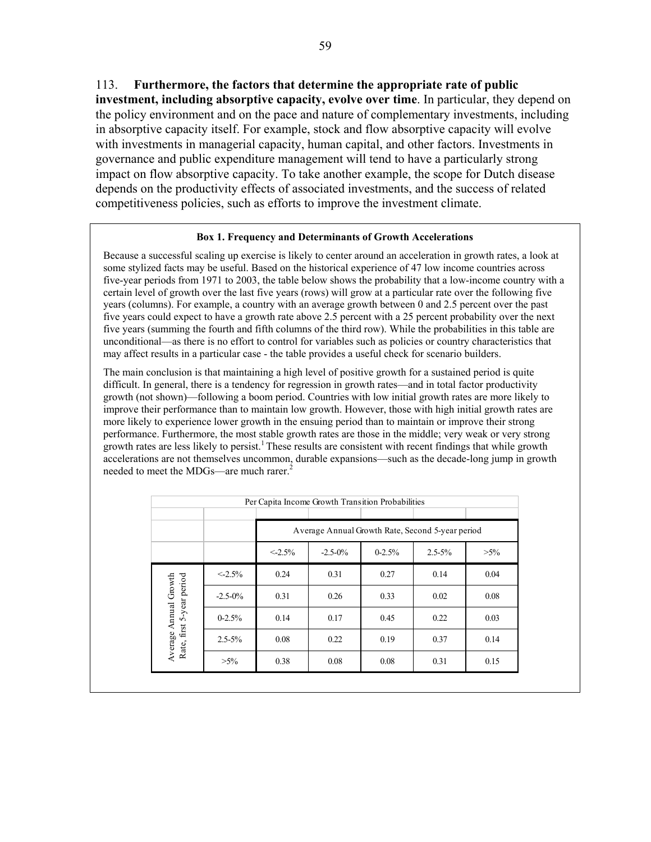113. **Furthermore, the factors that determine the appropriate rate of public investment, including absorptive capacity, evolve over time**. In particular, they depend on the policy environment and on the pace and nature of complementary investments, including in absorptive capacity itself. For example, stock and flow absorptive capacity will evolve with investments in managerial capacity, human capital, and other factors. Investments in governance and public expenditure management will tend to have a particularly strong impact on flow absorptive capacity. To take another example, the scope for Dutch disease depends on the productivity effects of associated investments, and the success of related competitiveness policies, such as efforts to improve the investment climate.

#### **Box 1. Frequency and Determinants of Growth Accelerations**

Because a successful scaling up exercise is likely to center around an acceleration in growth rates, a look at some stylized facts may be useful. Based on the historical experience of 47 low income countries across five-year periods from 1971 to 2003, the table below shows the probability that a low-income country with a certain level of growth over the last five years (rows) will grow at a particular rate over the following five years (columns). For example, a country with an average growth between 0 and 2.5 percent over the past five years could expect to have a growth rate above 2.5 percent with a 25 percent probability over the next five years (summing the fourth and fifth columns of the third row). While the probabilities in this table are unconditional—as there is no effort to control for variables such as policies or country characteristics that may affect results in a particular case - the table provides a useful check for scenario builders.

The main conclusion is that maintaining a high level of positive growth for a sustained period is quite difficult. In general, there is a tendency for regression in growth rates—and in total factor productivity growth (not shown)—following a boom period. Countries with low initial growth rates are more likely to improve their performance than to maintain low growth. However, those with high initial growth rates are more likely to experience lower growth in the ensuing period than to maintain or improve their strong performance. Furthermore, the most stable growth rates are those in the middle; very weak or very strong growth rates are less likely to persist.1 These results are consistent with recent findings that while growth accelerations are not themselves uncommon, durable expansions—such as the decade-long jump in growth needed to meet the MDGs—are much rarer.<sup>2</sup>

|                                                    | Per Capita Income Growth Transition Probabilities |           |                                                     |      |      |      |  |  |  |  |
|----------------------------------------------------|---------------------------------------------------|-----------|-----------------------------------------------------|------|------|------|--|--|--|--|
|                                                    |                                                   |           |                                                     |      |      |      |  |  |  |  |
|                                                    |                                                   |           | Average Annual Growth Rate, Second 5-year period    |      |      |      |  |  |  |  |
|                                                    |                                                   | $< 2.5\%$ | $0 - 2.5%$<br>$-2.5 - 0\%$<br>$2.5 - 5\%$<br>$>5\%$ |      |      |      |  |  |  |  |
|                                                    | $<-2.5%$                                          | 0.24      | 0.31                                                | 0.27 | 0.14 | 0.04 |  |  |  |  |
|                                                    | $-2.5 - 0\%$                                      | 0.31      | 0.26                                                | 0.33 | 0.02 | 0.08 |  |  |  |  |
|                                                    | $0 - 2.5%$                                        | 0.14      | 0.17                                                | 0.45 | 0.22 | 0.03 |  |  |  |  |
| Rate, first 5-year period<br>Average Annual Growth | $2.5 - 5\%$                                       | 0.08      | 0.22                                                | 0.19 | 0.37 | 0.14 |  |  |  |  |
|                                                    | $>5\%$                                            | 0.38      | 0.08                                                | 0.08 | 0.31 | 0.15 |  |  |  |  |
|                                                    |                                                   |           |                                                     |      |      |      |  |  |  |  |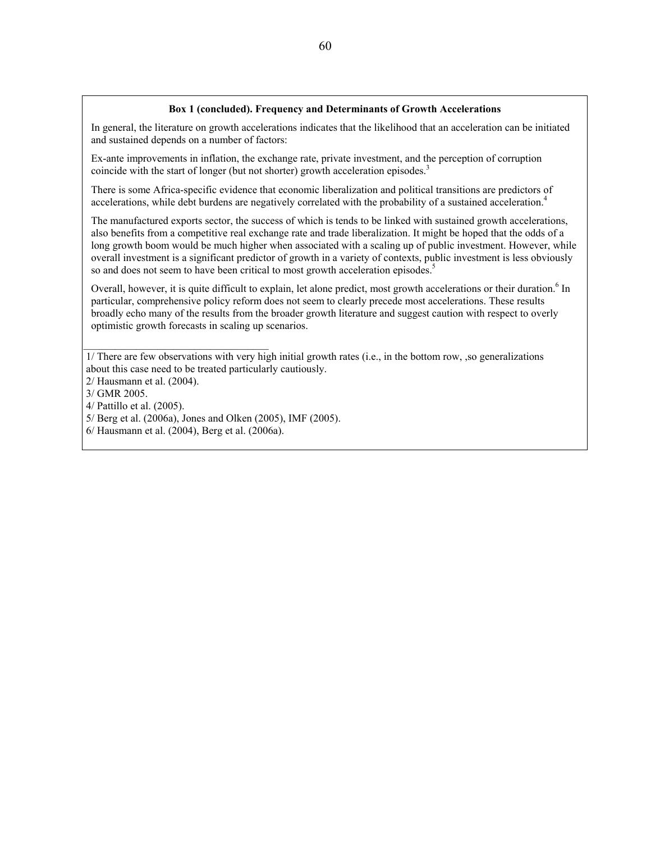#### **Box 1 (concluded). Frequency and Determinants of Growth Accelerations**

In general, the literature on growth accelerations indicates that the likelihood that an acceleration can be initiated and sustained depends on a number of factors:

Ex-ante improvements in inflation, the exchange rate, private investment, and the perception of corruption coincide with the start of longer (but not shorter) growth acceleration episodes.<sup>3</sup>

There is some Africa-specific evidence that economic liberalization and political transitions are predictors of accelerations, while debt burdens are negatively correlated with the probability of a sustained acceleration.<sup>4</sup>

The manufactured exports sector, the success of which is tends to be linked with sustained growth accelerations, also benefits from a competitive real exchange rate and trade liberalization. It might be hoped that the odds of a long growth boom would be much higher when associated with a scaling up of public investment. However, while overall investment is a significant predictor of growth in a variety of contexts, public investment is less obviously so and does not seem to have been critical to most growth acceleration episodes.<sup>5</sup>

Overall, however, it is quite difficult to explain, let alone predict, most growth accelerations or their duration.<sup>6</sup> In particular, comprehensive policy reform does not seem to clearly precede most accelerations. These results broadly echo many of the results from the broader growth literature and suggest caution with respect to overly optimistic growth forecasts in scaling up scenarios.

 1/ There are few observations with very high initial growth rates (i.e., in the bottom row, ,so generalizations about this case need to be treated particularly cautiously.

- 2/ Hausmann et al. (2004).
- 3/ GMR 2005.
- 4/ Pattillo et al. (2005).
- 5/ Berg et al. (2006a), Jones and Olken (2005), IMF (2005).
- 6/ Hausmann et al. (2004), Berg et al. (2006a).

 $\mathcal{L}_\text{max}$  , and the set of the set of the set of the set of the set of the set of the set of the set of the set of the set of the set of the set of the set of the set of the set of the set of the set of the set of the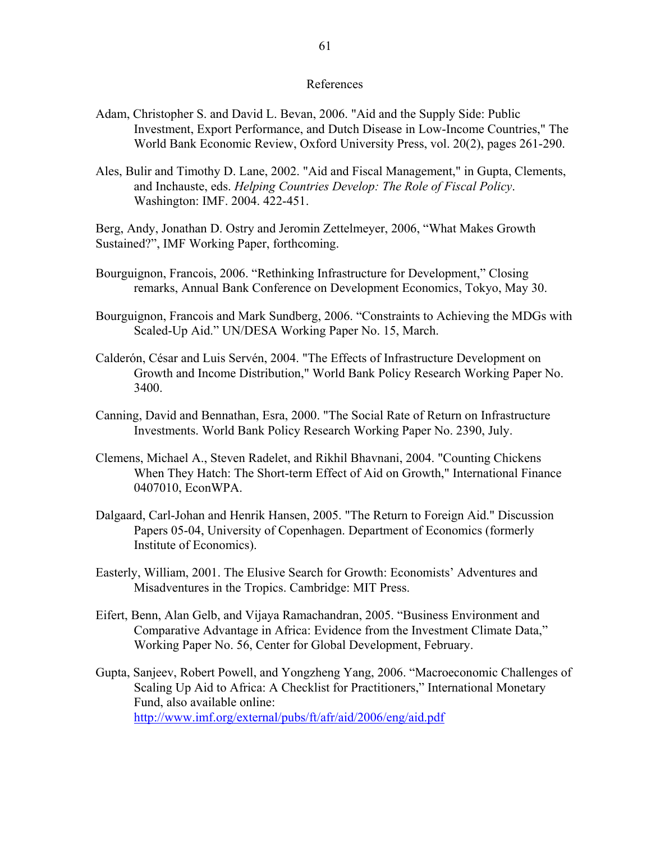#### References

- Adam, Christopher S. and David L. Bevan, 2006. "Aid and the Supply Side: Public Investment, Export Performance, and Dutch Disease in Low-Income Countries," The World Bank Economic Review, Oxford University Press, vol. 20(2), pages 261-290.
- Ales, Bulir and Timothy D. Lane, 2002. "Aid and Fiscal Management," in Gupta, Clements, and Inchauste, eds. *Helping Countries Develop: The Role of Fiscal Policy*. Washington: IMF. 2004. 422-451.

Berg, Andy, Jonathan D. Ostry and Jeromin Zettelmeyer, 2006, "What Makes Growth Sustained?", IMF Working Paper, forthcoming.

Bourguignon, Francois, 2006. "Rethinking Infrastructure for Development," Closing remarks, Annual Bank Conference on Development Economics, Tokyo, May 30.

Bourguignon, Francois and Mark Sundberg, 2006. "Constraints to Achieving the MDGs with Scaled-Up Aid." UN/DESA Working Paper No. 15, March.

Calderón, César and Luis Servén, 2004. "The Effects of Infrastructure Development on Growth and Income Distribution," World Bank Policy Research Working Paper No. 3400.

Canning, David and Bennathan, Esra, 2000. "The Social Rate of Return on Infrastructure Investments. World Bank Policy Research Working Paper No. 2390, July.

- Clemens, Michael A., Steven Radelet, and Rikhil Bhavnani, 2004. "Counting Chickens When They Hatch: The Short-term Effect of Aid on Growth," International Finance 0407010, EconWPA.
- Dalgaard, Carl-Johan and Henrik Hansen, 2005. "The Return to Foreign Aid." Discussion Papers 05-04, University of Copenhagen. Department of Economics (formerly Institute of Economics).
- Easterly, William, 2001. The Elusive Search for Growth: Economists' Adventures and Misadventures in the Tropics. Cambridge: MIT Press.
- Eifert, Benn, Alan Gelb, and Vijaya Ramachandran, 2005. "Business Environment and Comparative Advantage in Africa: Evidence from the Investment Climate Data," Working Paper No. 56, Center for Global Development, February.
- Gupta, Sanjeev, Robert Powell, and Yongzheng Yang, 2006. "Macroeconomic Challenges of Scaling Up Aid to Africa: A Checklist for Practitioners," International Monetary Fund, also available online: http://www.imf.org/external/pubs/ft/afr/aid/2006/eng/aid.pdf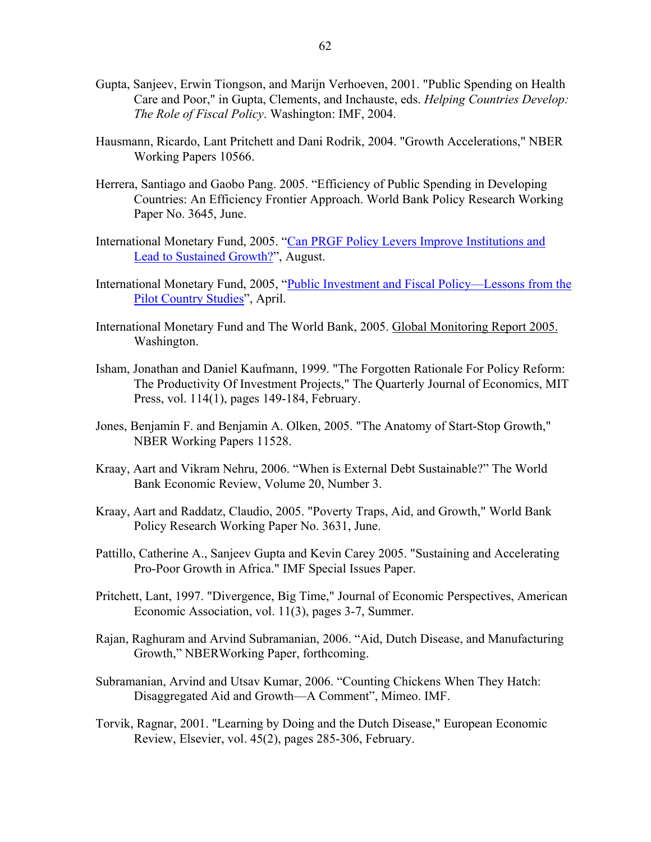- Gupta, Sanjeev, Erwin Tiongson, and Marijn Verhoeven, 2001. "Public Spending on Health Care and Poor," in Gupta, Clements, and Inchauste, eds. *Helping Countries Develop: The Role of Fiscal Policy*. Washington: IMF, 2004.
- Hausmann, Ricardo, Lant Pritchett and Dani Rodrik, 2004. "Growth Accelerations," NBER Working Papers 10566.
- Herrera, Santiago and Gaobo Pang. 2005. "Efficiency of Public Spending in Developing Countries: An Efficiency Frontier Approach. World Bank Policy Research Working Paper No. 3645, June.
- International Monetary Fund, 2005. "Can PRGF Policy Levers Improve Institutions and Lead to Sustained Growth?", August.
- International Monetary Fund, 2005, "Public Investment and Fiscal Policy—Lessons from the Pilot Country Studies", April.
- International Monetary Fund and The World Bank, 2005. Global Monitoring Report 2005. Washington.
- Isham, Jonathan and Daniel Kaufmann, 1999. "The Forgotten Rationale For Policy Reform: The Productivity Of Investment Projects," The Quarterly Journal of Economics, MIT Press, vol. 114(1), pages 149-184, February.
- Jones, Benjamin F. and Benjamin A. Olken, 2005. "The Anatomy of Start-Stop Growth," NBER Working Papers 11528.
- Kraay, Aart and Vikram Nehru, 2006. "When is External Debt Sustainable?" The World Bank Economic Review, Volume 20, Number 3.
- Kraay, Aart and Raddatz, Claudio, 2005. "Poverty Traps, Aid, and Growth," World Bank Policy Research Working Paper No. 3631, June.
- Pattillo, Catherine A., Sanjeev Gupta and Kevin Carey 2005. "Sustaining and Accelerating Pro-Poor Growth in Africa." IMF Special Issues Paper.
- Pritchett, Lant, 1997. "Divergence, Big Time," Journal of Economic Perspectives, American Economic Association, vol. 11(3), pages 3-7, Summer.
- Rajan, Raghuram and Arvind Subramanian, 2006. "Aid, Dutch Disease, and Manufacturing Growth," NBERWorking Paper, forthcoming.
- Subramanian, Arvind and Utsav Kumar, 2006. "Counting Chickens When They Hatch: Disaggregated Aid and Growth—A Comment", Mimeo. IMF.
- Torvik, Ragnar, 2001. "Learning by Doing and the Dutch Disease," European Economic Review, Elsevier, vol. 45(2), pages 285-306, February.